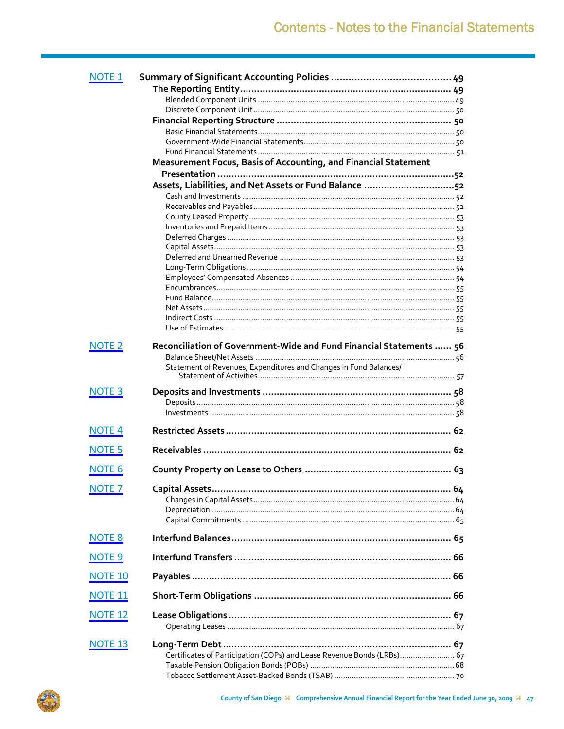| <b>NOTE 1</b>  |                                                                        |  |
|----------------|------------------------------------------------------------------------|--|
|                |                                                                        |  |
|                |                                                                        |  |
|                |                                                                        |  |
|                |                                                                        |  |
|                |                                                                        |  |
|                |                                                                        |  |
|                |                                                                        |  |
|                | Measurement Focus, Basis of Accounting, and Financial Statement        |  |
|                |                                                                        |  |
|                | Assets, Liabilities, and Net Assets or Fund Balance 52                 |  |
|                |                                                                        |  |
|                |                                                                        |  |
|                |                                                                        |  |
|                |                                                                        |  |
|                |                                                                        |  |
|                |                                                                        |  |
|                |                                                                        |  |
|                |                                                                        |  |
|                |                                                                        |  |
|                |                                                                        |  |
|                |                                                                        |  |
|                |                                                                        |  |
|                |                                                                        |  |
| <b>NOTE 2</b>  | Reconciliation of Government-Wide and Fund Financial Statements  56    |  |
|                |                                                                        |  |
|                | Statement of Revenues, Expenditures and Changes in Fund Balances/      |  |
|                |                                                                        |  |
|                |                                                                        |  |
| <b>NOTE 3</b>  |                                                                        |  |
|                |                                                                        |  |
|                |                                                                        |  |
| <b>NOTE 4</b>  |                                                                        |  |
|                |                                                                        |  |
| <b>NOTE 5</b>  |                                                                        |  |
|                |                                                                        |  |
| <b>NOTE 6</b>  |                                                                        |  |
| <b>NOTE 7</b>  |                                                                        |  |
|                |                                                                        |  |
|                |                                                                        |  |
|                |                                                                        |  |
|                |                                                                        |  |
| <b>NOTE 8</b>  |                                                                        |  |
|                |                                                                        |  |
| <b>NOTE 9</b>  |                                                                        |  |
| <b>NOTE 10</b> |                                                                        |  |
|                |                                                                        |  |
| <b>NOTE 11</b> |                                                                        |  |
|                |                                                                        |  |
| <b>NOTE 12</b> |                                                                        |  |
|                |                                                                        |  |
|                |                                                                        |  |
| <b>NOTE 13</b> |                                                                        |  |
|                | Certificates of Participation (COPs) and Lease Revenue Bonds (LRBs) 67 |  |
|                |                                                                        |  |
|                |                                                                        |  |

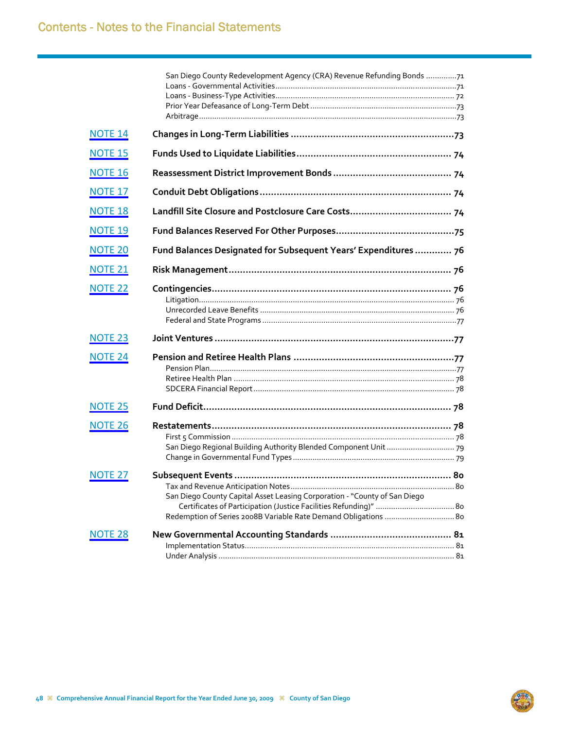|                    | San Diego County Redevelopment Agency (CRA) Revenue Refunding Bonds 71    |  |
|--------------------|---------------------------------------------------------------------------|--|
|                    |                                                                           |  |
| <b>NOTE 14</b>     |                                                                           |  |
| <b>NOTE 15</b>     |                                                                           |  |
| <b>NOTE 16</b>     |                                                                           |  |
| <b>NOTE 17</b>     |                                                                           |  |
| <b>NOTE 18</b>     |                                                                           |  |
| <b>NOTE 19</b>     |                                                                           |  |
| <b>NOTE 20</b>     | Fund Balances Designated for Subsequent Years' Expenditures  76           |  |
| <b>NOTE 21</b>     |                                                                           |  |
| <b>NOTE 22</b>     |                                                                           |  |
|                    |                                                                           |  |
|                    |                                                                           |  |
| <b>NOTE 23</b>     |                                                                           |  |
| <b>NOTE 24</b>     |                                                                           |  |
|                    |                                                                           |  |
|                    |                                                                           |  |
|                    |                                                                           |  |
| <b>NOTE 25</b>     |                                                                           |  |
| <b>NOTE 26</b>     |                                                                           |  |
|                    |                                                                           |  |
|                    |                                                                           |  |
|                    |                                                                           |  |
| <b>NOTE 27</b>     |                                                                           |  |
|                    |                                                                           |  |
|                    | San Diego County Capital Asset Leasing Corporation - "County of San Diego |  |
|                    | Redemption of Series 2008B Variable Rate Demand Obligations  80           |  |
|                    |                                                                           |  |
| NOTE <sub>28</sub> |                                                                           |  |
|                    |                                                                           |  |
|                    |                                                                           |  |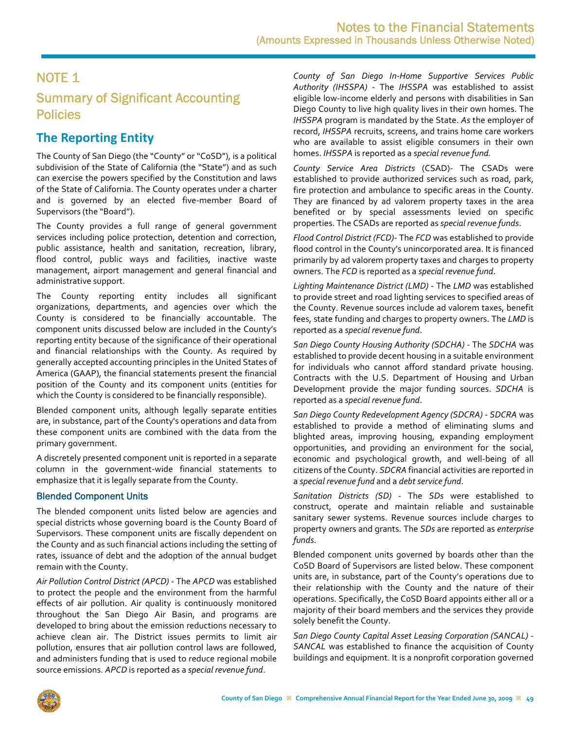# <span id="page-2-0"></span>Summary of Significant Accounting Policies

# **The Reporting Entity**

The County of San Diego (the "County" or "CoSD"), is a political subdivision of the State of California (the "State") and as such can exercise the powers specified by the Constitution and laws of the State of California. The County operates under a charter and is governed by an elected five-member Board of Supervisors (the "Board").

The County provides a full range of general government services including police protection, detention and correction, public assistance, health and sanitation, recreation, library, flood control, public ways and facilities, inactive waste management, airport management and general financial and administrative support.

The County reporting entity includes all significant organizations, departments, and agencies over which the County is considered to be financially accountable. The component units discussed below are included in the County's reporting entity because of the significance of their operational and financial relationships with the County. As required by generally accepted accounting principles in the United States of America (GAAP), the financial statements present the financial position of the County and its component units (entities for which the County is considered to be financially responsible).

Blended component units, although legally separate entities are, in substance, part of the County's operations and data from these component units are combined with the data from the primary government.

A discretely presented component unit is reported in a separate column in the government‐wide financial statements to emphasize that it is legally separate from the County.

### Blended Component Units

The blended component units listed below are agencies and special districts whose governing board is the County Board of Supervisors. These component units are fiscally dependent on the County and as such financial actions including the setting of rates, issuance of debt and the adoption of the annual budget remain with the County.

*Air Pollution Control District (APCD)* ‐ The *APCD* was established to protect the people and the environment from the harmful effects of air pollution. Air quality is continuously monitored throughout the San Diego Air Basin, and programs are developed to bring about the emission reductions necessary to achieve clean air. The District issues permits to limit air pollution, ensures that air pollution control laws are followed, and administers funding that is used to reduce regional mobile source emissions. *APCD* is reported as a *special revenue fund*.

*County of San Diego In‐Home Supportive Services Public Authority (IHSSPA)* ‐ The *IHSSPA* was established to assist eligible low‐income elderly and persons with disabilities in San Diego County to live high quality lives in their own homes. The *IHSSPA* program is mandated by the State. *As* the employer of record, *IHSSPA* recruits, screens, and trains home care workers who are available to assist eligible consumers in their own homes. *IHSSPA* is reported as a *special revenue fund.*

*County Service Area Districts* (CSAD)‐ The CSADs were established to provide authorized services such as road, park, fire protection and ambulance to specific areas in the County. They are financed by ad valorem property taxes in the area benefited or by special assessments levied on specific properties. The CSADs are reported as *special revenue funds*.

*Flood Control District (FCD)*‐ The *FCD* was established to provide flood control in the County's unincorporated area. It is financed primarily by ad valorem property taxes and charges to property owners. The *FCD* is reported as a *special revenue fund*.

*Lighting Maintenance District (LMD)* ‐ The *LMD* was established to provide street and road lighting services to specified areas of the County. Revenue sources include ad valorem taxes, benefit fees, state funding and charges to property owners. The *LMD* is reported as a *special revenue fund*.

*San Diego County Housing Authority (SDCHA)* ‐ The *SDCHA* was established to provide decent housing in a suitable environment for individuals who cannot afford standard private housing. Contracts with the U.S. Department of Housing and Urban Development provide the major funding sources. *SDCHA* is reported as a *special revenue fund*.

*San Diego County Redevelopment Agency (SDCRA)* ‐ *SDCRA* was established to provide a method of eliminating slums and blighted areas, improving housing, expanding employment opportunities, and providing an environment for the social, economic and psychological growth, and well‐being of all citizens of the County. *SDCRA* financial activities are reported in a *special revenue fund* and a *debt service fund*.

*Sanitation Districts (SD)* ‐ The *SDs* were established to construct, operate and maintain reliable and sustainable sanitary sewer systems. Revenue sources include charges to property owners and grants. The *SDs* are reported as *enterprise funds*.

Blended component units governed by boards other than the CoSD Board of Supervisors are listed below. These component units are, in substance, part of the County's operations due to their relationship with the County and the nature of their operations. Specifically, the CoSD Board appoints either all or a majority of their board members and the services they provide solely benefit the County.

*San Diego County Capital Asset Leasing Corporation (SANCAL)* ‐ *SANCAL* was established to finance the acquisition of County buildings and equipment. It is a nonprofit corporation governed

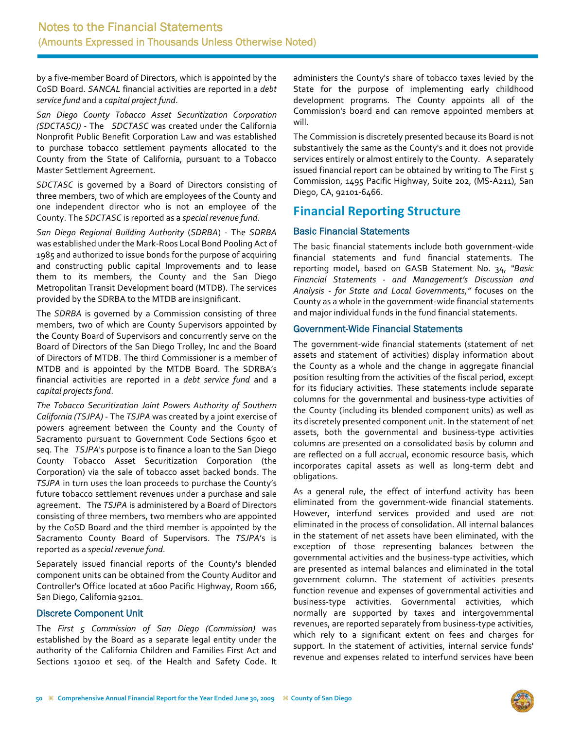by a five‐member Board of Directors, which is appointed by the CoSD Board. *SANCAL* financial activities are reported in a *debt service fund* and a *capital project fund*.

*San Diego County Tobacco Asset Securitization Corporation (SDCTASC))* ‐ The *SDCTASC* was created under the California Nonprofit Public Benefit Corporation Law and was established to purchase tobacco settlement payments allocated to the County from the State of California, pursuant to a Tobacco Master Settlement Agreement.

*SDCTASC* is governed by a Board of Directors consisting of three members, two of which are employees of the County and one independent director who is not an employee of the County. The *SDCTASC* is reported as a *special revenue fund*.

*San Diego Regional Building Authority* (*SDRBA*) ‐ The *SDRBA* was established under the Mark‐Roos Local Bond Pooling Act of 1985 and authorized to issue bonds for the purpose of acquiring and constructing public capital Improvements and to lease them to its members, the County and the San Diego Metropolitan Transit Development board (MTDB). The services provided by the SDRBA to the MTDB are insignificant.

The *SDRBA* is governed by a Commission consisting of three members, two of which are County Supervisors appointed by the County Board of Supervisors and concurrently serve on the Board of Directors of the San Diego Trolley, Inc and the Board of Directors of MTDB. The third Commissioner is a member of MTDB and is appointed by the MTDB Board. The SDRBA's financial activities are reported in a *debt service fund* and a *capital projectsfund*.

*The Tobacco Securitization Joint Powers Authority of Southern California (TSJPA)* ‐ The *TSJPA* was created by a joint exercise of powers agreement between the County and the County of Sacramento pursuant to Government Code Sections 6500 et seq. The *TSJPA*'s purpose is to finance a loan to the San Diego County Tobacco Asset Securitization Corporation (the Corporation) via the sale of tobacco asset backed bonds. The *TSJPA* in turn uses the loan proceeds to purchase the County's future tobacco settlement revenues under a purchase and sale agreement. The *TSJPA* is administered by a Board of Directors consisting of three members, two members who are appointed by the CoSD Board and the third member is appointed by the Sacramento County Board of Supervisors. The *TSJPA*'s is reported as a *special revenue fund*.

Separately issued financial reports of the County's blended component units can be obtained from the County Auditor and Controller's Office located at 1600 Pacific Highway, Room 166, San Diego, California 92101.

### Discrete Component Unit

The *First 5 Commission of San Diego (Commission)* was established by the Board as a separate legal entity under the authority of the California Children and Families First Act and Sections 130100 et seq. of the Health and Safety Code. It administers the County's share of tobacco taxes levied by the State for the purpose of implementing early childhood development programs. The County appoints all of the Commission's board and can remove appointed members at will.

The Commission is discretely presented because its Board is not substantively the same as the County's and it does not provide services entirely or almost entirely to the County. A separately issued financial report can be obtained by writing to The First 5 Commission, 1495 Pacific Highway, Suite 202, (MS‐A211), San Diego, CA, 92101‐6466.

## **Financial Reporting Structure**

### Basic Financial Statements

The basic financial statements include both government‐wide financial statements and fund financial statements. The reporting model, based on GASB Statement No. 34, *"Basic Financial Statements ‐ and Management's Discussion and Analysis ‐ for State and Local Governments,"* focuses on the County as a whole in the government‐wide financial statements and major individual funds in the fund financial statements.

### Government-Wide Financial Statements

The government‐wide financial statements (statement of net assets and statement of activities) display information about the County as a whole and the change in aggregate financial position resulting from the activities of the fiscal period, except for its fiduciary activities. These statements include separate columns for the governmental and business‐type activities of the County (including its blended component units) as well as its discretely presented component unit. In the statement of net assets, both the governmental and business‐type activities columns are presented on a consolidated basis by column and are reflected on a full accrual, economic resource basis, which incorporates capital assets as well as long‐term debt and obligations.

As a general rule, the effect of interfund activity has been eliminated from the government‐wide financial statements. However, interfund services provided and used are not eliminated in the process of consolidation. All internal balances in the statement of net assets have been eliminated, with the exception of those representing balances between the governmental activities and the business‐type activities, which are presented as internal balances and eliminated in the total government column. The statement of activities presents function revenue and expenses of governmental activities and business‐type activities. Governmental activities, which normally are supported by taxes and intergovernmental revenues, are reported separately from business-type activities, which rely to a significant extent on fees and charges for support. In the statement of activities, internal service funds' revenue and expenses related to interfund services have been

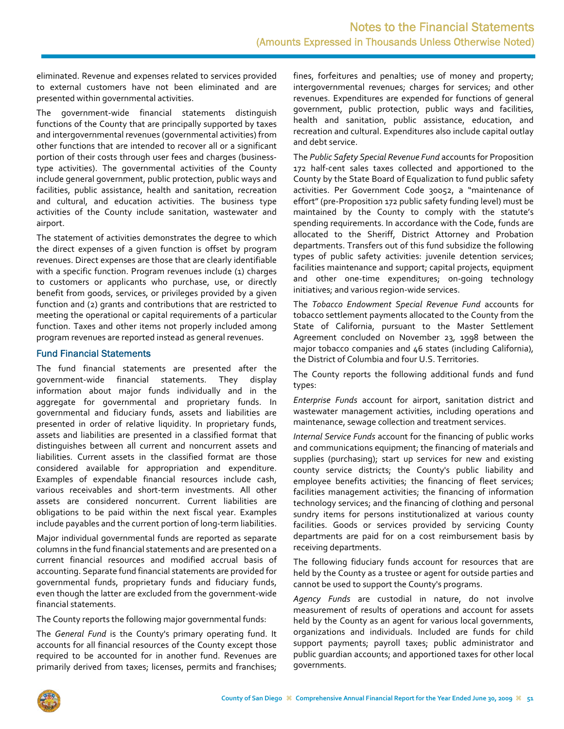eliminated. Revenue and expenses related to services provided to external customers have not been eliminated and are presented within governmental activities.

The government‐wide financial statements distinguish functions of the County that are principally supported by taxes and intergovernmental revenues (governmental activities) from other functions that are intended to recover all or a significant portion of their costs through user fees and charges (business‐ type activities). The governmental activities of the County include general government, public protection, public ways and facilities, public assistance, health and sanitation, recreation and cultural, and education activities. The business type activities of the County include sanitation, wastewater and airport.

The statement of activities demonstrates the degree to which the direct expenses of a given function is offset by program revenues. Direct expenses are those that are clearly identifiable with a specific function. Program revenues include (1) charges to customers or applicants who purchase, use, or directly benefit from goods, services, or privileges provided by a given function and (2) grants and contributions that are restricted to meeting the operational or capital requirements of a particular function. Taxes and other items not properly included among program revenues are reported instead as general revenues.

#### Fund Financial Statements

The fund financial statements are presented after the government‐wide financial statements. They display information about major funds individually and in the aggregate for governmental and proprietary funds. In governmental and fiduciary funds, assets and liabilities are presented in order of relative liquidity. In proprietary funds, assets and liabilities are presented in a classified format that distinguishes between all current and noncurrent assets and liabilities. Current assets in the classified format are those considered available for appropriation and expenditure. Examples of expendable financial resources include cash, various receivables and short‐term investments. All other assets are considered noncurrent. Current liabilities are obligations to be paid within the next fiscal year. Examples include payables and the current portion of long‐term liabilities.

Major individual governmental funds are reported as separate columns in the fund financial statements and are presented on a current financial resources and modified accrual basis of accounting. Separate fund financial statements are provided for governmental funds, proprietary funds and fiduciary funds, even though the latter are excluded from the government‐wide financial statements.

The County reports the following major governmental funds:

The *General Fund* is the County's primary operating fund. It accounts for all financial resources of the County except those required to be accounted for in another fund. Revenues are primarily derived from taxes; licenses, permits and franchises; fines, forfeitures and penalties; use of money and property; intergovernmental revenues; charges for services; and other revenues. Expenditures are expended for functions of general government, public protection, public ways and facilities, health and sanitation, public assistance, education, and recreation and cultural. Expenditures also include capital outlay and debt service.

The *Public Safety Special Revenue Fund* accounts for Proposition 172 half-cent sales taxes collected and apportioned to the County by the State Board of Equalization to fund public safety activities. Per Government Code 30052, a "maintenance of effort" (pre‐Proposition 172 public safety funding level) must be maintained by the County to comply with the statute's spending requirements. In accordance with the Code, funds are allocated to the Sheriff, District Attorney and Probation departments. Transfers out of this fund subsidize the following types of public safety activities: juvenile detention services; facilities maintenance and support; capital projects, equipment and other one-time expenditures; on-going technology initiatives; and various region‐wide services.

The *Tobacco Endowment Special Revenue Fund* accounts for tobacco settlement payments allocated to the County from the State of California, pursuant to the Master Settlement Agreement concluded on November 23, 1998 between the major tobacco companies and 46 states (including California), the District of Columbia and four U.S. Territories.

The County reports the following additional funds and fund types:

*Enterprise Funds* account for airport, sanitation district and wastewater management activities, including operations and maintenance, sewage collection and treatment services.

*Internal Service Funds* account for the financing of public works and communications equipment; the financing of materials and supplies (purchasing); start up services for new and existing county service districts; the County's public liability and employee benefits activities; the financing of fleet services; facilities management activities; the financing of information technology services; and the financing of clothing and personal sundry items for persons institutionalized at various county facilities. Goods or services provided by servicing County departments are paid for on a cost reimbursement basis by receiving departments.

The following fiduciary funds account for resources that are held by the County as a trustee or agent for outside parties and cannot be used to support the County's programs.

*Agency Funds* are custodial in nature, do not involve measurement of results of operations and account for assets held by the County as an agent for various local governments, organizations and individuals. Included are funds for child support payments; payroll taxes; public administrator and public guardian accounts; and apportioned taxes for other local governments.

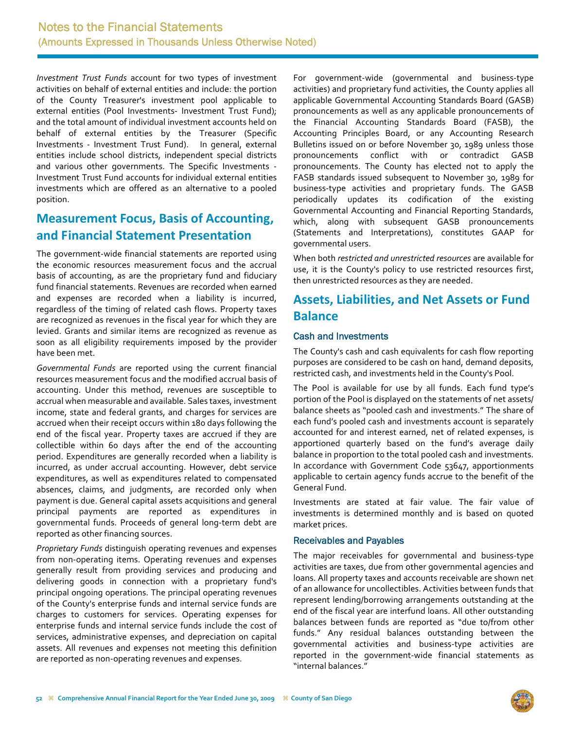*Investment Trust Funds* account for two types of investment activities on behalf of external entities and include: the portion of the County Treasurer's investment pool applicable to external entities (Pool Investments- Investment Trust Fund); and the total amount of individual investment accounts held on behalf of external entities by the Treasurer (Specific Investments ‐ Investment Trust Fund). In general, external entities include school districts, independent special districts and various other governments. The Specific Investments ‐ Investment Trust Fund accounts for individual external entities investments which are offered as an alternative to a pooled position.

## **Measurement Focus, Basis of Accounting, and Financial Statement Presentation**

The government‐wide financial statements are reported using the economic resources measurement focus and the accrual basis of accounting, as are the proprietary fund and fiduciary fund financial statements. Revenues are recorded when earned and expenses are recorded when a liability is incurred, regardless of the timing of related cash flows. Property taxes are recognized as revenues in the fiscal year for which they are levied. Grants and similar items are recognized as revenue as soon as all eligibility requirements imposed by the provider have been met.

*Governmental Funds* are reported using the current financial resources measurement focus and the modified accrual basis of accounting. Under this method, revenues are susceptible to accrual when measurable and available. Sales taxes, investment income, state and federal grants, and charges for services are accrued when their receipt occurs within 180 days following the end of the fiscal year. Property taxes are accrued if they are collectible within 60 days after the end of the accounting period. Expenditures are generally recorded when a liability is incurred, as under accrual accounting. However, debt service expenditures, as well as expenditures related to compensated absences, claims, and judgments, are recorded only when payment is due. General capital assets acquisitions and general principal payments are reported as expenditures in governmental funds. Proceeds of general long‐term debt are reported as other financing sources.

*Proprietary Funds* distinguish operating revenues and expenses from non‐operating items. Operating revenues and expenses generally result from providing services and producing and delivering goods in connection with a proprietary fund's principal ongoing operations. The principal operating revenues of the County's enterprise funds and internal service funds are charges to customers for services. Operating expenses for enterprise funds and internal service funds include the cost of services, administrative expenses, and depreciation on capital assets. All revenues and expenses not meeting this definition are reported as non‐operating revenues and expenses.

For government‐wide (governmental and business‐type activities) and proprietary fund activities, the County applies all applicable Governmental Accounting Standards Board (GASB) pronouncements as well as any applicable pronouncements of the Financial Accounting Standards Board (FASB), the Accounting Principles Board, or any Accounting Research Bulletins issued on or before November 30, 1989 unless those pronouncements conflict with or contradict GASB pronouncements. The County has elected not to apply the FASB standards issued subsequent to November 30, 1989 for business‐type activities and proprietary funds. The GASB periodically updates its codification of the existing Governmental Accounting and Financial Reporting Standards, which, along with subsequent GASB pronouncements (Statements and Interpretations), constitutes GAAP for governmental users.

When both *restricted and unrestricted resources* are available for use, it is the County's policy to use restricted resources first, then unrestricted resources as they are needed.

## **Assets, Liabilities, and Net Assets or Fund Balance**

### Cash and Investments

The County's cash and cash equivalents for cash flow reporting purposes are considered to be cash on hand, demand deposits, restricted cash, and investments held in the County's Pool.

The Pool is available for use by all funds. Each fund type's portion of the Pool is displayed on the statements of net assets/ balance sheets as "pooled cash and investments." The share of each fund's pooled cash and investments account is separately accounted for and interest earned, net of related expenses, is apportioned quarterly based on the fund's average daily balance in proportion to the total pooled cash and investments. In accordance with Government Code 53647, apportionments applicable to certain agency funds accrue to the benefit of the General Fund.

Investments are stated at fair value. The fair value of investments is determined monthly and is based on quoted market prices.

### Receivables and Payables

The major receivables for governmental and business-type activities are taxes, due from other governmental agencies and loans. All property taxes and accounts receivable are shown net of an allowance for uncollectibles. Activities between funds that represent lending/borrowing arrangements outstanding at the end of the fiscal year are interfund loans. All other outstanding balances between funds are reported as "due to/from other funds." Any residual balances outstanding between the governmental activities and business‐type activities are reported in the government‐wide financial statements as "internal balances."

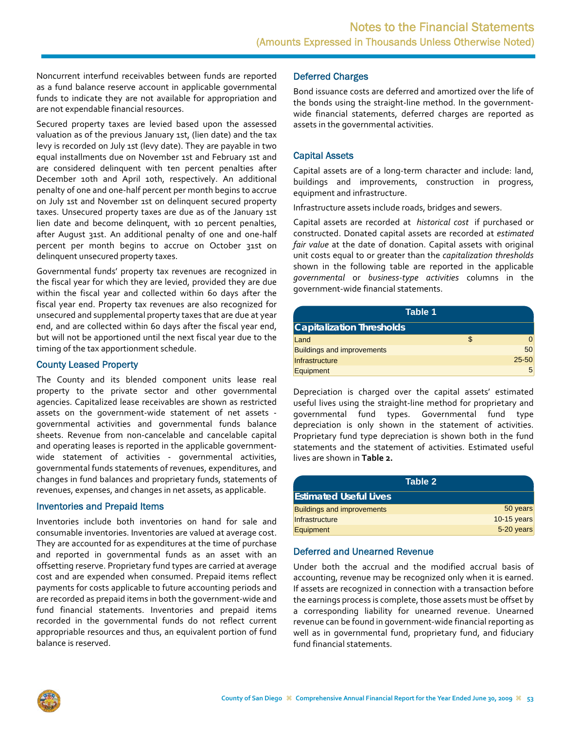Noncurrent interfund receivables between funds are reported as a fund balance reserve account in applicable governmental funds to indicate they are not available for appropriation and are not expendable financial resources.

Secured property taxes are levied based upon the assessed valuation as of the previous January 1st, (lien date) and the tax levy is recorded on July 1st (levy date). They are payable in two equal installments due on November 1st and February 1st and are considered delinquent with ten percent penalties after December 10th and April 10th, respectively. An additional penalty of one and one‐half percent per month begins to accrue on July 1st and November 1st on delinquent secured property taxes. Unsecured property taxes are due as of the January 1st lien date and become delinquent, with 10 percent penalties, after August 31st. An additional penalty of one and one‐half percent per month begins to accrue on October 31st on delinquent unsecured property taxes.

Governmental funds' property tax revenues are recognized in the fiscal year for which they are levied, provided they are due within the fiscal year and collected within 60 days after the fiscal year end. Property tax revenues are also recognized for unsecured and supplemental property taxes that are due at year end, and are collected within 60 days after the fiscal year end, but will not be apportioned until the next fiscal year due to the timing of the tax apportionment schedule.

#### County Leased Property

The County and its blended component units lease real property to the private sector and other governmental agencies. Capitalized lease receivables are shown as restricted assets on the government‐wide statement of net assets ‐ governmental activities and governmental funds balance sheets. Revenue from non‐cancelable and cancelable capital and operating leases is reported in the applicable governmentwide statement of activities - governmental activities, governmental funds statements of revenues, expenditures, and changes in fund balances and proprietary funds, statements of revenues, expenses, and changes in net assets, as applicable.

#### Inventories and Prepaid Items

Inventories include both inventories on hand for sale and consumable inventories. Inventories are valued at average cost. They are accounted for as expenditures at the time of purchase and reported in governmental funds as an asset with an offsetting reserve. Proprietary fund types are carried at average cost and are expended when consumed. Prepaid items reflect payments for costs applicable to future accounting periods and are recorded as prepaid items in both the government‐wide and fund financial statements. Inventories and prepaid items recorded in the governmental funds do not reflect current appropriable resources and thus, an equivalent portion of fund balance is reserved.

### Deferred Charges

Bond issuance costs are deferred and amortized over the life of the bonds using the straight‐line method. In the government‐ wide financial statements, deferred charges are reported as assets in the governmental activities.

### Capital Assets

Capital assets are of a long‐term character and include: land, buildings and improvements, construction in progress, equipment and infrastructure.

Infrastructure assets include roads, bridges and sewers.

Capital assets are recorded at *historical cost* if purchased or constructed. Donated capital assets are recorded at *estimated fair value* at the date of donation. Capital assets with original unit costs equal to or greater than the *capitalization thresholds* shown in the following table are reported in the applicable *governmental* or *business‐type activities* columns in the government‐wide financial statements.

| Table 1                           |           |
|-----------------------------------|-----------|
| <b>Capitalization Thresholds</b>  |           |
| Land                              |           |
| <b>Buildings and improvements</b> | 50        |
| Infrastructure                    | $25 - 50$ |
| Equipment                         | 5         |

Depreciation is charged over the capital assets' estimated useful lives using the straight‐line method for proprietary and governmental fund types. Governmental fund type depreciation is only shown in the statement of activities. Proprietary fund type depreciation is shown both in the fund statements and the statement of activities. Estimated useful lives are shown in **Table 2.**

| Table 2'                          |             |
|-----------------------------------|-------------|
| <b>Estimated Useful Lives</b>     |             |
| <b>Buildings and improvements</b> | 50 years    |
| Infrastructure                    | 10-15 years |
| Equipment                         | 5-20 years  |

#### Deferred and Unearned Revenue

Under both the accrual and the modified accrual basis of accounting, revenue may be recognized only when it is earned. If assets are recognized in connection with a transaction before the earnings process is complete, those assets must be offset by a corresponding liability for unearned revenue. Unearned revenue can be found in government‐wide financial reporting as well as in governmental fund, proprietary fund, and fiduciary fund financial statements.

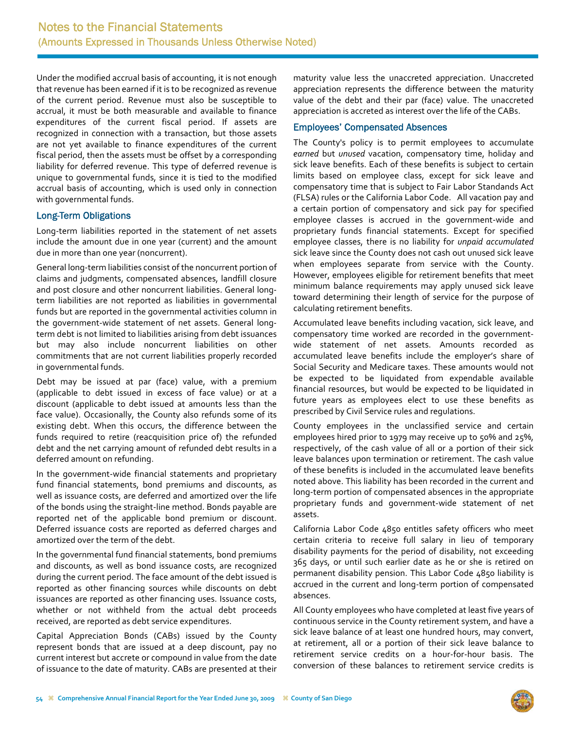Under the modified accrual basis of accounting, it is not enough that revenue has been earned if it is to be recognized as revenue of the current period. Revenue must also be susceptible to accrual, it must be both measurable and available to finance expenditures of the current fiscal period. If assets are recognized in connection with a transaction, but those assets are not yet available to finance expenditures of the current fiscal period, then the assets must be offset by a corresponding liability for deferred revenue. This type of deferred revenue is unique to governmental funds, since it is tied to the modified accrual basis of accounting, which is used only in connection with governmental funds.

### Long-Term Obligations

Long‐term liabilities reported in the statement of net assets include the amount due in one year (current) and the amount due in more than one year (noncurrent).

General long‐term liabilities consist of the noncurrent portion of claims and judgments, compensated absences, landfill closure and post closure and other noncurrent liabilities. General long‐ term liabilities are not reported as liabilities in governmental funds but are reported in the governmental activities column in the government‐wide statement of net assets. General long‐ term debt is not limited to liabilities arising from debt issuances but may also include noncurrent liabilities on other commitments that are not current liabilities properly recorded in governmental funds.

Debt may be issued at par (face) value, with a premium (applicable to debt issued in excess of face value) or at a discount (applicable to debt issued at amounts less than the face value). Occasionally, the County also refunds some of its existing debt. When this occurs, the difference between the funds required to retire (reacquisition price of) the refunded debt and the net carrying amount of refunded debt results in a deferred amount on refunding.

In the government‐wide financial statements and proprietary fund financial statements, bond premiums and discounts, as well as issuance costs, are deferred and amortized over the life of the bonds using the straight‐line method. Bonds payable are reported net of the applicable bond premium or discount. Deferred issuance costs are reported as deferred charges and amortized over the term of the debt.

In the governmental fund financial statements, bond premiums and discounts, as well as bond issuance costs, are recognized during the current period. The face amount of the debt issued is reported as other financing sources while discounts on debt issuances are reported as other financing uses. Issuance costs, whether or not withheld from the actual debt proceeds received, are reported as debt service expenditures.

Capital Appreciation Bonds (CABs) issued by the County represent bonds that are issued at a deep discount, pay no current interest but accrete or compound in value from the date of issuance to the date of maturity. CABs are presented at their maturity value less the unaccreted appreciation. Unaccreted appreciation represents the difference between the maturity value of the debt and their par (face) value. The unaccreted appreciation is accreted as interest over the life of the CABs.

#### Employees' Compensated Absences

The County's policy is to permit employees to accumulate *earned* but *unused* vacation, compensatory time, holiday and sick leave benefits. Each of these benefits is subject to certain limits based on employee class, except for sick leave and compensatory time that is subject to Fair Labor Standands Act (FLSA) rules or the California Labor Code. All vacation pay and a certain portion of compensatory and sick pay for specified employee classes is accrued in the government‐wide and proprietary funds financial statements. Except for specified employee classes, there is no liability for *unpaid accumulated* sick leave since the County does not cash out unused sick leave when employees separate from service with the County. However, employees eligible for retirement benefits that meet minimum balance requirements may apply unused sick leave toward determining their length of service for the purpose of calculating retirement benefits.

Accumulated leave benefits including vacation, sick leave, and compensatory time worked are recorded in the government‐ wide statement of net assets. Amounts recorded as accumulated leave benefits include the employer's share of Social Security and Medicare taxes. These amounts would not be expected to be liquidated from expendable available financial resources, but would be expected to be liquidated in future years as employees elect to use these benefits as prescribed by Civil Service rules and regulations.

County employees in the unclassified service and certain employees hired prior to 1979 may receive up to 50% and 25%, respectively, of the cash value of all or a portion of their sick leave balances upon termination or retirement. The cash value of these benefits is included in the accumulated leave benefits noted above. This liability has been recorded in the current and long‐term portion of compensated absences in the appropriate proprietary funds and government‐wide statement of net assets.

California Labor Code 4850 entitles safety officers who meet certain criteria to receive full salary in lieu of temporary disability payments for the period of disability, not exceeding 365 days, or until such earlier date as he or she is retired on permanent disability pension. This Labor Code 4850 liability is accrued in the current and long‐term portion of compensated absences.

All County employees who have completed at least five years of continuous service in the County retirement system, and have a sick leave balance of at least one hundred hours, may convert, at retirement, all or a portion of their sick leave balance to retirement service credits on a hour‐for‐hour basis. The conversion of these balances to retirement service credits is

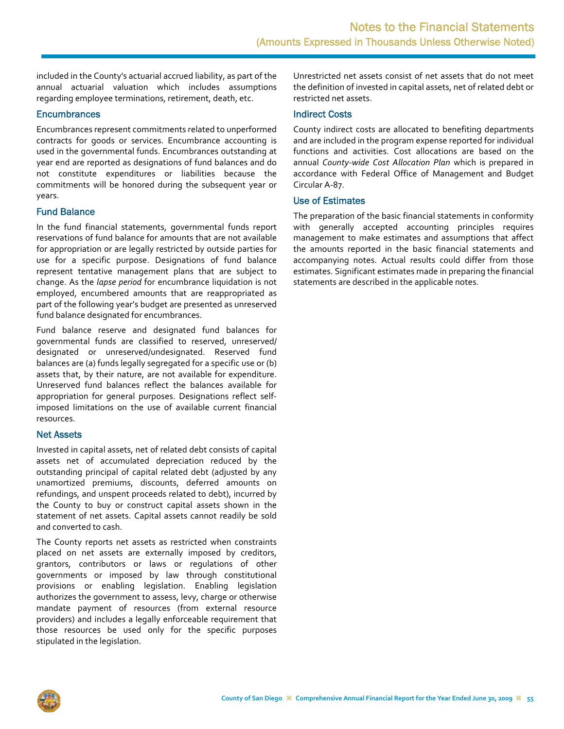included in the County's actuarial accrued liability, as part of the annual actuarial valuation which includes assumptions regarding employee terminations, retirement, death, etc.

#### **Encumbrances**

Encumbrances represent commitments related to unperformed contracts for goods or services. Encumbrance accounting is used in the governmental funds. Encumbrances outstanding at year end are reported as designations of fund balances and do not constitute expenditures or liabilities because the commitments will be honored during the subsequent year or years.

#### Fund Balance

In the fund financial statements, governmental funds report reservations of fund balance for amounts that are not available for appropriation or are legally restricted by outside parties for use for a specific purpose. Designations of fund balance represent tentative management plans that are subject to change. As the *lapse period* for encumbrance liquidation is not employed, encumbered amounts that are reappropriated as part of the following year's budget are presented as unreserved fund balance designated for encumbrances.

Fund balance reserve and designated fund balances for governmental funds are classified to reserved, unreserved/ designated or unreserved/undesignated. Reserved fund balances are (a) funds legally segregated for a specific use or (b) assets that, by their nature, are not available for expenditure. Unreserved fund balances reflect the balances available for appropriation for general purposes. Designations reflect self‐ imposed limitations on the use of available current financial resources.

#### Net Assets

Invested in capital assets, net of related debt consists of capital assets net of accumulated depreciation reduced by the outstanding principal of capital related debt (adjusted by any unamortized premiums, discounts, deferred amounts on refundings, and unspent proceeds related to debt), incurred by the County to buy or construct capital assets shown in the statement of net assets. Capital assets cannot readily be sold and converted to cash.

The County reports net assets as restricted when constraints placed on net assets are externally imposed by creditors, grantors, contributors or laws or regulations of other governments or imposed by law through constitutional provisions or enabling legislation. Enabling legislation authorizes the government to assess, levy, charge or otherwise mandate payment of resources (from external resource providers) and includes a legally enforceable requirement that those resources be used only for the specific purposes stipulated in the legislation.

Unrestricted net assets consist of net assets that do not meet the definition of invested in capital assets, net of related debt or restricted net assets.

#### Indirect Costs

County indirect costs are allocated to benefiting departments and are included in the program expense reported for individual functions and activities. Cost allocations are based on the annual *County‐wide Cost Allocation Plan* which is prepared in accordance with Federal Office of Management and Budget Circular A‐87.

#### Use of Estimates

The preparation of the basic financial statements in conformity with generally accepted accounting principles requires management to make estimates and assumptions that affect the amounts reported in the basic financial statements and accompanying notes. Actual results could differ from those estimates. Significant estimates made in preparing the financial statements are described in the applicable notes.

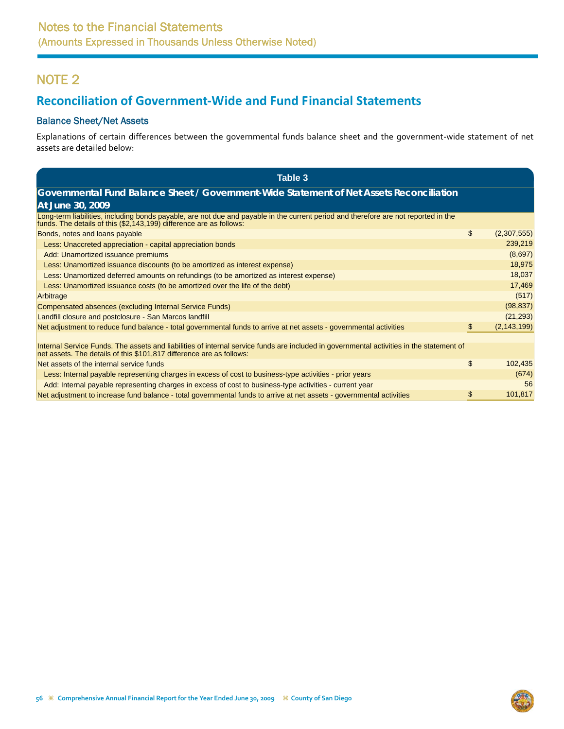# <span id="page-9-0"></span>**Reconciliation of Government‐Wide and Fund Financial Statements**

### Balance Sheet/Net Assets

Explanations of certain differences between the governmental funds balance sheet and the government‐wide statement of net assets are detailed below:

| Table 3                                                                                                                                                                                                          |                     |
|------------------------------------------------------------------------------------------------------------------------------------------------------------------------------------------------------------------|---------------------|
| Governmental Fund Balance Sheet / Government-Wide Statement of Net Assets Reconciliation                                                                                                                         |                     |
| At June 30, 2009                                                                                                                                                                                                 |                     |
| Long-term liabilities, including bonds payable, are not due and payable in the current period and therefore are not reported in the<br>funds. The details of this (\$2,143,199) difference are as follows:       |                     |
| Bonds, notes and loans payable                                                                                                                                                                                   | \$<br>(2,307,555)   |
| Less: Unaccreted appreciation - capital appreciation bonds                                                                                                                                                       | 239,219             |
| Add: Unamortized issuance premiums                                                                                                                                                                               | (8,697)             |
| Less: Unamortized issuance discounts (to be amortized as interest expense)                                                                                                                                       | 18,975              |
| Less: Unamortized deferred amounts on refundings (to be amortized as interest expense)                                                                                                                           | 18,037              |
| Less: Unamortized issuance costs (to be amortized over the life of the debt)                                                                                                                                     | 17,469              |
| Arbitrage                                                                                                                                                                                                        | (517)               |
| Compensated absences (excluding Internal Service Funds)                                                                                                                                                          | (98, 837)           |
| Landfill closure and postclosure - San Marcos landfill                                                                                                                                                           | (21, 293)           |
| Net adjustment to reduce fund balance - total governmental funds to arrive at net assets - governmental activities                                                                                               | \$<br>(2, 143, 199) |
|                                                                                                                                                                                                                  |                     |
| Internal Service Funds. The assets and liabilities of internal service funds are included in governmental activities in the statement of<br>net assets. The details of this \$101,817 difference are as follows: |                     |
| Net assets of the internal service funds                                                                                                                                                                         | \$<br>102,435       |
| Less: Internal payable representing charges in excess of cost to business-type activities - prior years                                                                                                          | (674)               |
| Add: Internal payable representing charges in excess of cost to business-type activities - current year                                                                                                          | 56                  |
| Net adjustment to increase fund balance - total governmental funds to arrive at net assets - governmental activities                                                                                             | \$<br>101,817       |

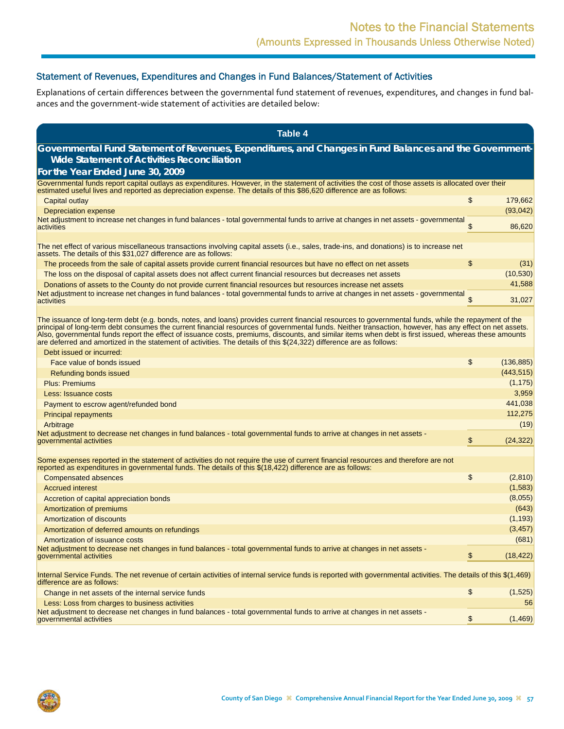### Statement of Revenues, Expenditures and Changes in Fund Balances/Statement of Activities

Explanations of certain differences between the governmental fund statement of revenues, expenditures, and changes in fund balances and the government‐wide statement of activities are detailed below:

| <b>Table 4</b>                                                                                                                                                                                                                                                                                                                                                                                                                                                                                                                                                                                                               |                  |
|------------------------------------------------------------------------------------------------------------------------------------------------------------------------------------------------------------------------------------------------------------------------------------------------------------------------------------------------------------------------------------------------------------------------------------------------------------------------------------------------------------------------------------------------------------------------------------------------------------------------------|------------------|
| Governmental Fund Statement of Revenues, Expenditures, and Changes in Fund Balances and the Government-                                                                                                                                                                                                                                                                                                                                                                                                                                                                                                                      |                  |
| <b>Wide Statement of Activities Reconciliation</b>                                                                                                                                                                                                                                                                                                                                                                                                                                                                                                                                                                           |                  |
| For the Year Ended June 30, 2009                                                                                                                                                                                                                                                                                                                                                                                                                                                                                                                                                                                             |                  |
| Governmental funds report capital outlays as expenditures. However, in the statement of activities the cost of those assets is allocated over their<br>estimated useful lives and reported as depreciation expense. The details of this \$86,620 difference are as follows:                                                                                                                                                                                                                                                                                                                                                  |                  |
| Capital outlay                                                                                                                                                                                                                                                                                                                                                                                                                                                                                                                                                                                                               | \$<br>179,662    |
| Depreciation expense                                                                                                                                                                                                                                                                                                                                                                                                                                                                                                                                                                                                         | (93, 042)        |
| Net adjustment to increase net changes in fund balances - total governmental funds to arrive at changes in net assets - governmental<br>activities                                                                                                                                                                                                                                                                                                                                                                                                                                                                           | \$<br>86,620     |
|                                                                                                                                                                                                                                                                                                                                                                                                                                                                                                                                                                                                                              |                  |
| The net effect of various miscellaneous transactions involving capital assets (i.e., sales, trade-ins, and donations) is to increase net<br>assets. The details of this \$31,027 difference are as follows:                                                                                                                                                                                                                                                                                                                                                                                                                  |                  |
| The proceeds from the sale of capital assets provide current financial resources but have no effect on net assets                                                                                                                                                                                                                                                                                                                                                                                                                                                                                                            | \$<br>(31)       |
| The loss on the disposal of capital assets does not affect current financial resources but decreases net assets                                                                                                                                                                                                                                                                                                                                                                                                                                                                                                              | (10, 530)        |
| Donations of assets to the County do not provide current financial resources but resources increase net assets                                                                                                                                                                                                                                                                                                                                                                                                                                                                                                               | 41,588           |
| Net adjustment to increase net changes in fund balances - total governmental funds to arrive at changes in net assets - governmental<br>activities                                                                                                                                                                                                                                                                                                                                                                                                                                                                           | \$<br>31,027     |
| The issuance of long-term debt (e.g. bonds, notes, and loans) provides current financial resources to governmental funds, while the repayment of the<br>principal of long-term debt consumes the current financial resources of governmental funds. Neither transaction, however, has any effect on net assets.<br>Also, governmental funds report the effect of issuance costs, premiums, discounts, and similar items when debt is first issued, whereas these amounts<br>are deferred and amortized in the statement of activities. The details of this \$(24,322) difference are as follows:<br>Debt issued or incurred: |                  |
| Face value of bonds issued                                                                                                                                                                                                                                                                                                                                                                                                                                                                                                                                                                                                   | \$<br>(136, 885) |
| Refunding bonds issued                                                                                                                                                                                                                                                                                                                                                                                                                                                                                                                                                                                                       | (443, 515)       |
| <b>Plus: Premiums</b>                                                                                                                                                                                                                                                                                                                                                                                                                                                                                                                                                                                                        | (1, 175)         |
| Less: Issuance costs                                                                                                                                                                                                                                                                                                                                                                                                                                                                                                                                                                                                         | 3,959            |
| Payment to escrow agent/refunded bond                                                                                                                                                                                                                                                                                                                                                                                                                                                                                                                                                                                        | 441,038          |
| <b>Principal repayments</b>                                                                                                                                                                                                                                                                                                                                                                                                                                                                                                                                                                                                  | 112,275          |
| Arbitrage                                                                                                                                                                                                                                                                                                                                                                                                                                                                                                                                                                                                                    | (19)             |
| Net adjustment to decrease net changes in fund balances - total governmental funds to arrive at changes in net assets -<br>governmental activities                                                                                                                                                                                                                                                                                                                                                                                                                                                                           | \$<br>(24, 322)  |
| Some expenses reported in the statement of activities do not require the use of current financial resources and therefore are not                                                                                                                                                                                                                                                                                                                                                                                                                                                                                            |                  |
| reported as expenditures in governmental funds. The details of this \$(18,422) difference are as follows:                                                                                                                                                                                                                                                                                                                                                                                                                                                                                                                    |                  |
| <b>Compensated absences</b>                                                                                                                                                                                                                                                                                                                                                                                                                                                                                                                                                                                                  | \$<br>(2,810)    |
| <b>Accrued interest</b>                                                                                                                                                                                                                                                                                                                                                                                                                                                                                                                                                                                                      | (1,583)          |
| Accretion of capital appreciation bonds                                                                                                                                                                                                                                                                                                                                                                                                                                                                                                                                                                                      | (8,055)          |
| Amortization of premiums                                                                                                                                                                                                                                                                                                                                                                                                                                                                                                                                                                                                     | (643)            |
| Amortization of discounts                                                                                                                                                                                                                                                                                                                                                                                                                                                                                                                                                                                                    | (1, 193)         |
| Amortization of deferred amounts on refundings                                                                                                                                                                                                                                                                                                                                                                                                                                                                                                                                                                               | (3, 457)         |
| Amortization of issuance costs                                                                                                                                                                                                                                                                                                                                                                                                                                                                                                                                                                                               | (681)            |
| Net adjustment to decrease net changes in fund balances - total governmental funds to arrive at changes in net assets -<br>governmental activities                                                                                                                                                                                                                                                                                                                                                                                                                                                                           | \$<br>(18, 422)  |
| Internal Service Funds. The net revenue of certain activities of internal service funds is reported with governmental activities. The details of this \$(1,469)<br>difference are as follows:                                                                                                                                                                                                                                                                                                                                                                                                                                |                  |
| Change in net assets of the internal service funds                                                                                                                                                                                                                                                                                                                                                                                                                                                                                                                                                                           | \$<br>(1,525)    |
| Less: Loss from charges to business activities                                                                                                                                                                                                                                                                                                                                                                                                                                                                                                                                                                               | 56               |
| Net adjustment to decrease net changes in fund balances - total governmental funds to arrive at changes in net assets -<br>governmental activities                                                                                                                                                                                                                                                                                                                                                                                                                                                                           | \$<br>(1,469)    |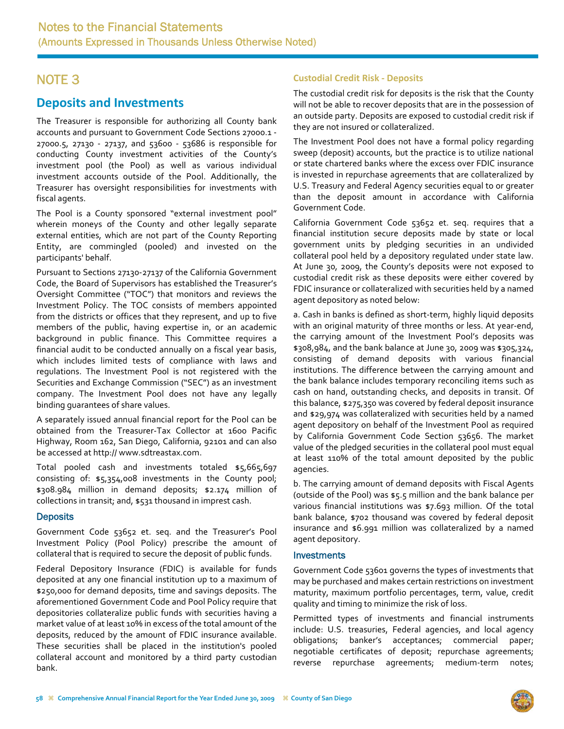## <span id="page-11-0"></span>**Deposits and Investments**

The Treasurer is responsible for authorizing all County bank accounts and pursuant to Government Code Sections 27000.1 ‐ 27000.5, 27130 ‐ 27137, and 53600 ‐ 53686 is responsible for conducting County investment activities of the County's investment pool (the Pool) as well as various individual investment accounts outside of the Pool. Additionally, the Treasurer has oversight responsibilities for investments with fiscal agents.

The Pool is a County sponsored "external investment pool" wherein moneys of the County and other legally separate external entities, which are not part of the County Reporting Entity, are commingled (pooled) and invested on the participants' behalf.

Pursuant to Sections 27130‐27137 of the California Government Code, the Board of Supervisors has established the Treasurer's Oversight Committee ("TOC") that monitors and reviews the Investment Policy. The TOC consists of members appointed from the districts or offices that they represent, and up to five members of the public, having expertise in, or an academic background in public finance. This Committee requires a financial audit to be conducted annually on a fiscal year basis, which includes limited tests of compliance with laws and regulations. The Investment Pool is not registered with the Securities and Exchange Commission ("SEC") as an investment company. The Investment Pool does not have any legally binding guarantees of share values.

A separately issued annual financial report for the Pool can be obtained from the Treasurer‐Tax Collector at 1600 Pacific Highway, Room 162, San Diego, California, 92101 and can also be accessed at http:// www.sdtreastax.com.

Total pooled cash and investments totaled \$5,665,697 consisting of: \$5,354,008 investments in the County pool; \$308.984 million in demand deposits; \$2.174 million of collections in transit; and, \$531 thousand in imprest cash.

### **Deposits**

Government Code 53652 et. seq. and the Treasurer's Pool Investment Policy (Pool Policy) prescribe the amount of collateral that is required to secure the deposit of public funds.

Federal Depository Insurance (FDIC) is available for funds deposited at any one financial institution up to a maximum of \$250,000 for demand deposits, time and savings deposits. The aforementioned Government Code and Pool Policy require that depositories collateralize public funds with securities having a market value of at least 10% in excess of the total amount of the deposits, reduced by the amount of FDIC insurance available. These securities shall be placed in the institution's pooled collateral account and monitored by a third party custodian bank.

### **Custodial Credit Risk ‐ Deposits**

The custodial credit risk for deposits is the risk that the County will not be able to recover deposits that are in the possession of an outside party. Deposits are exposed to custodial credit risk if they are not insured or collateralized.

The Investment Pool does not have a formal policy regarding sweep (deposit) accounts, but the practice is to utilize national or state chartered banks where the excess over FDIC insurance is invested in repurchase agreements that are collateralized by U.S. Treasury and Federal Agency securities equal to or greater than the deposit amount in accordance with California Government Code.

California Government Code 53652 et. seq. requires that a financial institution secure deposits made by state or local government units by pledging securities in an undivided collateral pool held by a depository regulated under state law. At June 30, 2009, the County's deposits were not exposed to custodial credit risk as these deposits were either covered by FDIC insurance or collateralized with securities held by a named agent depository as noted below:

a. Cash in banks is defined as short‐term, highly liquid deposits with an original maturity of three months or less. At year-end, the carrying amount of the Investment Pool's deposits was \$308,984, and the bank balance at June 30, 2009 was \$305,324, consisting of demand deposits with various financial institutions. The difference between the carrying amount and the bank balance includes temporary reconciling items such as cash on hand, outstanding checks, and deposits in transit. Of this balance, \$275,350 was covered by federal deposit insurance and \$29,974 was collateralized with securities held by a named agent depository on behalf of the Investment Pool as required by California Government Code Section 53656. The market value of the pledged securities in the collateral pool must equal at least 110% of the total amount deposited by the public agencies.

b. The carrying amount of demand deposits with Fiscal Agents (outside of the Pool) was \$5.5 million and the bank balance per various financial institutions was \$7.693 million. Of the total bank balance, \$702 thousand was covered by federal deposit insurance and \$6.991 million was collateralized by a named agent depository.

#### **Investments**

Government Code 53601 governs the types of investments that may be purchased and makes certain restrictions on investment maturity, maximum portfolio percentages, term, value, credit quality and timing to minimize the risk of loss.

Permitted types of investments and financial instruments include: U.S. treasuries, Federal agencies, and local agency obligations; banker's acceptances; commercial paper; negotiable certificates of deposit; repurchase agreements; reverse repurchase agreements; medium‐term notes;

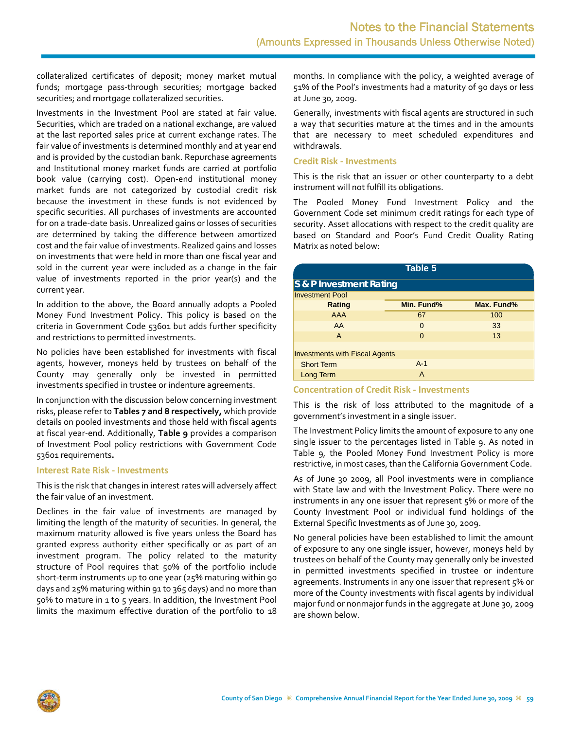collateralized certificates of deposit; money market mutual funds; mortgage pass‐through securities; mortgage backed securities; and mortgage collateralized securities.

Investments in the Investment Pool are stated at fair value. Securities, which are traded on a national exchange, are valued at the last reported sales price at current exchange rates. The fair value of investments is determined monthly and at year end and is provided by the custodian bank. Repurchase agreements and Institutional money market funds are carried at portfolio book value (carrying cost). Open‐end institutional money market funds are not categorized by custodial credit risk because the investment in these funds is not evidenced by specific securities. All purchases of investments are accounted for on a trade‐date basis. Unrealized gains or losses of securities are determined by taking the difference between amortized cost and the fair value of investments. Realized gains and losses on investments that were held in more than one fiscal year and sold in the current year were included as a change in the fair value of investments reported in the prior year(s) and the current year.

In addition to the above, the Board annually adopts a Pooled Money Fund Investment Policy. This policy is based on the criteria in Government Code 53601 but adds further specificity and restrictions to permitted investments.

No policies have been established for investments with fiscal agents, however, moneys held by trustees on behalf of the County may generally only be invested in permitted investments specified in trustee or indenture agreements.

In conjunction with the discussion below concerning investment risks, please refer to **Tables 7 and 8 respectively,** which provide details on pooled investments and those held with fiscal agents at fiscal year‐end. Additionally, **Table 9** provides a comparison of Investment Pool policy restrictions with Government Code 53601 requirements**.**

#### **Interest Rate Risk ‐ Investments**

This is the risk that changes in interest rates will adversely affect the fair value of an investment.

Declines in the fair value of investments are managed by limiting the length of the maturity of securities. In general, the maximum maturity allowed is five years unless the Board has granted express authority either specifically or as part of an investment program. The policy related to the maturity structure of Pool requires that 50% of the portfolio include short-term instruments up to one year (25% maturing within 90 days and 25% maturing within 91 to 365 days) and no more than 50% to mature in 1 to 5 years. In addition, the Investment Pool limits the maximum effective duration of the portfolio to 18 months. In compliance with the policy, a weighted average of 51% of the Pool's investments had a maturity of 90 days or less at June 30, 2009.

Generally, investments with fiscal agents are structured in such a way that securities mature at the times and in the amounts that are necessary to meet scheduled expenditures and withdrawals.

#### **Credit Risk ‐ Investments**

This is the risk that an issuer or other counterparty to a debt instrument will not fulfill its obligations.

The Pooled Money Fund Investment Policy and the Government Code set minimum credit ratings for each type of security. Asset allocations with respect to the credit quality are based on Standard and Poor's Fund Credit Quality Rating Matrix as noted below:

| Table 5                               |            |            |  |  |  |  |  |  |
|---------------------------------------|------------|------------|--|--|--|--|--|--|
| S & P Investment Rating               |            |            |  |  |  |  |  |  |
| <b>Investment Pool</b>                |            |            |  |  |  |  |  |  |
| Rating                                | Min. Fund% | Max. Fund% |  |  |  |  |  |  |
| <b>AAA</b>                            | 67         | 100        |  |  |  |  |  |  |
| AA                                    | $\Omega$   | 33         |  |  |  |  |  |  |
| $\mathsf{A}$                          | $\Omega$   | 13         |  |  |  |  |  |  |
|                                       |            |            |  |  |  |  |  |  |
| <b>Investments with Fiscal Agents</b> |            |            |  |  |  |  |  |  |
| <b>Short Term</b>                     | $A-1$      |            |  |  |  |  |  |  |
| <b>Long Term</b>                      | A          |            |  |  |  |  |  |  |

#### **Concentration of Credit Risk ‐ Investments**

This is the risk of loss attributed to the magnitude of a government's investment in a single issuer.

The Investment Policy limits the amount of exposure to any one single issuer to the percentages listed in Table 9. As noted in Table 9, the Pooled Money Fund Investment Policy is more restrictive, in most cases, than the California Government Code.

As of June 30 2009, all Pool investments were in compliance with State law and with the Investment Policy. There were no instruments in any one issuer that represent 5% or more of the County Investment Pool or individual fund holdings of the External Specific Investments as of June 30, 2009.

No general policies have been established to limit the amount of exposure to any one single issuer, however, moneys held by trustees on behalf of the County may generally only be invested in permitted investments specified in trustee or indenture agreements. Instruments in any one issuer that represent 5% or more of the County investments with fiscal agents by individual major fund or nonmajor funds in the aggregate at June 30, 2009 are shown below.

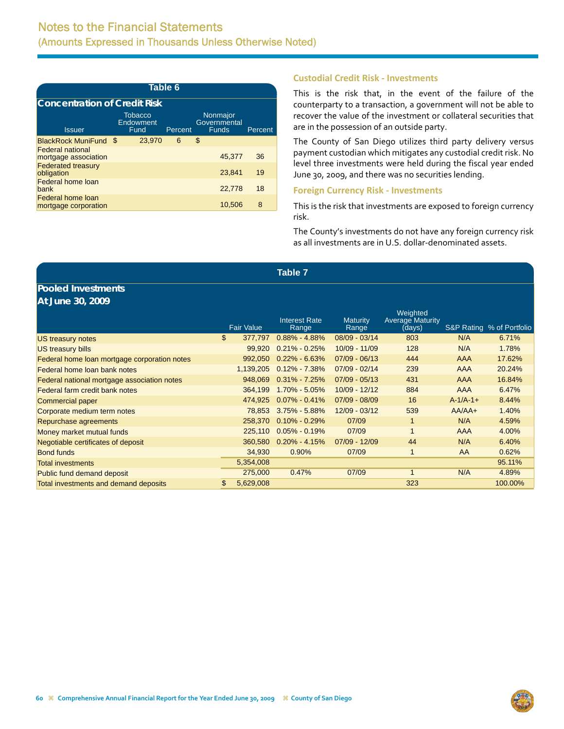| Table 6                                          |                                     |         |                                          |         |  |  |  |  |  |  |
|--------------------------------------------------|-------------------------------------|---------|------------------------------------------|---------|--|--|--|--|--|--|
| <b>Concentration of Credit Risk</b>              |                                     |         |                                          |         |  |  |  |  |  |  |
| <b>Issuer</b>                                    | <b>Tobacco</b><br>Endowment<br>Fund | Percent | Nonmajor<br>Governmental<br><b>Funds</b> | Percent |  |  |  |  |  |  |
| BlackRock MuniFund \$                            | 23,970                              | 6       | \$                                       |         |  |  |  |  |  |  |
| <b>Federal national</b><br>mortgage association  |                                     |         | 45.377                                   | 36      |  |  |  |  |  |  |
| <b>Federated treasury</b><br>obligation          |                                     |         | 23.841                                   | 19      |  |  |  |  |  |  |
| <b>Federal home loan</b><br>bank                 |                                     |         | 22,778                                   | 18      |  |  |  |  |  |  |
| <b>Federal home loan</b><br>mortgage corporation |                                     |         | 10.506                                   | 8       |  |  |  |  |  |  |

#### **Custodial Credit Risk ‐ Investments**

This is the risk that, in the event of the failure of the counterparty to a transaction, a government will not be able to recover the value of the investment or collateral securities that are in the possession of an outside party.

The County of San Diego utilizes third party delivery versus payment custodian which mitigates any custodial credit risk. No level three investments were held during the fiscal year ended June 30, 2009, and there was no securities lending.

#### **Foreign Currency Risk ‐ Investments**

This is the risk that investments are exposed to foreign currency risk.

The County's investments do not have any foreign currency risk as all investments are in U.S. dollar‐denominated assets.

|                                              |                   | Table 7                       |                   |                                   |                 |                           |
|----------------------------------------------|-------------------|-------------------------------|-------------------|-----------------------------------|-----------------|---------------------------|
| <b>Pooled Investments</b>                    |                   |                               |                   |                                   |                 |                           |
| At June 30, 2009                             |                   |                               |                   |                                   |                 |                           |
|                                              |                   |                               |                   | Weighted                          |                 |                           |
|                                              | <b>Fair Value</b> | <b>Interest Rate</b><br>Range | Maturity<br>Range | <b>Average Maturity</b><br>(days) |                 | S&P Rating % of Portfolio |
| US treasury notes                            | \$<br>377,797     | $0.88\% - 4.88\%$             | $08/09 - 03/14$   | 803                               | N/A             | 6.71%                     |
| <b>US treasury bills</b>                     | 99.920            | $0.21\% - 0.25\%$             | 10/09 - 11/09     | 128                               | N/A             | 1.78%                     |
| Federal home loan mortgage corporation notes | 992,050           | $0.22\% - 6.63\%$             | $07/09 - 06/13$   | 444                               | AAA             | 17.62%                    |
| Federal home loan bank notes                 | 1,139,205         | $0.12\% - 7.38\%$             | $07/09 - 02/14$   | 239                               | <b>AAA</b>      | 20.24%                    |
| Federal national mortgage association notes  | 948,069           | $0.31\% - 7.25\%$             | $07/09 - 05/13$   | 431                               | <b>AAA</b>      | 16.84%                    |
| Federal farm credit bank notes               | 364,199           | 1.70% - 5.05%                 | $10/09 - 12/12$   | 884                               | <b>AAA</b>      | 6.47%                     |
| <b>Commercial paper</b>                      | 474,925           | $0.07\% - 0.41\%$             | 07/09 - 08/09     | 16                                | $A - 1/A - 1 +$ | 8.44%                     |
| Corporate medium term notes                  | 78,853            | $3.75\% - 5.88\%$             | 12/09 - 03/12     | 539                               | $AA/AA+$        | 1.40%                     |
| Repurchase agreements                        | 258,370           | $0.10\% - 0.29\%$             | 07/09             | 1                                 | N/A             | 4.59%                     |
| Money market mutual funds                    | 225,110           | $0.05\% - 0.19\%$             | 07/09             |                                   | <b>AAA</b>      | 4.00%                     |
| Negotiable certificates of deposit           | 360,580           | $0.20\% - 4.15\%$             | 07/09 - 12/09     | 44                                | N/A             | 6.40%                     |
| <b>Bond funds</b>                            | 34,930            | 0.90%                         | 07/09             |                                   | AA              | 0.62%                     |
| <b>Total investments</b>                     | 5,354,008         |                               |                   |                                   |                 | 95.11%                    |
| Public fund demand deposit                   | 275,000           | 0.47%                         | 07/09             |                                   | N/A             | 4.89%                     |
| Total investments and demand deposits        | \$<br>5,629,008   |                               |                   | 323                               |                 | 100.00%                   |

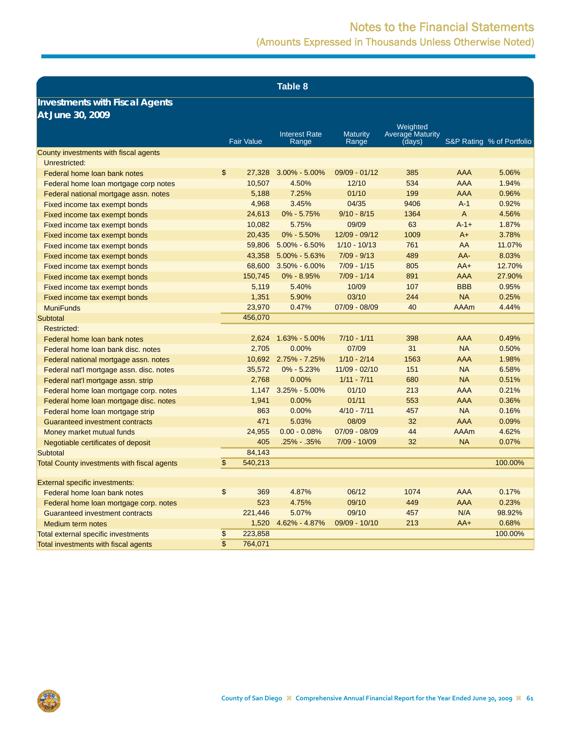**Table 8**

### **Investments with Fiscal Agents At June 30, 2009**

|                                             |                         | <b>Fair Value</b> | <b>Interest Rate</b><br>Range | <b>Maturity</b><br>Range | Weighted<br><b>Average Maturity</b><br>(days) |             | S&P Rating % of Portfolio |
|---------------------------------------------|-------------------------|-------------------|-------------------------------|--------------------------|-----------------------------------------------|-------------|---------------------------|
| County investments with fiscal agents       |                         |                   |                               |                          |                                               |             |                           |
| Unrestricted:                               |                         |                   |                               |                          |                                               |             |                           |
| Federal home loan bank notes                | $\mathfrak{s}$          | 27,328            | $3.00\% - 5.00\%$             | $09/09 - 01/12$          | 385                                           | <b>AAA</b>  | 5.06%                     |
| Federal home loan mortgage corp notes       |                         | 10,507            | 4.50%                         | 12/10                    | 534                                           | <b>AAA</b>  | 1.94%                     |
| Federal national mortgage assn. notes       |                         | 5,188             | 7.25%                         | 01/10                    | 199                                           | <b>AAA</b>  | 0.96%                     |
| Fixed income tax exempt bonds               |                         | 4,968             | 3.45%                         | 04/35                    | 9406                                          | $A-1$       | 0.92%                     |
| Fixed income tax exempt bonds               |                         | 24,613            | $0\% - 5.75\%$                | $9/10 - 8/15$            | 1364                                          | A           | 4.56%                     |
| Fixed income tax exempt bonds               |                         | 10,082            | 5.75%                         | 09/09                    | 63                                            | $A - 1 +$   | 1.87%                     |
| Fixed income tax exempt bonds               |                         | 20,435            | $0\% - 5.50\%$                | 12/09 - 09/12            | 1009                                          | $A+$        | 3.78%                     |
| Fixed income tax exempt bonds               |                         | 59,806            | $5.00\% - 6.50\%$             | $1/10 - 10/13$           | 761                                           | AA          | 11.07%                    |
| Fixed income tax exempt bonds               |                         | 43,358            | 5.00% - 5.63%                 | $7/09 - 9/13$            | 489                                           | AA-         | 8.03%                     |
| Fixed income tax exempt bonds               |                         | 68,600            | $3.50\% - 6.00\%$             | $7/09 - 1/15$            | 805                                           | $AA+$       | 12.70%                    |
| Fixed income tax exempt bonds               |                         | 150,745           | $0\% - 8.95\%$                | $7/09 - 1/14$            | 891                                           | <b>AAA</b>  | 27.90%                    |
| Fixed income tax exempt bonds               |                         | 5,119             | 5.40%                         | 10/09                    | 107                                           | <b>BBB</b>  | 0.95%                     |
| Fixed income tax exempt bonds               |                         | 1,351             | 5.90%                         | 03/10                    | 244                                           | <b>NA</b>   | 0.25%                     |
| <b>MuniFunds</b>                            |                         | 23,970            | 0.47%                         | 07/09 - 08/09            | 40                                            | <b>AAAm</b> | 4.44%                     |
| Subtotal                                    |                         | 456,070           |                               |                          |                                               |             |                           |
| <b>Restricted:</b>                          |                         |                   |                               |                          |                                               |             |                           |
| Federal home loan bank notes                |                         | 2,624             | 1.63% - 5.00%                 | $7/10 - 1/11$            | 398                                           | <b>AAA</b>  | 0.49%                     |
| Federal home loan bank disc, notes          |                         | 2,705             | 0.00%                         | 07/09                    | 31                                            | <b>NA</b>   | 0.50%                     |
| Federal national mortgage assn. notes       |                         |                   | 10,692 2.75% - 7.25%          | $1/10 - 2/14$            | 1563                                          | <b>AAA</b>  | 1.98%                     |
| Federal nat'l mortgage assn. disc. notes    |                         | 35,572            | $0\% - 5.23\%$                | $11/09 - 02/10$          | 151                                           | <b>NA</b>   | 6.58%                     |
| Federal nat'l mortgage assn. strip          |                         | 2,768             | 0.00%                         | $1/11 - 7/11$            | 680                                           | <b>NA</b>   | 0.51%                     |
| Federal home loan mortgage corp. notes      |                         | 1,147             | $3.25\% - 5.00\%$             | 01/10                    | 213                                           | <b>AAA</b>  | 0.21%                     |
| Federal home loan mortgage disc. notes      |                         | 1,941             | 0.00%                         | 01/11                    | 553                                           | <b>AAA</b>  | 0.36%                     |
| Federal home loan mortgage strip            |                         | 863               | 0.00%                         | $4/10 - 7/11$            | 457                                           | <b>NA</b>   | 0.16%                     |
| <b>Guaranteed investment contracts</b>      |                         | 471               | 5.03%                         | 08/09                    | 32                                            | <b>AAA</b>  | 0.09%                     |
| Money market mutual funds                   |                         | 24,955            | $0.00 - 0.08%$                | 07/09 - 08/09            | 44                                            | <b>AAAm</b> | 4.62%                     |
| Negotiable certificates of deposit          |                         | 405               | $.25\% - .35\%$               | 7/09 - 10/09             | 32                                            | <b>NA</b>   | 0.07%                     |
| Subtotal                                    |                         | 84,143            |                               |                          |                                               |             |                           |
| Total County investments with fiscal agents | \$                      | 540,213           |                               |                          |                                               |             | 100.00%                   |
|                                             |                         |                   |                               |                          |                                               |             |                           |
| External specific investments:              |                         |                   |                               |                          |                                               |             |                           |
| Federal home loan bank notes                | \$                      | 369               | 4.87%                         | 06/12                    | 1074                                          | <b>AAA</b>  | 0.17%                     |
| Federal home loan mortgage corp. notes      |                         | 523               | 4.75%                         | 09/10                    | 449                                           | <b>AAA</b>  | 0.23%                     |
| Guaranteed investment contracts             |                         | 221,446           | 5.07%                         | 09/10                    | 457                                           | N/A         | 98.92%                    |
| <b>Medium term notes</b>                    |                         | 1,520             | 4.62% - 4.87%                 | 09/09 - 10/10            | 213                                           | $AA+$       | 0.68%                     |
| Total external specific investments         | \$                      | 223,858           |                               |                          |                                               |             | 100.00%                   |
| Total investments with fiscal agents        | $\overline{\mathbb{S}}$ | 764,071           |                               |                          |                                               |             |                           |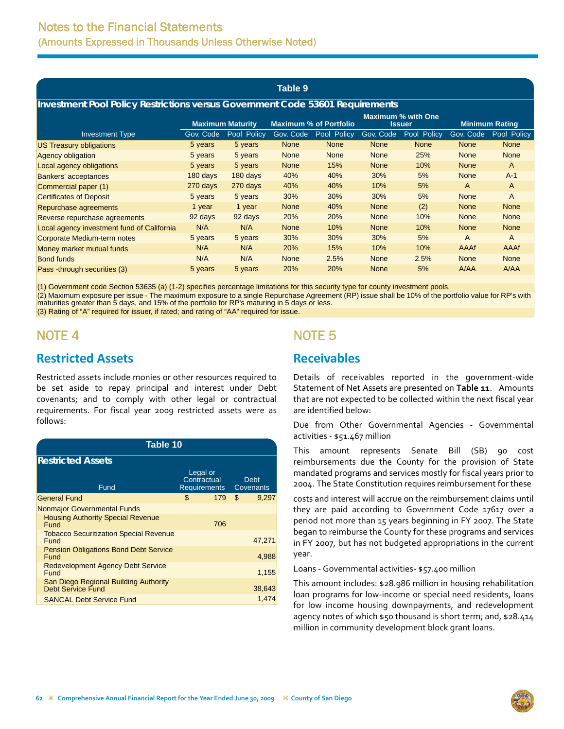#### **Table 9**

#### <span id="page-15-0"></span>**Investment Pool Policy Restrictions versus Government Code 53601 Requirements**

|                                            | <b>Maximum Maturity</b> |             | <b>Maximum % of Portfolio</b> |             |             | <b>Maximum % with One</b><br><b>Issuer</b> | <b>Minimum Rating</b> |             |  |
|--------------------------------------------|-------------------------|-------------|-------------------------------|-------------|-------------|--------------------------------------------|-----------------------|-------------|--|
| <b>Investment Type</b>                     | Gov. Code               | Pool Policy | Gov. Code                     | Pool Policy | Gov. Code   | Pool Policy                                | Gov. Code             | Pool Policy |  |
| <b>US Treasury obligations</b>             | 5 years                 | 5 years     | <b>None</b>                   | <b>None</b> | None        | <b>None</b>                                | <b>None</b>           | <b>None</b> |  |
| <b>Agency obligation</b>                   | 5 years                 | 5 years     | <b>None</b>                   | <b>None</b> | <b>None</b> | 25%                                        | <b>None</b>           | <b>None</b> |  |
| Local agency obligations                   | 5 years                 | 5 years     | <b>None</b>                   | 15%         | <b>None</b> | 10%                                        | <b>None</b>           | A           |  |
| <b>Bankers' acceptances</b>                | 180 days                | 180 days    | 40%                           | 40%         | 30%         | 5%                                         | <b>None</b>           | $A-1$       |  |
| Commercial paper (1)                       | 270 days                | 270 days    | 40%                           | 40%         | 10%         | 5%                                         | A                     | A           |  |
| <b>Certificates of Deposit</b>             | 5 years                 | 5 years     | 30%                           | 30%         | 30%         | 5%                                         | <b>None</b>           | A           |  |
| Repurchase agreements                      | 1 year                  | 1 year      | <b>None</b>                   | 40%         | <b>None</b> | (2)                                        | <b>None</b>           | <b>None</b> |  |
| Reverse repurchase agreements              | 92 days                 | 92 days     | 20%                           | 20%         | <b>None</b> | 10%                                        | <b>None</b>           | <b>None</b> |  |
| Local agency investment fund of California | N/A                     | N/A         | <b>None</b>                   | 10%         | None        | 10%                                        | <b>None</b>           | <b>None</b> |  |
| Corporate Medium-term notes                | 5 years                 | 5 years     | 30%                           | 30%         | 30%         | 5%                                         | A                     | A           |  |
| Money market mutual funds                  | N/A                     | N/A         | 20%                           | 15%         | 10%         | 10%                                        | AAAf                  | AAAf        |  |
| <b>Bond funds</b>                          | N/A                     | N/A         | <b>None</b>                   | 2.5%        | <b>None</b> | 2.5%                                       | <b>None</b>           | <b>None</b> |  |
| Pass -through securities (3)               | 5 years                 | 5 years     | 20%                           | 20%         | <b>None</b> | 5%                                         | A/AA                  | A/AA        |  |

(1) Government code Section 53635 (a) (1-2) specifies percentage limitations for this security type for county investment pools.

(2) Maximum exposure per issue - The maximum exposure to a single Repurchase Agreement (RP) issue shall be 10% of the portfolio value for RP's with maturities greater than 5 days, and 15% of the portfolio for RP's maturing in 5 days or less.

(3) Rating of "A" required for issuer, if rated; and rating of "AA" required for issue.

# NOTE 4

### **Restricted Assets**

Restricted assets include monies or other resources required to be set aside to repay principal and interest under Debt covenants; and to comply with other legal or contractual requirements. For fiscal year 2009 restricted assets were as follows:

| Table 10                                                   |                                         |     |    |                          |  |  |  |  |
|------------------------------------------------------------|-----------------------------------------|-----|----|--------------------------|--|--|--|--|
| <b>Restricted Assets</b>                                   |                                         |     |    |                          |  |  |  |  |
| Fund                                                       | Legal or<br>Contractual<br>Requirements |     |    | <b>Debt</b><br>Covenants |  |  |  |  |
| <b>General Fund</b>                                        | \$                                      | 179 | \$ | 9,297                    |  |  |  |  |
| Nonmajor Governmental Funds                                |                                         |     |    |                          |  |  |  |  |
| <b>Housing Authority Special Revenue</b><br>Fund           |                                         | 706 |    |                          |  |  |  |  |
| <b>Tobacco Securitization Special Revenue</b><br>Fund      |                                         |     |    | 47.271                   |  |  |  |  |
| <b>Pension Obligations Bond Debt Service</b><br>Fund       |                                         |     |    | 4,988                    |  |  |  |  |
| <b>Redevelopment Agency Debt Service</b><br>Fund           |                                         |     |    | 1,155                    |  |  |  |  |
| San Diego Regional Building Authority<br>Debt Service Fund |                                         |     |    | 38,643                   |  |  |  |  |
| <b>SANCAL Debt Service Fund</b>                            |                                         |     |    | 1.474                    |  |  |  |  |

## NOTE 5

## **Receivables**

Details of receivables reported in the government-wide Statement of Net Assets are presented on **Table 11**.Amounts that are not expected to be collected within the next fiscal year are identified below:

Due from Other Governmental Agencies ‐ Governmental activities ‐ \$51.467 million

This amount represents Senate Bill (SB) 90 cost reimbursements due the County for the provision of State mandated programs and services mostly for fiscal years prior to 2004. The State Constitution requires reimbursement for these

costs and interest will accrue on the reimbursement claims until they are paid according to Government Code 17617 over a period not more than 15 years beginning in FY 2007. The State began to reimburse the County for these programs and services in FY 2007, but has not budgeted appropriations in the current year.

Loans ‐ Governmental activities‐ \$57.400 million

This amount includes: \$28.986 million in housing rehabilitation loan programs for low‐income or special need residents, loans for low income housing downpayments, and redevelopment agency notes of which \$50 thousand is short term; and, \$28.414 million in community development block grant loans.

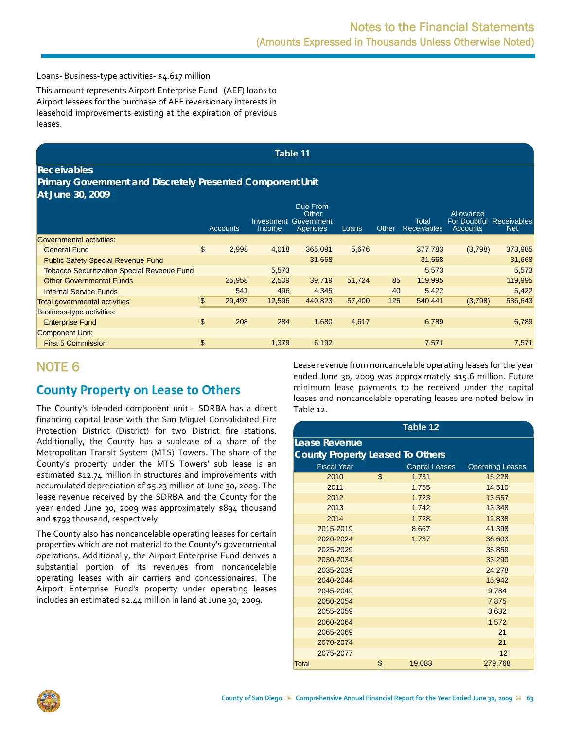<span id="page-16-0"></span>Loans‐ Business‐type activities‐ \$4.617 million

This amount represents Airport Enterprise Fund (AEF) loans to Airport lessees for the purchase of AEF reversionary interests in leasehold improvements existing at the expiration of previous leases.

#### **Table 11**

#### **Receivables**

#### **Primary Government and Discretely Presented Component Unit At June 30, 2009**

|                                                    | Accounts     | Investment<br>Income | Due From<br>Other<br>Government<br>Agencies | Loans  | Other | Total<br><b>Receivables</b> | Allowance<br>For Doubtful Receivables<br><b>Accounts</b> | <b>Net</b> |
|----------------------------------------------------|--------------|----------------------|---------------------------------------------|--------|-------|-----------------------------|----------------------------------------------------------|------------|
| Governmental activities:                           |              |                      |                                             |        |       |                             |                                                          |            |
| <b>General Fund</b>                                | \$<br>2,998  | 4,018                | 365.091                                     | 5,676  |       | 377,783                     | (3,798)                                                  | 373,985    |
| <b>Public Safety Special Revenue Fund</b>          |              |                      | 31.668                                      |        |       | 31,668                      |                                                          | 31,668     |
| <b>Tobacco Securitization Special Revenue Fund</b> |              | 5,573                |                                             |        |       | 5,573                       |                                                          | 5,573      |
| <b>Other Governmental Funds</b>                    | 25,958       | 2,509                | 39,719                                      | 51.724 | 85    | 119,995                     |                                                          | 119,995    |
| <b>Internal Service Funds</b>                      | 541          | 496                  | 4,345                                       |        | 40    | 5,422                       |                                                          | 5,422      |
| <b>Total governmental activities</b>               | \$<br>29.497 | 12,596               | 440.823                                     | 57.400 | 125   | 540,441                     | (3,798)                                                  | 536,643    |
| Business-type activities:                          |              |                      |                                             |        |       |                             |                                                          |            |
| <b>Enterprise Fund</b>                             | \$<br>208    | 284                  | 1,680                                       | 4,617  |       | 6,789                       |                                                          | 6,789      |
| <b>Component Unit:</b>                             |              |                      |                                             |        |       |                             |                                                          |            |
| <b>First 5 Commission</b>                          | \$           | 1,379                | 6,192                                       |        |       | 7,571                       |                                                          | 7,571      |

## NOTE 6

## **County Property on Lease to Others**

The County's blended component unit - SDRBA has a direct financing capital lease with the San Miguel Consolidated Fire Protection District (District) for two District fire stations. Additionally, the County has a sublease of a share of the Metropolitan Transit System (MTS) Towers. The share of the County's property under the MTS Towers' sub lease is an estimated \$12.74 million in structures and improvements with accumulated depreciation of \$5.23 million at June 30, 2009. The lease revenue received by the SDRBA and the County for the year ended June 30, 2009 was approximately \$894 thousand and \$793 thousand, respectively.

The County also has noncancelable operating leases for certain properties which are not material to the County's governmental operations. Additionally, the Airport Enterprise Fund derives a substantial portion of its revenues from noncancelable operating leases with air carriers and concessionaires. The Airport Enterprise Fund's property under operating leases includes an estimated \$2.44 million in land at June 30, 2009.

Lease revenue from noncancelable operating leases for the year ended June 30, 2009 was approximately \$15.6 million. Future minimum lease payments to be received under the capital leases and noncancelable operating leases are noted below in Table 12.

|                                         |                    | Table 12       |                         |  |  |  |  |  |  |  |
|-----------------------------------------|--------------------|----------------|-------------------------|--|--|--|--|--|--|--|
| Lease Revenue                           |                    |                |                         |  |  |  |  |  |  |  |
| <b>County Property Leased To Others</b> |                    |                |                         |  |  |  |  |  |  |  |
| <b>Fiscal Year</b>                      |                    | Capital Leases | <b>Operating Leases</b> |  |  |  |  |  |  |  |
| 2010                                    | $\mathbf{\hat{z}}$ | 1,731          | 15,228                  |  |  |  |  |  |  |  |
| 2011                                    |                    | 1,755          | 14,510                  |  |  |  |  |  |  |  |
| 2012                                    |                    | 1,723          | 13,557                  |  |  |  |  |  |  |  |
| 2013                                    |                    | 1,742          | 13,348                  |  |  |  |  |  |  |  |
| 2014                                    |                    | 1,728          | 12,838                  |  |  |  |  |  |  |  |
| 2015-2019                               |                    | 8,667          | 41,398                  |  |  |  |  |  |  |  |
| 2020-2024                               |                    | 1,737          | 36,603                  |  |  |  |  |  |  |  |
| 2025-2029                               |                    |                | 35,859                  |  |  |  |  |  |  |  |
| 2030-2034                               |                    |                | 33,290                  |  |  |  |  |  |  |  |
| 2035-2039                               |                    |                | 24,278                  |  |  |  |  |  |  |  |
| 2040-2044                               |                    |                | 15,942                  |  |  |  |  |  |  |  |
| 2045-2049                               |                    |                | 9,784                   |  |  |  |  |  |  |  |
| 2050-2054                               |                    |                | 7,875                   |  |  |  |  |  |  |  |
| 2055-2059                               |                    |                | 3,632                   |  |  |  |  |  |  |  |
| 2060-2064                               |                    |                | 1,572                   |  |  |  |  |  |  |  |
| 2065-2069                               |                    |                | 21                      |  |  |  |  |  |  |  |
| 2070-2074                               |                    |                | 21                      |  |  |  |  |  |  |  |
| 2075-2077                               |                    |                | 12                      |  |  |  |  |  |  |  |
| <b>Total</b>                            | \$                 | 19,083         | 279,768                 |  |  |  |  |  |  |  |

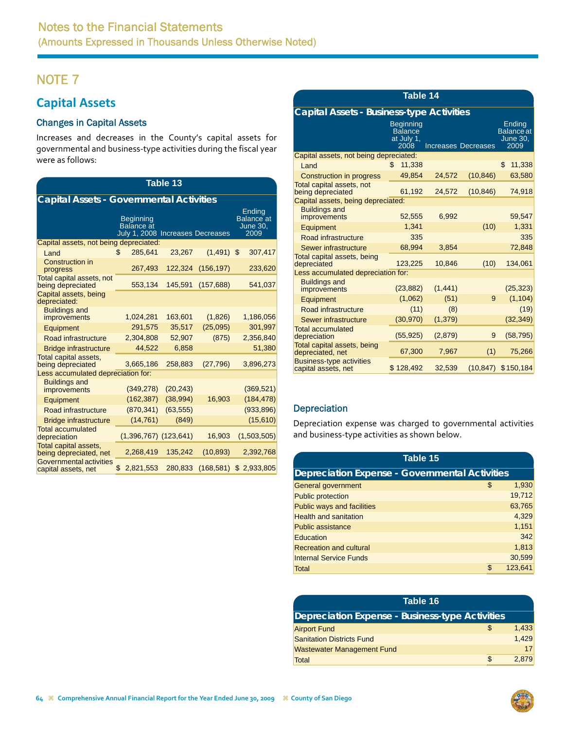# <span id="page-17-0"></span>**Capital Assets**

### Changes in Capital Assets

Increases and decreases in the County's capital assets for governmental and business‐type activities during the fiscal year were as follows:

| <b>Table 13</b>                                 |    |                                                        |           |            |    |             |  |  |  |  |
|-------------------------------------------------|----|--------------------------------------------------------|-----------|------------|----|-------------|--|--|--|--|
| <b>Capital Assets - Governmental Activities</b> |    |                                                        |           |            |    |             |  |  |  |  |
|                                                 |    | Ending<br><b>Balance</b> at<br><b>June 30,</b><br>2009 |           |            |    |             |  |  |  |  |
| Capital assets, not being depreciated:          |    |                                                        |           |            |    |             |  |  |  |  |
| Land                                            | \$ | 285.641                                                | 23.267    | (1, 491)   | \$ | 307,417     |  |  |  |  |
| Construction in<br>progress                     |    | 267,493                                                | 122,324   | (156, 197) |    | 233,620     |  |  |  |  |
| Total capital assets, not<br>being depreciated  |    | 553,134                                                | 145,591   | (157, 688) |    | 541,037     |  |  |  |  |
| Capital assets, being<br>depreciated:           |    |                                                        |           |            |    |             |  |  |  |  |
| <b>Buildings and</b><br>improvements            |    | 1,024,281                                              | 163,601   | (1,826)    |    | 1,186,056   |  |  |  |  |
| Equipment                                       |    | 291,575                                                | 35,517    | (25,095)   |    | 301,997     |  |  |  |  |
| Road infrastructure                             |    | 2,304,808                                              | 52,907    | (875)      |    | 2,356,840   |  |  |  |  |
| <b>Bridge infrastructure</b>                    |    | 44,522                                                 | 6,858     |            |    | 51,380      |  |  |  |  |
| Total capital assets,<br>being depreciated      |    | 3,665,186                                              | 258,883   | (27, 796)  |    | 3,896,273   |  |  |  |  |
| Less accumulated depreciation for:              |    |                                                        |           |            |    |             |  |  |  |  |
| <b>Buildings and</b><br>improvements            |    | (349, 278)                                             | (20, 243) |            |    | (369, 521)  |  |  |  |  |
| Equipment                                       |    | (162, 387)                                             | (38, 994) | 16,903     |    | (184, 478)  |  |  |  |  |
| Road infrastructure                             |    | (870, 341)                                             | (63, 555) |            |    | (933, 896)  |  |  |  |  |
| <b>Bridge infrastructure</b>                    |    | (14, 761)                                              | (849)     |            |    | (15,610)    |  |  |  |  |
| <b>Total accumulated</b><br>depreciation        |    | $(1,396,767)$ $(123,641)$                              |           | 16,903     |    | (1,503,505) |  |  |  |  |
| Total capital assets,<br>being depreciated, net |    | 2,268,419                                              | 135,242   | (10, 893)  |    | 2,392,768   |  |  |  |  |
| Governmental activities<br>capital assets, net  | \$ | 2,821,553                                              | 280,833   | (168, 581) | \$ | 2,933,805   |  |  |  |  |

### **Table 14**

### **Capital Assets - Business-type Activities**

|                                                        | <b>Beginning</b><br><b>Balance</b><br>at July 1,<br>2008 |          | <b>Increases Decreases</b> | Ending<br><b>Balance</b> at<br><b>June 30,</b><br>2009 |
|--------------------------------------------------------|----------------------------------------------------------|----------|----------------------------|--------------------------------------------------------|
| Capital assets, not being depreciated:                 |                                                          |          |                            |                                                        |
| Land                                                   | 11,338<br>\$                                             |          |                            | \$<br>11,338                                           |
| Construction in progress                               | 49.854                                                   | 24,572   | (10, 846)                  | 63,580                                                 |
| Total capital assets, not<br>being depreciated         | 61,192                                                   | 24,572   | (10, 846)                  | 74,918                                                 |
| Capital assets, being depreciated:                     |                                                          |          |                            |                                                        |
| <b>Buildings and</b><br>improvements                   | 52,555                                                   | 6,992    |                            | 59,547                                                 |
| Equipment                                              | 1.341                                                    |          | (10)                       | 1,331                                                  |
| Road infrastructure                                    | 335                                                      |          |                            | 335                                                    |
| <b>Sewer infrastructure</b>                            | 68,994                                                   | 3,854    |                            | 72,848                                                 |
| Total capital assets, being<br>depreciated             | 123,225                                                  | 10,846   | (10)                       | 134,061                                                |
| Less accumulated depreciation for:                     |                                                          |          |                            |                                                        |
| <b>Buildings and</b><br>improvements                   | (23, 882)                                                | (1, 441) |                            | (25, 323)                                              |
| Equipment                                              | (1,062)                                                  | (51)     | 9                          | (1, 104)                                               |
| Road infrastructure                                    | (11)                                                     | (8)      |                            | (19)                                                   |
| <b>Sewer infrastructure</b>                            | (30, 970)                                                | (1, 379) |                            | (32, 349)                                              |
| Total accumulated<br>depreciation                      | (55, 925)                                                | (2,879)  | 9                          | (58, 795)                                              |
| Total capital assets, being<br>depreciated, net        | 67,300                                                   | 7,967    | (1)                        | 75,266                                                 |
| <b>Business-type activities</b><br>capital assets, net | \$128,492                                                | 32,539   | (10, 847)                  | \$150,184                                              |

### **Depreciation**

Depreciation expense was charged to governmental activities and business‐type activities as shown below.

| Table 15                                              |    |         |  |  |  |  |
|-------------------------------------------------------|----|---------|--|--|--|--|
| <b>Depreciation Expense - Governmental Activities</b> |    |         |  |  |  |  |
| General government                                    | \$ | 1,930   |  |  |  |  |
| <b>Public protection</b>                              |    | 19,712  |  |  |  |  |
| <b>Public ways and facilities</b>                     |    | 63,765  |  |  |  |  |
| <b>Health and sanitation</b>                          |    | 4,329   |  |  |  |  |
| <b>Public assistance</b>                              |    | 1,151   |  |  |  |  |
| Education                                             |    | 342     |  |  |  |  |
| <b>Recreation and cultural</b>                        |    | 1,813   |  |  |  |  |
| <b>Internal Service Funds</b>                         |    | 30,599  |  |  |  |  |
| Total                                                 | \$ | 123,641 |  |  |  |  |

| Table 16                                               |    |       |  |  |  |  |
|--------------------------------------------------------|----|-------|--|--|--|--|
| <b>Depreciation Expense - Business-type Activities</b> |    |       |  |  |  |  |
| <b>Airport Fund</b>                                    | \$ | 1,433 |  |  |  |  |
| <b>Sanitation Districts Fund</b>                       |    | 1,429 |  |  |  |  |
| <b>Wastewater Management Fund</b>                      |    | 17    |  |  |  |  |
| Total                                                  |    | 2,879 |  |  |  |  |

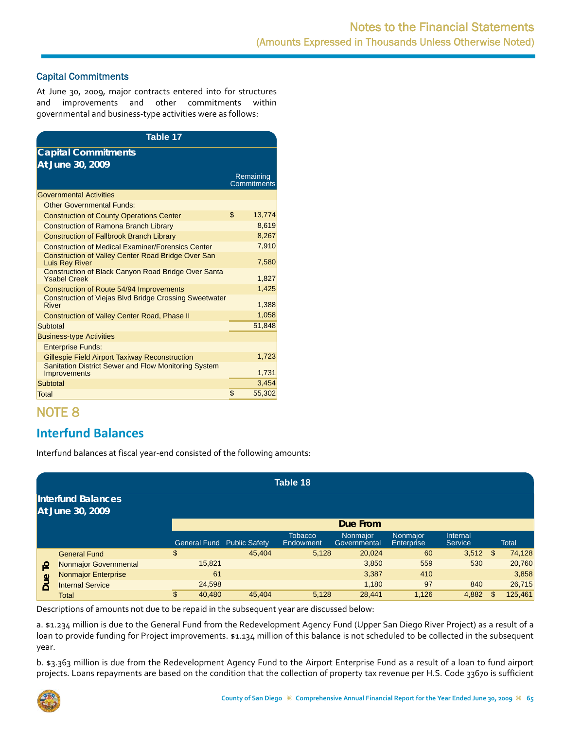### <span id="page-18-0"></span>Capital Commitments

At June 30, 2009, major contracts entered into for structures and improvements and other commitments within governmental and business‐type activities were as follows:

| Table 17                                                                          |                          |
|-----------------------------------------------------------------------------------|--------------------------|
| <b>Capital Commitments</b>                                                        |                          |
| At June 30, 2009                                                                  |                          |
|                                                                                   | Remaining<br>Commitments |
| <b>Governmental Activities</b>                                                    |                          |
| <b>Other Governmental Funds:</b>                                                  |                          |
| <b>Construction of County Operations Center</b>                                   | \$<br>13,774             |
| <b>Construction of Ramona Branch Library</b>                                      | 8,619                    |
| <b>Construction of Fallbrook Branch Library</b>                                   | 8,267                    |
| <b>Construction of Medical Examiner/Forensics Center</b>                          | 7,910                    |
| Construction of Valley Center Road Bridge Over San<br><b>Luis Rey River</b>       | 7,580                    |
| <b>Construction of Black Canyon Road Bridge Over Santa</b><br><b>Ysabel Creek</b> | 1,827                    |
| Construction of Route 54/94 Improvements                                          | 1,425                    |
| <b>Construction of Viejas Blvd Bridge Crossing Sweetwater</b><br><b>River</b>     | 1,388                    |
| <b>Construction of Valley Center Road, Phase II</b>                               | 1,058                    |
| Subtotal                                                                          | 51,848                   |
| <b>Business-type Activities</b>                                                   |                          |
| <b>Enterprise Funds:</b>                                                          |                          |
| <b>Gillespie Field Airport Taxiway Reconstruction</b>                             | 1,723                    |
| Sanitation District Sewer and Flow Monitoring System<br><b>Improvements</b>       | 1,731                    |
| Subtotal                                                                          | 3.454                    |
| <b>Total</b>                                                                      | \$<br>55,302             |

# NOTE 8

## **Interfund Balances**

Interfund balances at fiscal year‐end consisted of the following amounts:

|          | Table 18                                      |              |                                   |                             |                          |                                      |                     |     |              |  |
|----------|-----------------------------------------------|--------------|-----------------------------------|-----------------------------|--------------------------|--------------------------------------|---------------------|-----|--------------|--|
|          | <b>Interfund Balances</b><br>At June 30, 2009 |              |                                   |                             |                          |                                      |                     |     |              |  |
|          |                                               |              |                                   |                             | Due From                 |                                      |                     |     |              |  |
|          |                                               |              | <b>General Fund Public Safety</b> | <b>Tobacco</b><br>Endowment | Nonmajor<br>Governmental | <b>Nonmaior</b><br><b>Enterprise</b> | Internal<br>Service |     | <b>Total</b> |  |
|          | <b>General Fund</b>                           | \$           | 45.404                            | 5,128                       | 20,024                   | 60                                   | $3,512$ \$          |     | 74,128       |  |
| <u>م</u> | <b>Nonmajor Governmental</b>                  | 15,821       |                                   |                             | 3,850                    | 559                                  | 530                 |     | 20,760       |  |
|          | <b>Nonmajor Enterprise</b>                    | 61           |                                   |                             | 3,387                    | 410                                  |                     |     | 3,858        |  |
| Due      | <b>Internal Service</b>                       | 24,598       |                                   |                             | 1,180                    | 97                                   | 840                 |     | 26,715       |  |
|          | Total                                         | \$<br>40,480 | 45.404                            | 5,128                       | 28,441                   | 1,126                                | 4,882               | \$. | 125,461      |  |

Descriptions of amounts not due to be repaid in the subsequent year are discussed below:

a. \$1.234 million is due to the General Fund from the Redevelopment Agency Fund (Upper San Diego River Project) as a result of a loan to provide funding for Project improvements. \$1.134 million of this balance is not scheduled to be collected in the subsequent year.

b. \$3.363 million is due from the Redevelopment Agency Fund to the Airport Enterprise Fund as a result of a loan to fund airport projects. Loans repayments are based on the condition that the collection of property tax revenue per H.S. Code 33670 is sufficient

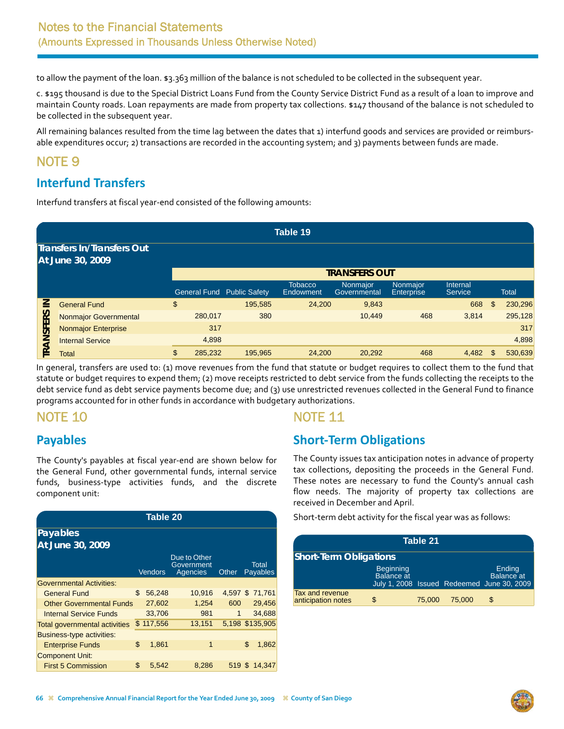<span id="page-19-0"></span>to allow the payment of the loan. \$3.363 million of the balance is not scheduled to be collected in the subsequent year.

c. \$195 thousand is due to the Special District Loans Fund from the County Service District Fund as a result of a loan to improve and maintain County roads. Loan repayments are made from property tax collections. \$147 thousand of the balance is not scheduled to be collected in the subsequent year.

All remaining balances resulted from the time lag between the dates that 1) interfund goods and services are provided or reimburs‐ able expenditures occur; 2) transactions are recorded in the accounting system; and 3) payments between funds are made.

## NOTE 9

# **Interfund Transfers**

Interfund transfers at fiscal year‐end consisted of the following amounts:

|               |                                                       |               |                                   | Table 19                    |                          |                               |                            |               |
|---------------|-------------------------------------------------------|---------------|-----------------------------------|-----------------------------|--------------------------|-------------------------------|----------------------------|---------------|
|               | <b>Transfers In/Transfers Out</b><br>At June 30, 2009 |               |                                   |                             |                          |                               |                            |               |
|               |                                                       |               |                                   |                             | <b>TRANSFERS OUT</b>     |                               |                            |               |
|               |                                                       |               | <b>General Fund Public Safety</b> | <b>Tobacco</b><br>Endowment | Nonmajor<br>Governmental | Nonmajor<br><b>Enterprise</b> | Internal<br><b>Service</b> | <b>Total</b>  |
| ≧             | <b>General Fund</b>                                   | \$            | 195,585                           | 24,200                      | 9,843                    |                               | 668                        | \$<br>230,296 |
| ERS           | <b>Nonmajor Governmental</b>                          | 280,017       | 380                               |                             | 10,449                   | 468                           | 3,814                      | 295,128       |
|               | <b>Nonmajor Enterprise</b>                            | 317           |                                   |                             |                          |                               |                            | 317           |
| <b>TRANSF</b> | <b>Internal Service</b>                               | 4,898         |                                   |                             |                          |                               |                            | 4,898         |
|               | <b>Total</b>                                          | \$<br>285,232 | 195,965                           | 24,200                      | 20,292                   | 468                           | 4,482                      | \$<br>530,639 |

In general, transfers are used to: (1) move revenues from the fund that statute or budget requires to collect them to the fund that statute or budget requires to expend them; (2) move receipts restricted to debt service from the funds collecting the receipts to the debt service fund as debt service payments become due; and (3) use unrestricted revenues collected in the General Fund to finance programs accounted for in other funds in accordance with budgetary authorizations.

# NOTE 10

## **Payables**

The County's payables at fiscal year‐end are shown below for the General Fund, other governmental funds, internal service funds, business‐type activities funds, and the discrete component unit:

| Table 20                             |    |                |                                        |        |    |                          |  |  |  |
|--------------------------------------|----|----------------|----------------------------------------|--------|----|--------------------------|--|--|--|
| Payables                             |    |                |                                        |        |    |                          |  |  |  |
| At June 30, 2009                     |    |                |                                        |        |    |                          |  |  |  |
|                                      |    | <b>Vendors</b> | Due to Other<br>Government<br>Agencies | Other  |    | Total<br><b>Payables</b> |  |  |  |
| <b>Governmental Activities:</b>      |    |                |                                        |        |    |                          |  |  |  |
| <b>General Fund</b>                  | \$ | 56,248         | 10,916                                 |        |    | 4,597 \$ 71,761          |  |  |  |
| <b>Other Governmental Funds</b>      |    | 27,602         | 1,254                                  | 600    |    | 29,456                   |  |  |  |
| <b>Internal Service Funds</b>        |    | 33,706         | 981                                    | 1      |    | 34,688                   |  |  |  |
| <b>Total governmental activities</b> |    | \$117,556      | 13,151                                 |        |    | 5,198 \$135,905          |  |  |  |
| <b>Business-type activities:</b>     |    |                |                                        |        |    |                          |  |  |  |
| <b>Enterprise Funds</b>              | \$ | 1,861          | 1                                      |        | \$ | 1,862                    |  |  |  |
| <b>Component Unit:</b>               |    |                |                                        |        |    |                          |  |  |  |
| <b>First 5 Commission</b>            | \$ | 5,542          | 8.286                                  | 519 \$ |    | 14.347                   |  |  |  |

## NOTE 11

# **Short‐Term Obligations**

The County issues tax anticipation notes in advance of property tax collections, depositing the proceeds in the General Fund. These notes are necessary to fund the County's annual cash flow needs. The majority of property tax collections are received in December and April.

Short-term debt activity for the fiscal year was as follows:

| Table 21                              |                                |        |        |                                                                           |  |  |  |  |  |
|---------------------------------------|--------------------------------|--------|--------|---------------------------------------------------------------------------|--|--|--|--|--|
| <b>Short-Term Obligations</b>         |                                |        |        |                                                                           |  |  |  |  |  |
|                                       | Beginning<br><b>Balance at</b> |        |        | Ending<br><b>Balance</b> at<br>July 1, 2008 Issued Redeemed June 30, 2009 |  |  |  |  |  |
| Tax and revenue<br>anticipation notes | S                              | 75,000 | 75,000 | \$                                                                        |  |  |  |  |  |

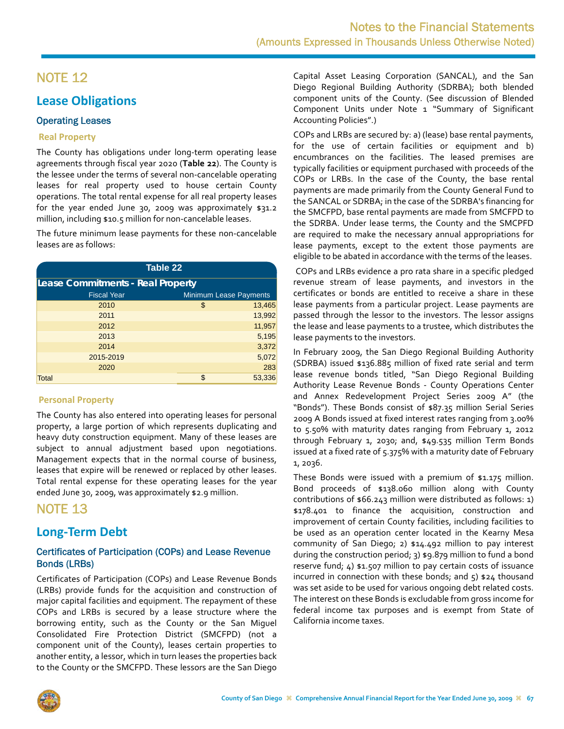## <span id="page-20-0"></span>**Lease Obligations**

### Operating Leases

### **Real Property**

The County has obligations under long‐term operating lease agreements through fiscal year 2020 (**Table 22**). The County is the lessee under the terms of several non‐cancelable operating leases for real property used to house certain County operations. The total rental expense for all real property leases for the year ended June 30, 2009 was approximately \$31.2 million, including \$10.5 million for non‐cancelable leases.

The future minimum lease payments for these non‐cancelable leases are as follows:

| <b>Table 22</b>                   |                               |        |  |  |  |  |  |  |  |
|-----------------------------------|-------------------------------|--------|--|--|--|--|--|--|--|
| Lease Commitments - Real Property |                               |        |  |  |  |  |  |  |  |
| <b>Fiscal Year</b>                | <b>Minimum Lease Payments</b> |        |  |  |  |  |  |  |  |
| 2010                              | \$                            | 13,465 |  |  |  |  |  |  |  |
| 2011                              |                               | 13,992 |  |  |  |  |  |  |  |
| 2012                              |                               | 11,957 |  |  |  |  |  |  |  |
| 2013                              |                               | 5,195  |  |  |  |  |  |  |  |
| 2014                              |                               | 3,372  |  |  |  |  |  |  |  |
| 2015-2019                         |                               | 5,072  |  |  |  |  |  |  |  |
| 2020                              |                               | 283    |  |  |  |  |  |  |  |
| <b>Total</b>                      | \$                            | 53,336 |  |  |  |  |  |  |  |

### **Personal Property**

The County has also entered into operating leases for personal property, a large portion of which represents duplicating and heavy duty construction equipment. Many of these leases are subject to annual adjustment based upon negotiations. Management expects that in the normal course of business, leases that expire will be renewed or replaced by other leases. Total rental expense for these operating leases for the year ended June 30, 2009, was approximately \$2.9 million.

## NOTE 13

## **Long‐Term Debt**

### Certificates of Participation (COPs) and Lease Revenue Bonds (LRBs)

Certificates of Participation (COPs) and Lease Revenue Bonds (LRBs) provide funds for the acquisition and construction of major capital facilities and equipment. The repayment of these COPs and LRBs is secured by a lease structure where the borrowing entity, such as the County or the San Miguel Consolidated Fire Protection District (SMCFPD) (not a component unit of the County), leases certain properties to another entity, a lessor, which in turn leases the properties back to the County or the SMCFPD. These lessors are the San Diego Capital Asset Leasing Corporation (SANCAL), and the San Diego Regional Building Authority (SDRBA); both blended component units of the County. (See discussion of Blended Component Units under Note 1 "Summary of Significant Accounting Policies".)

COPs and LRBs are secured by: a) (lease) base rental payments, for the use of certain facilities or equipment and b) encumbrances on the facilities. The leased premises are typically facilities or equipment purchased with proceeds of the COPs or LRBs. In the case of the County, the base rental payments are made primarily from the County General Fund to the SANCAL or SDRBA; in the case of the SDRBA's financing for the SMCFPD, base rental payments are made from SMCFPD to the SDRBA. Under lease terms, the County and the SMCPFD are required to make the necessary annual appropriations for lease payments, except to the extent those payments are eligible to be abated in accordance with the terms of the leases.

COPs and LRBs evidence a pro rata share in a specific pledged revenue stream of lease payments, and investors in the certificates or bonds are entitled to receive a share in these lease payments from a particular project. Lease payments are passed through the lessor to the investors. The lessor assigns the lease and lease payments to a trustee, which distributes the lease payments to the investors.

In February 2009, the San Diego Regional Building Authority (SDRBA) issued \$136.885 million of fixed rate serial and term lease revenue bonds titled, "San Diego Regional Building Authority Lease Revenue Bonds ‐ County Operations Center and Annex Redevelopment Project Series 2009 A" (the "Bonds"). These Bonds consist of \$87.35 million Serial Series 2009 A Bonds issued at fixed interest rates ranging from 3.00% to 5.50% with maturity dates ranging from February 1, 2012 through February 1, 2030; and, \$49.535 million Term Bonds issued at a fixed rate of 5.375% with a maturity date of February 1, 2036.

These Bonds were issued with a premium of \$1.175 million. Bond proceeds of \$138.060 million along with County contributions of \$66.243 million were distributed as follows: 1) \$178.401 to finance the acquisition, construction and improvement of certain County facilities, including facilities to be used as an operation center located in the Kearny Mesa community of San Diego; 2) \$14.492 million to pay interest during the construction period; 3) \$9.879 million to fund a bond reserve fund; 4) \$1.507 million to pay certain costs of issuance incurred in connection with these bonds; and 5) \$24 thousand was set aside to be used for various ongoing debt related costs. The interest on these Bonds is excludable from gross income for federal income tax purposes and is exempt from State of California income taxes.

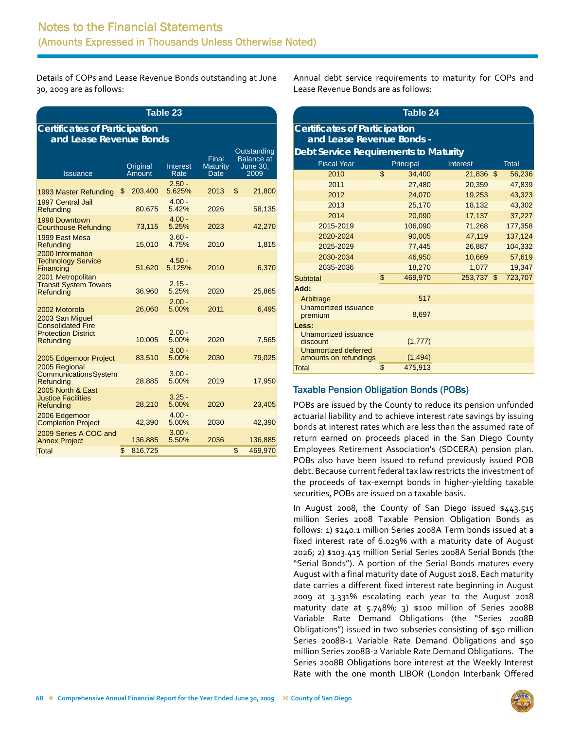Details of COPs and Lease Revenue Bonds outstanding at June 30, 2009 are as follows:

| <b>Table 23</b>                                                                        |                         |                                               |                    |                                         |    |                                                             |  |  |  |  |  |
|----------------------------------------------------------------------------------------|-------------------------|-----------------------------------------------|--------------------|-----------------------------------------|----|-------------------------------------------------------------|--|--|--|--|--|
| <b>Certificates of Participation</b>                                                   |                         |                                               |                    |                                         |    |                                                             |  |  |  |  |  |
|                                                                                        | and Lease Revenue Bonds |                                               |                    |                                         |    |                                                             |  |  |  |  |  |
| <b>Issuance</b>                                                                        |                         | Original<br><b>Interest</b><br>Amount<br>Rate |                    | Final<br><b>Maturity</b><br><b>Date</b> |    | Outstanding<br><b>Balance</b> at<br><b>June 30.</b><br>2009 |  |  |  |  |  |
| 1993 Master Refunding                                                                  | \$                      | 203,400                                       | $2.50 -$<br>5.625% | 2013                                    | \$ | 21,800                                                      |  |  |  |  |  |
| 1997 Central Jail<br>Refunding                                                         |                         | 80,675                                        | $4.00 -$<br>5.42%  | 2026                                    |    | 58,135                                                      |  |  |  |  |  |
| 1998 Downtown<br><b>Courthouse Refunding</b>                                           |                         | 73,115                                        | $4.00 -$<br>5.25%  | 2023                                    |    | 42,270                                                      |  |  |  |  |  |
| 1999 East Mesa<br>Refunding                                                            |                         | 15,010                                        | $3.60 -$<br>4.75%  | 2010                                    |    | 1,815                                                       |  |  |  |  |  |
| 2000 Information<br><b>Technology Service</b><br>Financing                             |                         | 51,620                                        | $4.50 -$<br>5.125% | 2010                                    |    | 6,370                                                       |  |  |  |  |  |
| 2001 Metropolitan<br><b>Transit System Towers</b><br>Refunding                         |                         | 36,960                                        | $2.15 -$<br>5.25%  | 2020                                    |    | 25,865                                                      |  |  |  |  |  |
| 2002 Motorola                                                                          |                         | 26,060                                        | $2.00 -$<br>5.00%  | 2011                                    |    | 6,495                                                       |  |  |  |  |  |
| 2003 San Miguel<br><b>Consolidated Fire</b><br><b>Protection District</b><br>Refunding |                         | 10,005                                        | $2.00 -$<br>5.00%  | 2020                                    |    | 7,565                                                       |  |  |  |  |  |
| 2005 Edgemoor Project                                                                  |                         | 83,510                                        | $3.00 -$<br>5.00%  | 2030                                    |    | 79,025                                                      |  |  |  |  |  |
| 2005 Regional<br><b>Communications System</b><br>Refunding                             |                         | 28,885                                        | $3.00 -$<br>5.00%  | 2019                                    |    | 17,950                                                      |  |  |  |  |  |
| 2005 North & East<br><b>Justice Facilities</b><br>Refunding                            |                         | 28,210                                        | $3.25 -$<br>5.00%  | 2020                                    |    | 23,405                                                      |  |  |  |  |  |
| 2006 Edgemoor<br><b>Completion Project</b>                                             |                         | 42,390                                        | $4.00 -$<br>5.00%  | 2030                                    |    | 42,390                                                      |  |  |  |  |  |
| 2009 Series A COC and<br><b>Annex Project</b>                                          |                         | 136,885                                       | $3.00 -$<br>5.50%  | 2036                                    |    | 136,885                                                     |  |  |  |  |  |
| <b>Total</b>                                                                           | \$                      | 816,725                                       |                    |                                         | \$ | 469.970                                                     |  |  |  |  |  |

Annual debt service requirements to maturity for COPs and Lease Revenue Bonds are as follows:

| Table 24                                                    |                                      |          |         |    |         |  |  |  |  |  |
|-------------------------------------------------------------|--------------------------------------|----------|---------|----|---------|--|--|--|--|--|
|                                                             | <b>Certificates of Participation</b> |          |         |    |         |  |  |  |  |  |
| and Lease Revenue Bonds -                                   |                                      |          |         |    |         |  |  |  |  |  |
| <b>Debt Service Requirements to Maturity</b>                |                                      |          |         |    |         |  |  |  |  |  |
| <b>Fiscal Year</b><br>Principal<br>Interest<br><b>Total</b> |                                      |          |         |    |         |  |  |  |  |  |
| 2010                                                        | \$                                   | 34,400   | 21,836  | \$ | 56,236  |  |  |  |  |  |
| 2011                                                        |                                      | 27,480   | 20,359  |    | 47,839  |  |  |  |  |  |
| 2012                                                        |                                      | 24,070   | 19,253  |    | 43,323  |  |  |  |  |  |
| 2013                                                        |                                      | 25,170   | 18,132  |    | 43,302  |  |  |  |  |  |
| 2014                                                        |                                      | 20,090   | 17,137  |    | 37,227  |  |  |  |  |  |
| 2015-2019                                                   |                                      | 106,090  | 71,268  |    | 177,358 |  |  |  |  |  |
| 2020-2024                                                   |                                      | 90,005   | 47,119  |    | 137,124 |  |  |  |  |  |
| 2025-2029                                                   |                                      | 77,445   | 26,887  |    | 104,332 |  |  |  |  |  |
| 2030-2034                                                   |                                      | 46,950   | 10,669  |    | 57,619  |  |  |  |  |  |
| 2035-2036                                                   |                                      | 18,270   | 1,077   |    | 19,347  |  |  |  |  |  |
| Subtotal                                                    | \$                                   | 469,970  | 253,737 | \$ | 723,707 |  |  |  |  |  |
| Add:                                                        |                                      |          |         |    |         |  |  |  |  |  |
| Arbitrage                                                   |                                      | 517      |         |    |         |  |  |  |  |  |
| <b>Unamortized issuance</b><br>premium                      |                                      | 8,697    |         |    |         |  |  |  |  |  |
| Less:                                                       |                                      |          |         |    |         |  |  |  |  |  |
| Unamortized issuance<br>discount                            |                                      | (1,777)  |         |    |         |  |  |  |  |  |
| <b>Unamortized deferred</b><br>amounts on refundings        |                                      | (1, 494) |         |    |         |  |  |  |  |  |
| Total                                                       | \$                                   | 475,913  |         |    |         |  |  |  |  |  |

### Taxable Pension Obligation Bonds (POBs)

POBs are issued by the County to reduce its pension unfunded actuarial liability and to achieve interest rate savings by issuing bonds at interest rates which are less than the assumed rate of return earned on proceeds placed in the San Diego County Employees Retirement Association's (SDCERA) pension plan. POBs also have been issued to refund previously issued POB debt. Because current federal tax law restricts the investment of the proceeds of tax‐exempt bonds in higher‐yielding taxable securities, POBs are issued on a taxable basis.

In August 2008, the County of San Diego issued \$443.515 million Series 2008 Taxable Pension Obligation Bonds as follows: 1) \$240.1 million Series 2008A Term bonds issued at a fixed interest rate of 6.029% with a maturity date of August 2026; 2) \$103.415 million Serial Series 2008A Serial Bonds (the "Serial Bonds"). A portion of the Serial Bonds matures every August with a final maturity date of August 2018. Each maturity date carries a different fixed interest rate beginning in August 2009 at 3.331% escalating each year to the August 2018 maturity date at 5.748%; 3) \$100 million of Series 2008B Variable Rate Demand Obligations (the "Series 2008B Obligations") issued in two subseries consisting of \$50 million Series 2008B-1 Variable Rate Demand Obligations and \$50 million Series 2008B‐2 Variable Rate Demand Obligations. The Series 2008B Obligations bore interest at the Weekly Interest Rate with the one month LIBOR (London Interbank Offered

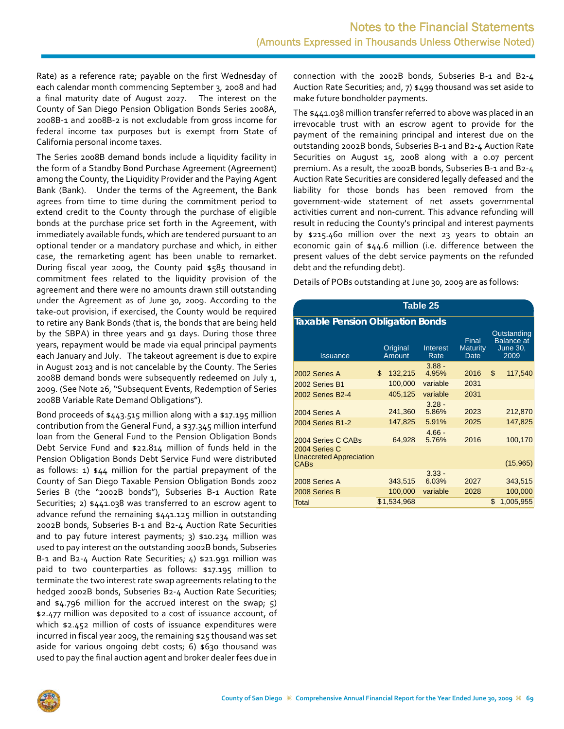Rate) as a reference rate; payable on the first Wednesday of each calendar month commencing September 3, 2008 and had a final maturity date of August 2027. The interest on the County of San Diego Pension Obligation Bonds Series 2008A, 2008B‐1 and 2008B‐2 is not excludable from gross income for federal income tax purposes but is exempt from State of California personal income taxes.

The Series 2008B demand bonds include a liquidity facility in the form of a Standby Bond Purchase Agreement (Agreement) among the County, the Liquidity Provider and the Paying Agent Bank (Bank). Under the terms of the Agreement, the Bank agrees from time to time during the commitment period to extend credit to the County through the purchase of eligible bonds at the purchase price set forth in the Agreement, with immediately available funds, which are tendered pursuant to an optional tender or a mandatory purchase and which, in either case, the remarketing agent has been unable to remarket. During fiscal year 2009, the County paid \$585 thousand in commitment fees related to the liquidity provision of the agreement and there were no amounts drawn still outstanding under the Agreement as of June 30, 2009. According to the take‐out provision, if exercised, the County would be required to retire any Bank Bonds (that is, the bonds that are being held by the SBPA) in three years and 91 days. During those three years, repayment would be made via equal principal payments each January and July. The takeout agreement is due to expire in August 2013 and is not cancelable by the County. The Series 2008B demand bonds were subsequently redeemed on July 1, 2009. (See Note 26, "Subsequent Events, Redemption of Series 2008B Variable Rate Demand Obligations").

Bond proceeds of \$443.515 million along with a \$17.195 million contribution from the General Fund, a \$37.345 million interfund loan from the General Fund to the Pension Obligation Bonds Debt Service Fund and \$22.814 million of funds held in the Pension Obligation Bonds Debt Service Fund were distributed as follows: 1) \$44 million for the partial prepayment of the County of San Diego Taxable Pension Obligation Bonds 2002 Series B (the "2002B bonds"), Subseries B‐1 Auction Rate Securities; 2) \$441.038 was transferred to an escrow agent to advance refund the remaining \$441.125 million in outstanding 2002B bonds, Subseries B‐1 and B2‐4 Auction Rate Securities and to pay future interest payments; 3) \$10.234 million was used to pay interest on the outstanding 2002B bonds, Subseries B‐1 and B2‐4 Auction Rate Securities; 4) \$21.991 million was paid to two counterparties as follows: \$17.195 million to terminate the two interest rate swap agreements relating to the hedged 2002B bonds, Subseries B2‐4 Auction Rate Securities; and  $$4.796$  million for the accrued interest on the swap;  $5$ ) \$2.477 million was deposited to a cost of issuance account, of which \$2.452 million of costs of issuance expenditures were incurred in fiscal year 2009, the remaining \$25 thousand was set aside for various ongoing debt costs; 6) \$630 thousand was used to pay the final auction agent and broker dealer fees due in connection with the 2002B bonds, Subseries B‐1 and B2‐4 Auction Rate Securities; and, 7) \$499 thousand was set aside to make future bondholder payments.

The \$441.038 million transfer referred to above was placed in an irrevocable trust with an escrow agent to provide for the payment of the remaining principal and interest due on the outstanding 2002B bonds, Subseries B‐1 and B2‐4 Auction Rate Securities on August 15, 2008 along with a 0.07 percent premium. As a result, the 2002B bonds, Subseries B‐1 and B2‐4 Auction Rate Securities are considered legally defeased and the liability for those bonds has been removed from the government‐wide statement of net assets governmental activities current and non‐current. This advance refunding will result in reducing the County's principal and interest payments by \$215.460 million over the next 23 years to obtain an economic gain of \$44.6 million (i.e. difference between the present values of the debt service payments on the refunded debt and the refunding debt).

Details of POBs outstanding at June 30, 2009 are as follows:

| Table 25                                                       |    |                    |                   |                                  |    |                                                             |  |  |  |  |
|----------------------------------------------------------------|----|--------------------|-------------------|----------------------------------|----|-------------------------------------------------------------|--|--|--|--|
| <b>Taxable Pension Obligation Bonds</b>                        |    |                    |                   |                                  |    |                                                             |  |  |  |  |
| <b>Issuance</b>                                                |    | Original<br>Amount | Interest<br>Rate  | Final<br><b>Maturity</b><br>Date |    | Outstanding<br><b>Balance</b> at<br><b>June 30,</b><br>2009 |  |  |  |  |
| 2002 Series A                                                  | \$ | 132,215            | $3.88 -$<br>4.95% | 2016                             | \$ | 117,540                                                     |  |  |  |  |
| 2002 Series B1                                                 |    | 100,000            | variable          | 2031                             |    |                                                             |  |  |  |  |
| <b>2002 Series B2-4</b>                                        |    | 405,125            | variable          | 2031                             |    |                                                             |  |  |  |  |
| 2004 Series A                                                  |    | 241,360            | $3.28 -$<br>5.86% | 2023                             |    | 212,870                                                     |  |  |  |  |
| <b>2004 Series B1-2</b>                                        |    | 147,825            | 5.91%             | 2025                             |    | 147,825                                                     |  |  |  |  |
| 2004 Series C CABs                                             |    | 64,928             | $4.66 -$<br>5.76% | 2016                             |    | 100,170                                                     |  |  |  |  |
| 2004 Series C<br><b>Unaccreted Appreciation</b><br><b>CABs</b> |    |                    |                   |                                  |    | (15,965)                                                    |  |  |  |  |
| 2008 Series A                                                  |    | 343,515            | $3.33 -$<br>6.03% | 2027                             |    | 343,515                                                     |  |  |  |  |
| 2008 Series B                                                  |    | 100,000            | variable          | 2028                             |    | 100,000                                                     |  |  |  |  |
| Total                                                          |    | \$1,534,968        |                   |                                  | \$ | 1,005,955                                                   |  |  |  |  |

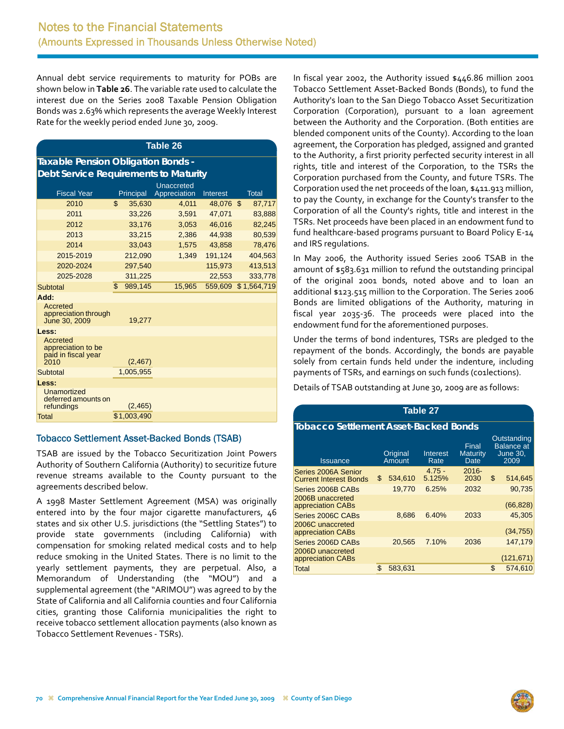Annual debt service requirements to maturity for POBs are shown below in **Table 26**. The variable rate used to calculate the interest due on the Series 2008 Taxable Pension Obligation Bonds was 2.63% which represents the average Weekly Interest Rate for the weekly period ended June 30, 2009.

#### **Table 26**

| Taxable Pension Obligation Bonds -    |
|---------------------------------------|
| Debt Service Requirements to Maturity |

| <u>Popt oor vide nogumentorits to ividiumly</u>               |              |                            |           |                     |
|---------------------------------------------------------------|--------------|----------------------------|-----------|---------------------|
| <b>Fiscal Year</b>                                            | Principal    | Unaccreted<br>Appreciation | Interest  | Total               |
| 2010                                                          | \$<br>35,630 | 4,011                      | 48,076 \$ | 87,717              |
| 2011                                                          | 33,226       | 3,591                      | 47,071    | 83,888              |
| 2012                                                          | 33,176       | 3,053                      | 46,016    | 82,245              |
| 2013                                                          | 33,215       | 2,386                      | 44,938    | 80,539              |
| 2014                                                          | 33,043       | 1,575                      | 43,858    | 78,476              |
| 2015-2019                                                     | 212,090      | 1,349                      | 191,124   | 404,563             |
| 2020-2024                                                     | 297,540      |                            | 115,973   | 413,513             |
| 2025-2028                                                     | 311,225      |                            | 22,553    | 333,778             |
| Subtotal                                                      | \$989,145    | 15,965                     |           | 559,609 \$1,564,719 |
| Add:                                                          |              |                            |           |                     |
| Accreted<br>appreciation through<br>June 30, 2009             | 19,277       |                            |           |                     |
| Less:                                                         |              |                            |           |                     |
| Accreted<br>appreciation to be<br>paid in fiscal year<br>2010 | (2, 467)     |                            |           |                     |
| Subtotal                                                      | 1,005,955    |                            |           |                     |
| Less:<br>Unamortized                                          |              |                            |           |                     |
| deferred amounts on<br>refundings                             | (2, 465)     |                            |           |                     |
| <b>Total</b>                                                  | \$1,003,490  |                            |           |                     |
|                                                               |              |                            |           |                     |

### Tobacco Settlement Asset-Backed Bonds (TSAB)

TSAB are issued by the Tobacco Securitization Joint Powers Authority of Southern California (Authority) to securitize future revenue streams available to the County pursuant to the agreements described below.

A 1998 Master Settlement Agreement (MSA) was originally entered into by the four major cigarette manufacturers, 46 states and six other U.S. jurisdictions (the "Settling States") to provide state governments (including California) with compensation for smoking related medical costs and to help reduce smoking in the United States. There is no limit to the yearly settlement payments, they are perpetual. Also, a Memorandum of Understanding (the "MOU") and a supplemental agreement (the "ARIMOU") was agreed to by the State of California and all California counties and four California cities, granting those California municipalities the right to receive tobacco settlement allocation payments (also known as Tobacco Settlement Revenues ‐ TSRs).

In fiscal year 2002, the Authority issued \$446.86 million 2001 Tobacco Settlement Asset‐Backed Bonds (Bonds), to fund the Authority's loan to the San Diego Tobacco Asset Securitization Corporation (Corporation), pursuant to a loan agreement between the Authority and the Corporation. (Both entities are blended component units of the County). According to the loan agreement, the Corporation has pledged, assigned and granted to the Authority, a first priority perfected security interest in all rights, title and interest of the Corporation, to the TSRs the Corporation purchased from the County, and future TSRs. The Corporation used the net proceeds of the loan, \$411.913 million, to pay the County, in exchange for the County's transfer to the Corporation of all the County's rights, title and interest in the TSRs. Net proceeds have been placed in an endowment fund to fund healthcare‐based programs pursuant to Board Policy E‐14 and IRS regulations.

In May 2006, the Authority issued Series 2006 TSAB in the amount of \$583.631 million to refund the outstanding principal of the original 2001 bonds, noted above and to loan an additional \$123.515 million to the Corporation. The Series 2006 Bonds are limited obligations of the Authority, maturing in fiscal year 2035‐36. The proceeds were placed into the endowment fund for the aforementioned purposes.

Under the terms of bond indentures, TSRs are pledged to the repayment of the bonds. Accordingly, the bonds are payable solely from certain funds held under the indenture, including payments of TSRs, and earnings on such funds (co1lections).

Details of TSAB outstanding at June 30, 2009 are as follows:

| <b>Table 27</b>                                      |     |                    |                         |                           |                                                             |            |  |  |  |  |
|------------------------------------------------------|-----|--------------------|-------------------------|---------------------------|-------------------------------------------------------------|------------|--|--|--|--|
| <b>Tobacco Settlement Asset-Backed Bonds</b>         |     |                    |                         |                           |                                                             |            |  |  |  |  |
| <b>Issuance</b>                                      |     | Original<br>Amount | <b>Interest</b><br>Rate | Final<br>Maturity<br>Date | Outstanding<br><b>Balance</b> at<br><b>June 30,</b><br>2009 |            |  |  |  |  |
| Series 2006A Senior<br><b>Current Interest Bonds</b> | \$. | 534,610            | $4.75 -$<br>5.125%      | $2016 -$<br>2030          | \$                                                          | 514,645    |  |  |  |  |
| Series 2006B CABs                                    |     | 19,770             | 6.25%                   | 2032                      |                                                             | 90,735     |  |  |  |  |
| 2006B unaccreted<br>appreciation CABs                |     |                    |                         |                           |                                                             | (66, 828)  |  |  |  |  |
| Series 2006C CABs                                    |     | 8.686              | 6.40%                   | 2033                      |                                                             | 45.305     |  |  |  |  |
| 2006C unaccreted<br>appreciation CABs                |     |                    |                         |                           |                                                             | (34, 755)  |  |  |  |  |
| Series 2006D CABs                                    |     | 20,565             | 7.10%                   | 2036                      |                                                             | 147,179    |  |  |  |  |
| 2006D unaccreted<br>appreciation CABs                |     |                    |                         |                           |                                                             | (121, 671) |  |  |  |  |
| Total                                                | \$  | 583,631            |                         |                           | \$                                                          | 574,610    |  |  |  |  |

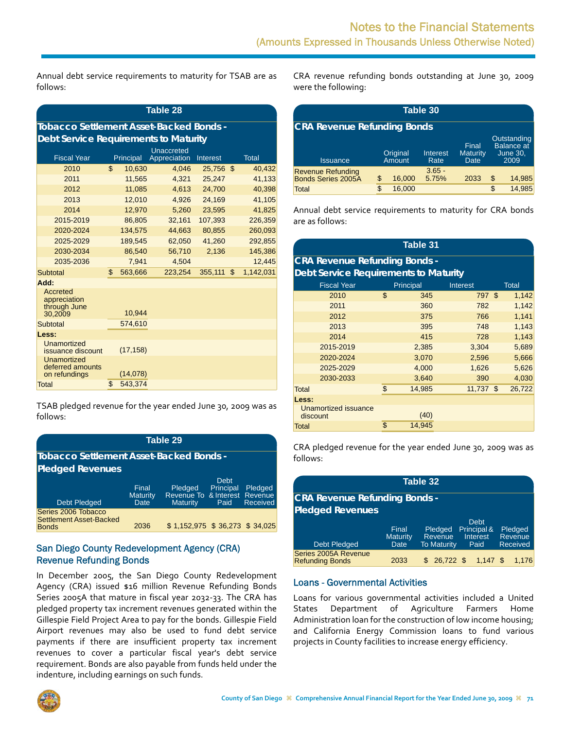Annual debt service requirements to maturity for TSAB are as follows:

| Table 28                                            |                                                |           |              |                 |    |              |  |  |  |  |  |
|-----------------------------------------------------|------------------------------------------------|-----------|--------------|-----------------|----|--------------|--|--|--|--|--|
|                                                     | <b>Tobacco Settlement Asset-Backed Bonds -</b> |           |              |                 |    |              |  |  |  |  |  |
|                                                     | <b>Debt Service Requirements to Maturity</b>   |           |              |                 |    |              |  |  |  |  |  |
|                                                     |                                                |           | Unaccreted   |                 |    |              |  |  |  |  |  |
| <b>Fiscal Year</b>                                  |                                                | Principal | Appreciation | <b>Interest</b> |    | <b>Total</b> |  |  |  |  |  |
| 2010                                                | $\mathbf{r}$                                   | 10,630    | 4,046        | 25,756 \$       |    | 40,432       |  |  |  |  |  |
| 2011                                                |                                                | 11,565    | 4,321        | 25,247          |    | 41,133       |  |  |  |  |  |
| 2012                                                |                                                | 11,085    | 4,613        | 24,700          |    | 40,398       |  |  |  |  |  |
| 2013                                                |                                                | 12,010    | 4,926        | 24,169          |    | 41,105       |  |  |  |  |  |
| 2014                                                |                                                | 12.970    | 5.260        | 23,595          |    | 41,825       |  |  |  |  |  |
| 2015-2019                                           |                                                | 86,805    | 32,161       | 107,393         |    | 226,359      |  |  |  |  |  |
| 2020-2024                                           |                                                | 134,575   | 44,663       | 80,855          |    | 260,093      |  |  |  |  |  |
| 2025-2029                                           |                                                | 189,545   | 62,050       | 41,260          |    | 292,855      |  |  |  |  |  |
| 2030-2034                                           |                                                | 86.540    | 56,710       | 2,136           |    | 145,386      |  |  |  |  |  |
| 2035-2036                                           |                                                | 7.941     | 4.504        |                 |    | 12.445       |  |  |  |  |  |
| Subtotal                                            | \$                                             | 563,666   | 223,254      | 355,111         | \$ | 1,142,031    |  |  |  |  |  |
| Add:                                                |                                                |           |              |                 |    |              |  |  |  |  |  |
| Accreted<br>appreciation<br>through June<br>30.2009 |                                                | 10,944    |              |                 |    |              |  |  |  |  |  |
| Subtotal                                            |                                                | 574,610   |              |                 |    |              |  |  |  |  |  |
| Less:                                               |                                                |           |              |                 |    |              |  |  |  |  |  |
| Unamortized<br>issuance discount                    |                                                | (17, 158) |              |                 |    |              |  |  |  |  |  |
| Unamortized<br>deferred amounts<br>on refundings    |                                                | (14, 078) |              |                 |    |              |  |  |  |  |  |
| Total                                               | \$                                             | 543,374   |              |                 |    |              |  |  |  |  |  |

TSAB pledged revenue for the year ended June 30, 2009 was as follows:

| Table 29                                                       |                                  |                                                             |                           |                            |  |  |  |  |  |
|----------------------------------------------------------------|----------------------------------|-------------------------------------------------------------|---------------------------|----------------------------|--|--|--|--|--|
| Tobacco Settlement Asset-Backed Bonds -                        |                                  |                                                             |                           |                            |  |  |  |  |  |
| <b>Pledged Revenues</b>                                        |                                  |                                                             |                           |                            |  |  |  |  |  |
| <b>Debt Pledged</b>                                            | Final<br><b>Maturity</b><br>Date | Pledged<br>Revenue To & Interest Revenue<br><b>Maturity</b> | Debt<br>Principal<br>Paid | Pledged<br><b>Received</b> |  |  |  |  |  |
| Series 2006 Tobacco<br>Settlement Asset-Backed<br><b>Bonds</b> | 2036                             | \$1,152,975 \$36,273 \$34,025                               |                           |                            |  |  |  |  |  |

### San Diego County Redevelopment Agency (CRA) Revenue Refunding Bonds

In December 2005, the San Diego County Redevelopment Agency (CRA) issued \$16 million Revenue Refunding Bonds Series 2005A that mature in fiscal year 2032-33. The CRA has pledged property tax increment revenues generated within the Gillespie Field Project Area to pay for the bonds. Gillespie Field Airport revenues may also be used to fund debt service payments if there are insufficient property tax increment revenues to cover a particular fiscal year's debt service requirement. Bonds are also payable from funds held under the indenture, including earnings on such funds.

CRA revenue refunding bonds outstanding at June 30, 2009 were the following:

| Table 30                                              |    |                    |                   |                           |    |                                                             |  |  |  |  |
|-------------------------------------------------------|----|--------------------|-------------------|---------------------------|----|-------------------------------------------------------------|--|--|--|--|
| <b>CRA Revenue Refunding Bonds</b>                    |    |                    |                   |                           |    |                                                             |  |  |  |  |
| <b>Issuance</b>                                       |    | Original<br>Amount | Interest<br>Rate  | Final<br>Maturity<br>Date |    | Outstanding<br><b>Balance</b> at<br><b>June 30,</b><br>2009 |  |  |  |  |
| <b>Revenue Refunding</b><br><b>Bonds Series 2005A</b> | \$ | 16,000             | $3.65 -$<br>5.75% | 2033                      | \$ | 14,985                                                      |  |  |  |  |
| Total                                                 |    | 16,000             |                   |                           | \$ | 14.985                                                      |  |  |  |  |

Annual debt service requirements to maturity for CRA bonds are as follows:

| <b>Table 31</b>                              |                                       |        |             |  |        |  |  |  |  |  |
|----------------------------------------------|---------------------------------------|--------|-------------|--|--------|--|--|--|--|--|
| <b>CRA Revenue Refunding Bonds -</b>         |                                       |        |             |  |        |  |  |  |  |  |
| <b>Debt Service Requirements to Maturity</b> |                                       |        |             |  |        |  |  |  |  |  |
| <b>Fiscal Year</b>                           | <b>Total</b><br>Principal<br>Interest |        |             |  |        |  |  |  |  |  |
| 2010                                         | \$                                    | 345    | 797 \$      |  | 1,142  |  |  |  |  |  |
| 2011                                         |                                       | 360    | 782         |  | 1,142  |  |  |  |  |  |
| 2012                                         |                                       | 375    | 766         |  | 1,141  |  |  |  |  |  |
| 2013                                         |                                       | 395    | 748         |  | 1,143  |  |  |  |  |  |
| 2014                                         |                                       | 415    | 728         |  | 1,143  |  |  |  |  |  |
| 2015-2019                                    |                                       | 2,385  | 3,304       |  | 5,689  |  |  |  |  |  |
| 2020-2024                                    |                                       | 3,070  | 2,596       |  | 5,666  |  |  |  |  |  |
| 2025-2029                                    |                                       | 4,000  | 1,626       |  | 5,626  |  |  |  |  |  |
| 2030-2033                                    |                                       | 3,640  | 390         |  | 4,030  |  |  |  |  |  |
| <b>Total</b>                                 | \$                                    | 14,985 | $11,737$ \$ |  | 26,722 |  |  |  |  |  |
| Less:                                        |                                       |        |             |  |        |  |  |  |  |  |
| Unamortized issuance<br>discount             |                                       | (40)   |             |  |        |  |  |  |  |  |
| Total                                        | \$                                    | 14,945 |             |  |        |  |  |  |  |  |

CRA pledged revenue for the year ended June 30, 2009 was as follows:

| Table 32                                       |                                  |                                          |                                                |                                       |  |  |  |  |  |
|------------------------------------------------|----------------------------------|------------------------------------------|------------------------------------------------|---------------------------------------|--|--|--|--|--|
| <b>CRA Revenue Refunding Bonds -</b>           |                                  |                                          |                                                |                                       |  |  |  |  |  |
| <b>Pledged Revenues</b>                        |                                  |                                          |                                                |                                       |  |  |  |  |  |
| <b>Debt Pledged</b>                            | Final<br><b>Maturity</b><br>Date | Pledged<br>Revenue<br><b>To Maturity</b> | <b>Debt</b><br>Principal &<br>Interest<br>Paid | Pledged<br>Revenue<br><b>Received</b> |  |  |  |  |  |
| Series 2005A Revenue<br><b>Refunding Bonds</b> | 2033                             | 26.722 \$                                | $1.147$ \$                                     | 1.176                                 |  |  |  |  |  |

### Loans - Governmental Activities

Loans for various governmental activities included a United States Department of Agriculture Farmers Home Administration loan for the construction of low income housing; and California Energy Commission loans to fund various projects in County facilities to increase energy efficiency.

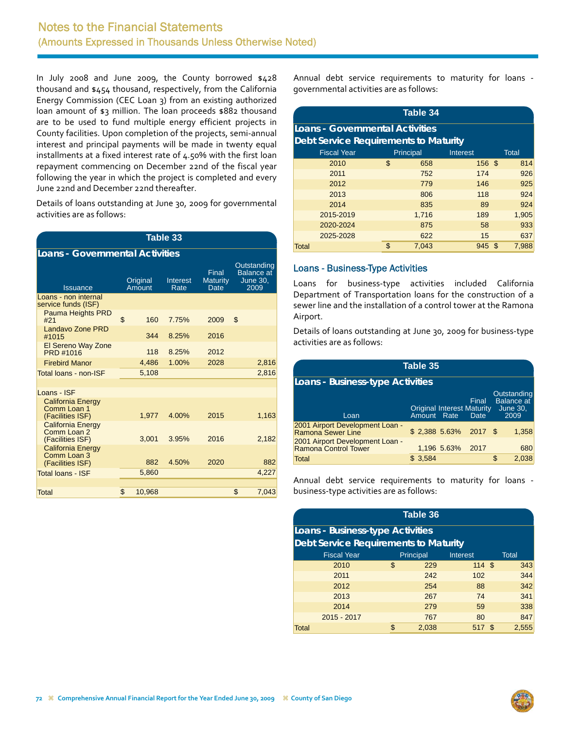In July 2008 and June 2009, the County borrowed \$428 thousand and \$454 thousand, respectively, from the California Energy Commission (CEC Loan 3) from an existing authorized loan amount of \$3 million. The loan proceeds \$882 thousand are to be used to fund multiple energy efficient projects in County facilities. Upon completion of the projects, semi‐annual interest and principal payments will be made in twenty equal installments at a fixed interest rate of 4.50% with the first loan repayment commencing on December 22nd of the fiscal year following the year in which the project is completed and every June 22nd and December 22nd thereafter.

Details of loans outstanding at June 30, 2009 for governmental activities are as follows:

| <b>Table 33</b>                                             |    |                    |                                                      |      |                                                             |       |  |  |  |  |
|-------------------------------------------------------------|----|--------------------|------------------------------------------------------|------|-------------------------------------------------------------|-------|--|--|--|--|
| <b>Loans - Governmental Activities</b>                      |    |                    |                                                      |      |                                                             |       |  |  |  |  |
| <b>Issuance</b>                                             |    | Original<br>Amount | Final<br><b>Maturity</b><br>Interest<br>Rate<br>Date |      | Outstanding<br><b>Balance</b> at<br><b>June 30,</b><br>2009 |       |  |  |  |  |
| Loans - non internal<br>service funds (ISF)                 |    |                    |                                                      |      |                                                             |       |  |  |  |  |
| <b>Pauma Heights PRD</b><br>#21                             | \$ | 160                | 7.75%                                                | 2009 | \$                                                          |       |  |  |  |  |
| Landavo Zone PRD<br>#1015                                   |    | 344                | 8.25%                                                | 2016 |                                                             |       |  |  |  |  |
| El Sereno Way Zone<br>PRD #1016                             |    | 118                | 8.25%                                                | 2012 |                                                             |       |  |  |  |  |
| <b>Firebird Manor</b>                                       |    | 4.486              | 1.00%                                                | 2028 |                                                             | 2,816 |  |  |  |  |
| Total loans - non-ISF                                       |    | 5,108              |                                                      |      |                                                             | 2,816 |  |  |  |  |
|                                                             |    |                    |                                                      |      |                                                             |       |  |  |  |  |
| Loans - ISF                                                 |    |                    |                                                      |      |                                                             |       |  |  |  |  |
| <b>California Energy</b><br>Comm Loan 1<br>(Facilities ISF) |    | 1.977              | 4.00%                                                | 2015 |                                                             | 1,163 |  |  |  |  |
| <b>California Energy</b><br>Comm Loan 2<br>(Facilities ISF) |    | 3,001              | 3.95%                                                | 2016 |                                                             | 2,182 |  |  |  |  |
| <b>California Energy</b><br>Comm Loan 3<br>(Facilities ISF) |    | 882                | 4.50%                                                | 2020 |                                                             | 882   |  |  |  |  |
| <b>Total loans - ISF</b>                                    |    | 5,860              |                                                      |      |                                                             | 4,227 |  |  |  |  |
|                                                             |    |                    |                                                      |      |                                                             |       |  |  |  |  |
| Total                                                       | \$ | 10,968             |                                                      |      | \$                                                          | 7,043 |  |  |  |  |

Annual debt service requirements to maturity for loans ‐ governmental activities are as follows:

| <b>Table 34</b>                              |    |           |          |  |              |  |  |  |
|----------------------------------------------|----|-----------|----------|--|--------------|--|--|--|
| Loans - Governmental Activities              |    |           |          |  |              |  |  |  |
| <b>Debt Service Requirements to Maturity</b> |    |           |          |  |              |  |  |  |
| <b>Fiscal Year</b>                           |    | Principal | Interest |  | <b>Total</b> |  |  |  |
| 2010                                         | \$ | 658       | 156 \$   |  | 814          |  |  |  |
| 2011                                         |    | 752       | 174      |  | 926          |  |  |  |
| 2012                                         |    | 779       | 146      |  | 925          |  |  |  |
| 2013                                         |    | 806       | 118      |  | 924          |  |  |  |
| 2014                                         |    | 835       | 89       |  | 924          |  |  |  |
| 2015-2019                                    |    | 1,716     | 189      |  | 1,905        |  |  |  |
| 2020-2024                                    |    | 875       | 58       |  | 933          |  |  |  |
| 2025-2028                                    |    | 622       | 15       |  | 637          |  |  |  |
| <b>Total</b>                                 | \$ | 7,043     | 945S     |  | 7,988        |  |  |  |

#### Loans - Business-Type Activities

Loans for business‐type activities included California Department of Transportation loans for the construction of a sewer line and the installation of a control tower at the Ramona Airport.

Details of loans outstanding at June 30, 2009 for business‐type activities are as follows:

| <b>Table 35</b>                                             |             |                  |                                                    |                                                      |  |  |  |
|-------------------------------------------------------------|-------------|------------------|----------------------------------------------------|------------------------------------------------------|--|--|--|
| <b>Loans - Business-type Activities</b>                     |             |                  |                                                    |                                                      |  |  |  |
| Loan                                                        | Amount Rate |                  | Final<br><b>Original Interest Maturity</b><br>Date | Outstanding<br>Balance at<br><b>June 30,</b><br>2009 |  |  |  |
| 2001 Airport Development Loan -<br><b>Ramona Sewer Line</b> |             |                  | $$2,388$ 5.63% 2017 \$                             | 1,358                                                |  |  |  |
| 2001 Airport Development Loan -<br>Ramona Control Tower     |             | 1,196 5.63% 2017 |                                                    | 680                                                  |  |  |  |
| Total                                                       | \$3,584     |                  |                                                    | 2,038<br>\$                                          |  |  |  |

Annual debt service requirements to maturity for loans ‐ business‐type activities are as follows:

| Table 36                                     |    |           |                 |     |       |  |  |  |
|----------------------------------------------|----|-----------|-----------------|-----|-------|--|--|--|
| <b>Loans - Business-type Activities</b>      |    |           |                 |     |       |  |  |  |
| <b>Debt Service Requirements to Maturity</b> |    |           |                 |     |       |  |  |  |
| <b>Fiscal Year</b>                           |    | Principal | <b>Interest</b> |     | Total |  |  |  |
| 2010                                         | \$ | 229       | 114             | -\$ | 343   |  |  |  |
| 2011                                         |    | 242       | 102             |     | 344   |  |  |  |
| 2012                                         |    | 254       | 88              |     | 342   |  |  |  |
| 2013                                         |    | 267       | 74              |     | 341   |  |  |  |
| 2014                                         |    | 279       | 59              |     | 338   |  |  |  |
| 2015 - 2017                                  |    | 767       | 80              |     | 847   |  |  |  |
| <b>Total</b>                                 | \$ | 2,038     | 517             | -\$ | 2,555 |  |  |  |

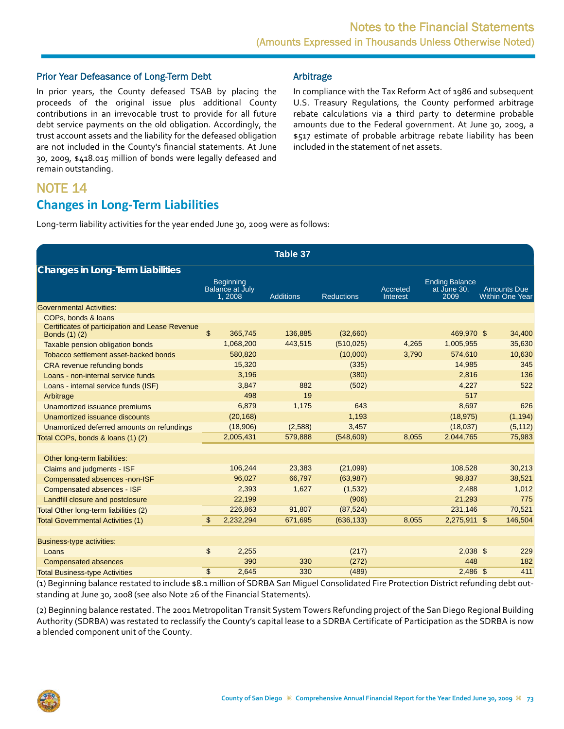#### <span id="page-26-0"></span>Prior Year Defeasance of Long-Term Debt

In prior years, the County defeased TSAB by placing the proceeds of the original issue plus additional County contributions in an irrevocable trust to provide for all future debt service payments on the old obligation. Accordingly, the trust account assets and the liability for the defeased obligation are not included in the County's financial statements. At June 30, 2009, \$418.015 million of bonds were legally defeased and remain outstanding.

#### Arbitrage

In compliance with the Tax Reform Act of 1986 and subsequent U.S. Treasury Regulations, the County performed arbitrage rebate calculations via a third party to determine probable amounts due to the Federal government. At June 30, 2009, a \$517 estimate of probable arbitrage rebate liability has been included in the statement of net assets.

# NOTE 14 **Changes in Long‐Term Liabilities**

Long-term liability activities for the year ended June 30, 2009 were as follows:

|                                                                         |                |                                                      | Table 37         |                   |                      |                                              |                                              |
|-------------------------------------------------------------------------|----------------|------------------------------------------------------|------------------|-------------------|----------------------|----------------------------------------------|----------------------------------------------|
| Changes in Long-Term Liabilities                                        |                |                                                      |                  |                   |                      |                                              |                                              |
|                                                                         |                | <b>Beginning</b><br><b>Balance at July</b><br>1,2008 | <b>Additions</b> | <b>Reductions</b> | Accreted<br>Interest | <b>Ending Balance</b><br>at June 30,<br>2009 | <b>Amounts Due</b><br><b>Within One Year</b> |
| <b>Governmental Activities:</b>                                         |                |                                                      |                  |                   |                      |                                              |                                              |
| COPs, bonds & loans                                                     |                |                                                      |                  |                   |                      |                                              |                                              |
| Certificates of participation and Lease Revenue<br><b>Bonds</b> (1) (2) | $\mathbb{S}$   | 365,745                                              | 136,885          | (32,660)          |                      | 469,970 \$                                   | 34,400                                       |
| Taxable pension obligation bonds                                        |                | 1,068,200                                            | 443,515          | (510, 025)        | 4,265                | 1,005,955                                    | 35,630                                       |
| Tobacco settlement asset-backed bonds                                   |                | 580,820                                              |                  | (10,000)          | 3,790                | 574,610                                      | 10,630                                       |
| CRA revenue refunding bonds                                             |                | 15,320                                               |                  | (335)             |                      | 14,985                                       | 345                                          |
| Loans - non-internal service funds                                      |                | 3,196                                                |                  | (380)             |                      | 2,816                                        | 136                                          |
| Loans - internal service funds (ISF)                                    |                | 3,847                                                | 882              | (502)             |                      | 4,227                                        | 522                                          |
| Arbitrage                                                               |                | 498                                                  | 19               |                   |                      | 517                                          |                                              |
| Unamortized issuance premiums                                           |                | 6,879                                                | 1,175            | 643               |                      | 8,697                                        | 626                                          |
| Unamortized issuance discounts                                          |                | (20, 168)                                            |                  | 1,193             |                      | (18, 975)                                    | (1, 194)                                     |
| Unamortized deferred amounts on refundings                              |                | (18,906)                                             | (2,588)          | 3,457             |                      | (18,037)                                     | (5, 112)                                     |
| Total COPs, bonds & loans (1) (2)                                       |                | 2,005,431                                            | 579,888          | (548, 609)        | 8,055                | 2,044,765                                    | 75,983                                       |
|                                                                         |                |                                                      |                  |                   |                      |                                              |                                              |
| Other long-term liabilities:                                            |                |                                                      |                  |                   |                      |                                              |                                              |
| Claims and judgments - ISF                                              |                | 106,244                                              | 23,383           | (21,099)          |                      | 108,528                                      | 30,213                                       |
| Compensated absences -non-ISF                                           |                | 96,027                                               | 66,797           | (63,987)          |                      | 98,837                                       | 38,521                                       |
| Compensated absences - ISF                                              |                | 2,393                                                | 1,627            | (1,532)           |                      | 2,488                                        | 1,012                                        |
| Landfill closure and postclosure                                        |                | 22,199                                               |                  | (906)             |                      | 21,293                                       | 775                                          |
| Total Other long-term liabilities (2)                                   |                | 226,863                                              | 91,807           | (87, 524)         |                      | 231,146                                      | 70,521                                       |
| <b>Total Governmental Activities (1)</b>                                | $\mathfrak{L}$ | 2,232,294                                            | 671,695          | (636, 133)        | 8,055                | 2,275,911 \$                                 | 146,504                                      |
|                                                                         |                |                                                      |                  |                   |                      |                                              |                                              |
| <b>Business-type activities:</b>                                        |                |                                                      |                  |                   |                      |                                              |                                              |
| Loans                                                                   | \$             | 2,255                                                |                  | (217)             |                      | $2,038$ \$                                   | 229                                          |
| <b>Compensated absences</b>                                             |                | 390                                                  | 330              | (272)             |                      | 448                                          | 182                                          |
| <b>Total Business-type Activities</b>                                   | \$             | 2,645                                                | 330              | (489)             |                      | $2,486$ \$                                   | 411                                          |

(1) Beginning balance restated to include \$8.1 million of SDRBA San Miguel Consolidated Fire Protection District refunding debt out‐ standing at June 30, 2008 (see also Note 26 of the Financial Statements).

(2) Beginning balance restated. The 2001 Metropolitan Transit System Towers Refunding project of the San Diego Regional Building Authority (SDRBA) was restated to reclassify the County's capital lease to a SDRBA Certificate of Participation as the SDRBA is now a blended component unit of the County.

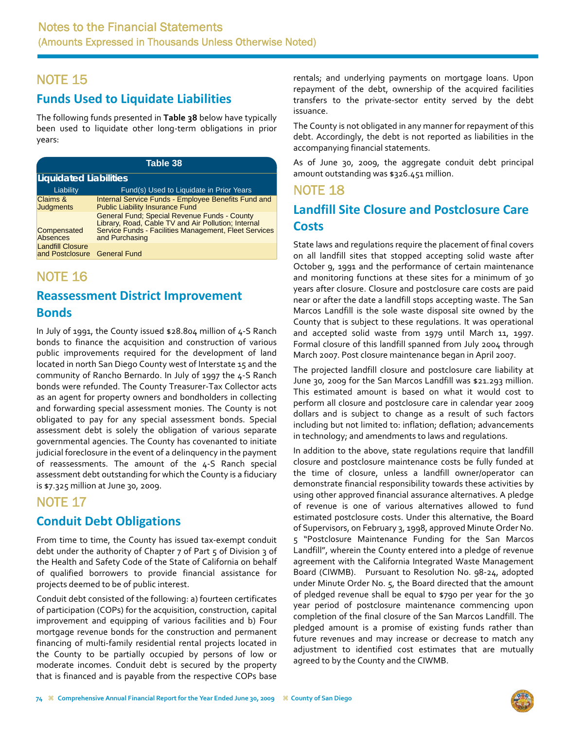# <span id="page-27-0"></span>**Funds Used to Liquidate Liabilities**

The following funds presented in **Table 38** below have typically been used to liquidate other long‐term obligations in prior years:

| Table 38                                   |                                                                                                                                                                                       |  |  |  |  |  |  |
|--------------------------------------------|---------------------------------------------------------------------------------------------------------------------------------------------------------------------------------------|--|--|--|--|--|--|
| Liquidated Liabilities                     |                                                                                                                                                                                       |  |  |  |  |  |  |
| Liability                                  | Fund(s) Used to Liquidate in Prior Years                                                                                                                                              |  |  |  |  |  |  |
| Claims &<br><b>Judgments</b>               | Internal Service Funds - Employee Benefits Fund and<br><b>Public Liability Insurance Fund</b>                                                                                         |  |  |  |  |  |  |
| Compensated<br>Absences                    | <b>General Fund: Special Revenue Funds - County</b><br>Library, Road, Cable TV and Air Pollution; Internal<br>Service Funds - Facilities Management, Fleet Services<br>and Purchasing |  |  |  |  |  |  |
| <b>Landfill Closure</b><br>and Postclosure | <b>General Fund</b>                                                                                                                                                                   |  |  |  |  |  |  |

# NOTE 16

# **Reassessment District Improvement Bonds**

In July of 1991, the County issued \$28.804 million of 4‐S Ranch bonds to finance the acquisition and construction of various public improvements required for the development of land located in north San Diego County west of Interstate 15 and the community of Rancho Bernardo. In July of 1997 the 4‐S Ranch bonds were refunded. The County Treasurer‐Tax Collector acts as an agent for property owners and bondholders in collecting and forwarding special assessment monies. The County is not obligated to pay for any special assessment bonds. Special assessment debt is solely the obligation of various separate governmental agencies. The County has covenanted to initiate judicial foreclosure in the event of a delinquency in the payment of reassessments. The amount of the 4‐S Ranch special assessment debt outstanding for which the County is a fiduciary is \$7.325 million at June 30, 2009.

# NOTE 17

## **Conduit Debt Obligations**

From time to time, the County has issued tax‐exempt conduit debt under the authority of Chapter 7 of Part 5 of Division 3 of the Health and Safety Code of the State of California on behalf of qualified borrowers to provide financial assistance for projects deemed to be of public interest.

Conduit debt consisted of the following: a) fourteen certificates of participation (COPs) for the acquisition, construction, capital improvement and equipping of various facilities and b) Four mortgage revenue bonds for the construction and permanent financing of multi‐family residential rental projects located in the County to be partially occupied by persons of low or moderate incomes. Conduit debt is secured by the property that is financed and is payable from the respective COPs base

rentals; and underlying payments on mortgage loans. Upon repayment of the debt, ownership of the acquired facilities transfers to the private‐sector entity served by the debt issuance.

The County is not obligated in any manner for repayment of this debt. Accordingly, the debt is not reported as liabilities in the accompanying financial statements.

As of June 30, 2009, the aggregate conduit debt principal amount outstanding was \$326.451 million.

# NOTE 18 **Landfill Site Closure and Postclosure Care Costs**

State laws and regulations require the placement of final covers on all landfill sites that stopped accepting solid waste after October 9, 1991 and the performance of certain maintenance and monitoring functions at these sites for a minimum of 30 years after closure. Closure and postclosure care costs are paid near or after the date a landfill stops accepting waste. The San Marcos Landfill is the sole waste disposal site owned by the County that is subject to these regulations. It was operational and accepted solid waste from 1979 until March 11, 1997. Formal closure of this landfill spanned from July 2004 through March 2007. Post closure maintenance began in April 2007.

The projected landfill closure and postclosure care liability at June 30, 2009 for the San Marcos Landfill was \$21.293 million. This estimated amount is based on what it would cost to perform all closure and postclosure care in calendar year 2009 dollars and is subject to change as a result of such factors including but not limited to: inflation; deflation; advancements in technology; and amendments to laws and regulations.

In addition to the above, state regulations require that landfill closure and postclosure maintenance costs be fully funded at the time of closure, unless a landfill owner/operator can demonstrate financial responsibility towards these activities by using other approved financial assurance alternatives. A pledge of revenue is one of various alternatives allowed to fund estimated postclosure costs. Under this alternative, the Board of Supervisors, on February 3, 1998, approved Minute Order No. 5 "Postclosure Maintenance Funding for the San Marcos Landfill", wherein the County entered into a pledge of revenue agreement with the California Integrated Waste Management Board (CIWMB). Pursuant to Resolution No. 98‐24, adopted under Minute Order No. 5, the Board directed that the amount of pledged revenue shall be equal to \$790 per year for the 30 year period of postclosure maintenance commencing upon completion of the final closure of the San Marcos Landfill. The pledged amount is a promise of existing funds rather than future revenues and may increase or decrease to match any adjustment to identified cost estimates that are mutually agreed to by the County and the CIWMB.

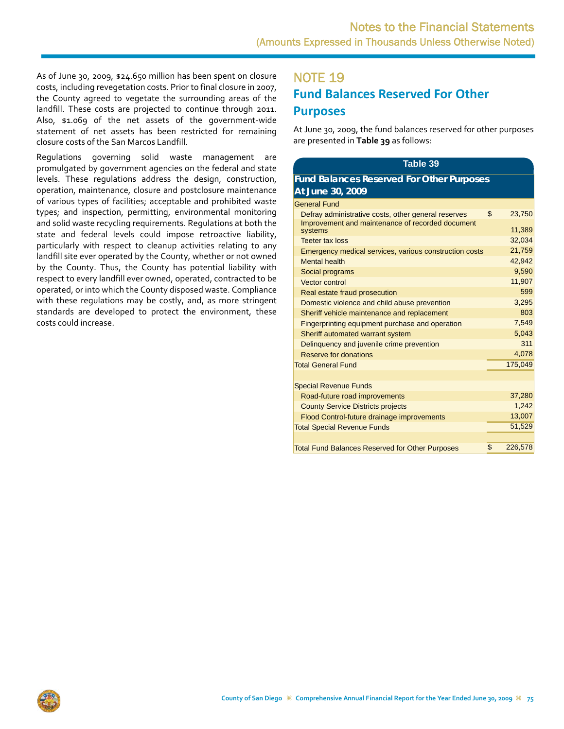<span id="page-28-0"></span>As of June 30, 2009, \$24.650 million has been spent on closure costs, including revegetation costs. Prior to final closure in 2007, the County agreed to vegetate the surrounding areas of the landfill. These costs are projected to continue through 2011. Also, \$1.069 of the net assets of the government‐wide statement of net assets has been restricted for remaining closure costs of the San Marcos Landfill.

Regulations governing solid waste management are promulgated by government agencies on the federal and state levels. These regulations address the design, construction, operation, maintenance, closure and postclosure maintenance of various types of facilities; acceptable and prohibited waste types; and inspection, permitting, environmental monitoring and solid waste recycling requirements. Regulations at both the state and federal levels could impose retroactive liability, particularly with respect to cleanup activities relating to any landfill site ever operated by the County, whether or not owned by the County. Thus, the County has potential liability with respect to every landfill ever owned, operated, contracted to be operated, or into which the County disposed waste. Compliance with these regulations may be costly, and, as more stringent standards are developed to protect the environment, these costs could increase.

# NOTE 19 **Fund Balances Reserved For Other Purposes**

At June 30, 2009, the fund balances reserved for other purposes are presented in **Table 39** as follows:

| Table 39                                         |  |
|--------------------------------------------------|--|
| <b>Fund Balances Reserved For Other Purposes</b> |  |
| At June 30, 2009                                 |  |

| <b>General Fund</b>                                         |               |
|-------------------------------------------------------------|---------------|
| Defray administrative costs, other general reserves         | \$<br>23,750  |
| Improvement and maintenance of recorded document<br>systems | 11,389        |
| <b>Teeter tax loss</b>                                      | 32,034        |
|                                                             |               |
| Emergency medical services, various construction costs      | 21,759        |
| <b>Mental health</b>                                        | 42,942        |
| Social programs                                             | 9,590         |
| Vector control                                              | 11,907        |
| Real estate fraud prosecution                               | 599           |
| Domestic violence and child abuse prevention                | 3.295         |
| Sheriff vehicle maintenance and replacement                 | 803           |
| Fingerprinting equipment purchase and operation             | 7.549         |
| Sheriff automated warrant system                            | 5,043         |
| Delinguency and juvenile crime prevention                   | 311           |
| Reserve for donations                                       | 4,078         |
| <b>Total General Fund</b>                                   | 175,049       |
|                                                             |               |
| <b>Special Revenue Funds</b>                                |               |
| Road-future road improvements                               | 37,280        |
| <b>County Service Districts projects</b>                    | 1.242         |
| Flood Control-future drainage improvements                  | 13,007        |
| <b>Total Special Revenue Funds</b>                          | 51,529        |
|                                                             |               |
| <b>Total Fund Balances Reserved for Other Purposes</b>      | \$<br>226,578 |
|                                                             |               |

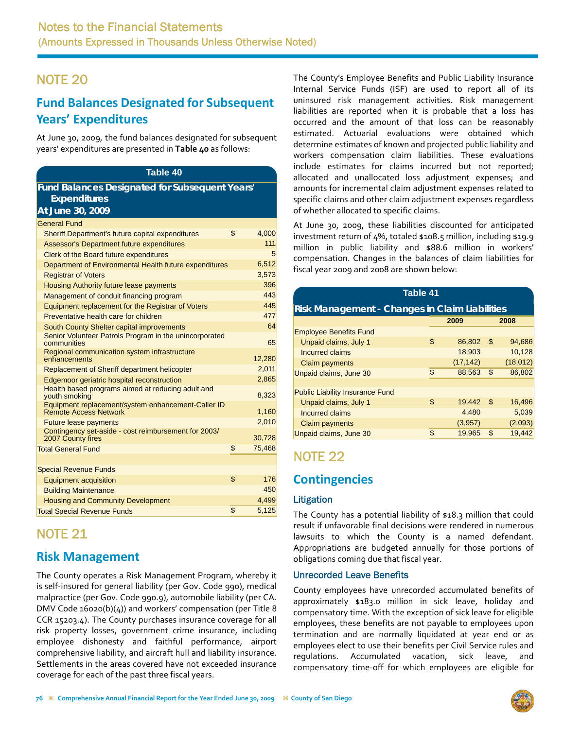# <span id="page-29-0"></span>**Fund Balances Designated for Subsequent Years' Expenditures**

At June 30, 2009, the fund balances designated for subsequent years' expenditures are presented in **Table 40** as follows:

### **Table 40 Fund Balances Designated for Subsequent Years' Expenditures**

| At June 30, 2009                                                                   |              |
|------------------------------------------------------------------------------------|--------------|
| <b>General Fund</b>                                                                |              |
| Sheriff Department's future capital expenditures                                   | \$<br>4,000  |
| Assessor's Department future expenditures                                          | 111          |
| Clerk of the Board future expenditures                                             | 5            |
| Department of Environmental Health future expenditures                             | 6,512        |
| <b>Registrar of Voters</b>                                                         | 3,573        |
| Housing Authority future lease payments                                            | 396          |
| Management of conduit financing program                                            | 443          |
| Equipment replacement for the Registrar of Voters                                  | 445          |
| Preventative health care for children                                              | 477          |
| South County Shelter capital improvements                                          | 64           |
| Senior Volunteer Patrols Program in the unincorporated<br>communities              | 65           |
| Regional communication system infrastructure<br>enhancements                       | 12,280       |
| Replacement of Sheriff department helicopter                                       | 2,011        |
| Edgemoor geriatric hospital reconstruction                                         | 2,865        |
| Health based programs aimed at reducing adult and<br>youth smoking                 | 8,323        |
| Equipment replacement/system enhancement-Caller ID<br><b>Remote Access Network</b> | 1,160        |
| <b>Future lease payments</b>                                                       | 2,010        |
| Contingency set-aside - cost reimbursement for 2003/<br>2007 County fires          | 30,728       |
| <b>Total General Fund</b>                                                          | \$<br>75,468 |
|                                                                                    |              |
| <b>Special Revenue Funds</b>                                                       |              |
| <b>Equipment acquisition</b>                                                       | \$<br>176    |
| <b>Building Maintenance</b>                                                        | 450          |
| <b>Housing and Community Development</b>                                           | 4,499        |
| <b>Total Special Revenue Funds</b>                                                 | \$<br>5,125  |

# NOTE 21

# **Risk Management**

The County operates a Risk Management Program, whereby it is self-insured for general liability (per Gov. Code 990), medical malpractice (per Gov. Code 990.9), automobile liability (per CA. DMV Code 16020(b)(4)) and workers' compensation (per Title 8 CCR 15203.4). The County purchases insurance coverage for all risk property losses, government crime insurance, including employee dishonesty and faithful performance, airport comprehensive liability, and aircraft hull and liability insurance. Settlements in the areas covered have not exceeded insurance coverage for each of the past three fiscal years.

The County's Employee Benefits and Public Liability Insurance Internal Service Funds (ISF) are used to report all of its uninsured risk management activities. Risk management liabilities are reported when it is probable that a loss has occurred and the amount of that loss can be reasonably estimated. Actuarial evaluations were obtained which determine estimates of known and projected public liability and workers compensation claim liabilities. These evaluations include estimates for claims incurred but not reported; allocated and unallocated loss adjustment expenses; and amounts for incremental claim adjustment expenses related to specific claims and other claim adjustment expenses regardless of whether allocated to specific claims.

At June 30, 2009, these liabilities discounted for anticipated investment return of 4%, totaled \$108.5 million, including \$19.9 million in public liability and \$88.6 million in workers' compensation. Changes in the balances of claim liabilities for fiscal year 2009 and 2008 are shown below:

| Table 41                                       |    |           |     |          |  |  |  |
|------------------------------------------------|----|-----------|-----|----------|--|--|--|
| Risk Management - Changes in Claim Liabilities |    |           |     |          |  |  |  |
|                                                |    | 2009      |     | 2008     |  |  |  |
| <b>Employee Benefits Fund</b>                  |    |           |     |          |  |  |  |
| Unpaid claims, July 1                          | \$ | 86,802    | -\$ | 94,686   |  |  |  |
| Incurred claims                                |    | 18,903    |     | 10,128   |  |  |  |
| Claim payments                                 |    | (17, 142) |     | (18,012) |  |  |  |
| Unpaid claims, June 30                         | \$ | 88,563    | \$  | 86,802   |  |  |  |
|                                                |    |           |     |          |  |  |  |
| <b>Public Liability Insurance Fund</b>         |    |           |     |          |  |  |  |
| Unpaid claims, July 1                          | \$ | 19,442    | \$  | 16,496   |  |  |  |
| Incurred claims                                |    | 4,480     |     | 5,039    |  |  |  |
| Claim payments                                 |    | (3,957)   |     | (2,093)  |  |  |  |
| Unpaid claims, June 30                         | \$ | 19,965    | S   | 19,442   |  |  |  |

# NOTE 22

# **Contingencies**

### **Litigation**

The County has a potential liability of \$18.3 million that could result if unfavorable final decisions were rendered in numerous lawsuits to which the County is a named defendant. Appropriations are budgeted annually for those portions of obligations coming due that fiscal year.

### Unrecorded Leave Benefits

County employees have unrecorded accumulated benefits of approximately \$183.0 million in sick leave, holiday and compensatory time. With the exception of sick leave for eligible employees, these benefits are not payable to employees upon termination and are normally liquidated at year end or as employees elect to use their benefits per Civil Service rules and regulations. Accumulated vacation, sick leave, compensatory time‐off for which employees are eligible for

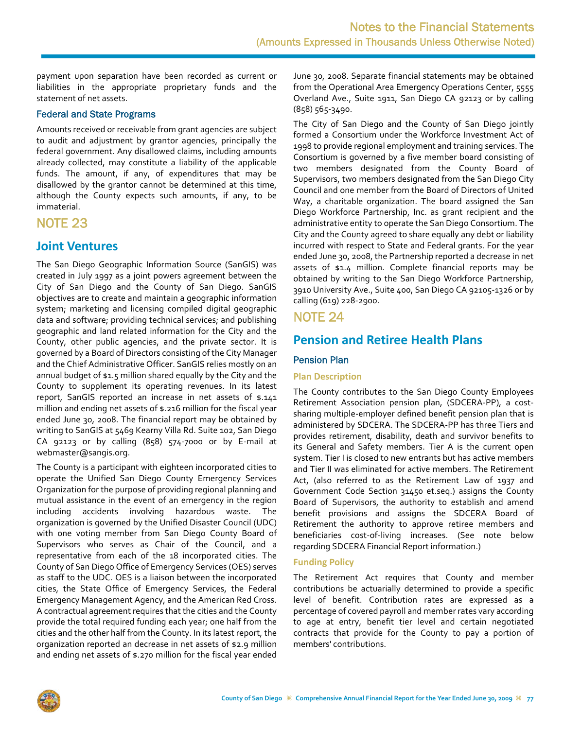<span id="page-30-0"></span>payment upon separation have been recorded as current or liabilities in the appropriate proprietary funds and the statement of net assets.

#### Federal and State Programs

Amounts received or receivable from grant agencies are subject to audit and adjustment by grantor agencies, principally the federal government. Any disallowed claims, including amounts already collected, may constitute a liability of the applicable funds. The amount, if any, of expenditures that may be disallowed by the grantor cannot be determined at this time, although the County expects such amounts, if any, to be immaterial.

## NOTE 23

### **Joint Ventures**

The San Diego Geographic Information Source (SanGIS) was created in July 1997 as a joint powers agreement between the City of San Diego and the County of San Diego. SanGIS objectives are to create and maintain a geographic information system; marketing and licensing compiled digital geographic data and software; providing technical services; and publishing geographic and land related information for the City and the County, other public agencies, and the private sector. It is governed by a Board of Directors consisting of the City Manager and the Chief Administrative Officer. SanGIS relies mostly on an annual budget of \$1.5 million shared equally by the City and the County to supplement its operating revenues. In its latest report, SanGIS reported an increase in net assets of \$.141 million and ending net assets of \$.216 million for the fiscal year ended June 30, 2008. The financial report may be obtained by writing to SanGIS at 5469 Kearny Villa Rd. Suite 102, San Diego CA 92123 or by calling (858) 574‐7000 or by E‐mail at webmaster@sangis.org.

The County is a participant with eighteen incorporated cities to operate the Unified San Diego County Emergency Services Organization for the purpose of providing regional planning and mutual assistance in the event of an emergency in the region including accidents involving hazardous waste. The organization is governed by the Unified Disaster Council (UDC) with one voting member from San Diego County Board of Supervisors who serves as Chair of the Council, and a representative from each of the 18 incorporated cities. The County of San Diego Office of Emergency Services (OES) serves as staff to the UDC. OES is a liaison between the incorporated cities, the State Office of Emergency Services, the Federal Emergency Management Agency, and the American Red Cross. A contractual agreement requires that the cities and the County provide the total required funding each year; one half from the cities and the other half from the County. In its latest report, the organization reported an decrease in net assets of \$2.9 million and ending net assets of \$.270 million for the fiscal year ended June 30, 2008. Separate financial statements may be obtained from the Operational Area Emergency Operations Center, 5555 Overland Ave., Suite 1911, San Diego CA 92123 or by calling (858) 565‐3490.

The City of San Diego and the County of San Diego jointly formed a Consortium under the Workforce Investment Act of 1998 to provide regional employment and training services. The Consortium is governed by a five member board consisting of two members designated from the County Board of Supervisors, two members designated from the San Diego City Council and one member from the Board of Directors of United Way, a charitable organization. The board assigned the San Diego Workforce Partnership, Inc. as grant recipient and the administrative entity to operate the San Diego Consortium. The City and the County agreed to share equally any debt or liability incurred with respect to State and Federal grants. For the year ended June 30, 2008, the Partnership reported a decrease in net assets of \$1.4 million. Complete financial reports may be obtained by writing to the San Diego Workforce Partnership, 3910 University Ave., Suite 400, San Diego CA 92105‐1326 or by calling (619) 228‐2900.

### NOTE 24

## **Pension and Retiree Health Plans**

#### Pension Plan

#### **Plan Description**

The County contributes to the San Diego County Employees Retirement Association pension plan, (SDCERA‐PP), a cost‐ sharing multiple‐employer defined benefit pension plan that is administered by SDCERA. The SDCERA‐PP has three Tiers and provides retirement, disability, death and survivor benefits to its General and Safety members. Tier A is the current open system. Tier I is closed to new entrants but has active members and Tier II was eliminated for active members. The Retirement Act, (also referred to as the Retirement Law of 1937 and Government Code Section 31450 et.seq.) assigns the County Board of Supervisors, the authority to establish and amend benefit provisions and assigns the SDCERA Board of Retirement the authority to approve retiree members and beneficiaries cost‐of‐living increases. (See note below regarding SDCERA Financial Report information.)

#### **Funding Policy**

The Retirement Act requires that County and member contributions be actuarially determined to provide a specific level of benefit. Contribution rates are expressed as a percentage of covered payroll and member rates vary according to age at entry, benefit tier level and certain negotiated contracts that provide for the County to pay a portion of members' contributions.

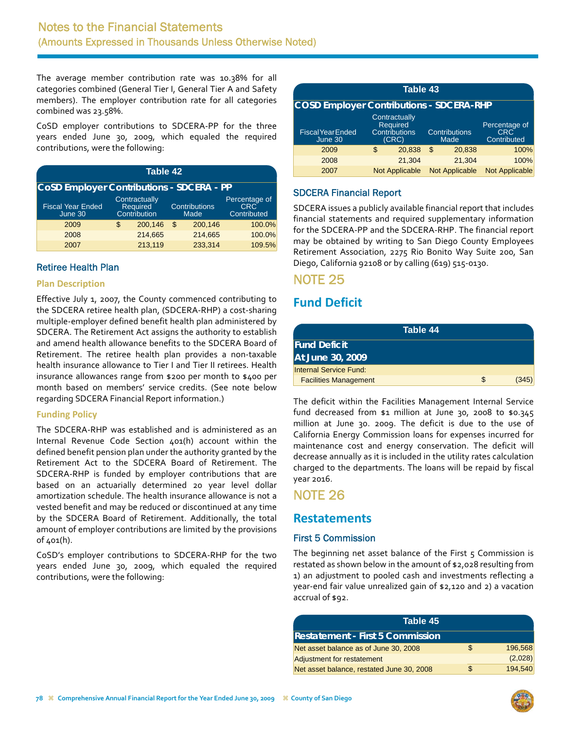<span id="page-31-0"></span>The average member contribution rate was 10.38% for all categories combined (General Tier I, General Tier A and Safety members). The employer contribution rate for all categories combined was 23.58%.

CoSD employer contributions to SDCERA‐PP for the three years ended June 30, 2009, which equaled the required contributions, were the following:

| Table 42                                         |    |                                           |    |                              |                                            |  |  |  |
|--------------------------------------------------|----|-------------------------------------------|----|------------------------------|--------------------------------------------|--|--|--|
| <b>CoSD Employer Contributions - SDCERA - PP</b> |    |                                           |    |                              |                                            |  |  |  |
| <b>Fiscal Year Ended</b><br>June 30              |    | Contractually<br>Required<br>Contribution |    | <b>Contributions</b><br>Made | Percentage of<br><b>CRC</b><br>Contributed |  |  |  |
| 2009                                             | \$ | 200.146                                   | \$ | 200.146                      | 100.0%                                     |  |  |  |
| 2008                                             |    | 214,665                                   |    | 214,665                      | 100.0%                                     |  |  |  |
| 2007                                             |    | 213,119                                   |    | 233,314                      | 109.5%                                     |  |  |  |

### Retiree Health Plan

#### **Plan Description**

Effective July 1, 2007, the County commenced contributing to the SDCERA retiree health plan, (SDCERA‐RHP) a cost‐sharing multiple‐employer defined benefit health plan administered by SDCERA. The Retirement Act assigns the authority to establish and amend health allowance benefits to the SDCERA Board of Retirement. The retiree health plan provides a non-taxable health insurance allowance to Tier I and Tier II retirees. Health insurance allowances range from \$200 per month to \$400 per month based on members' service credits. (See note below regarding SDCERA Financial Report information.)

### **Funding Policy**

The SDCERA‐RHP was established and is administered as an Internal Revenue Code Section 401(h) account within the defined benefit pension plan under the authority granted by the Retirement Act to the SDCERA Board of Retirement. The SDCERA‐RHP is funded by employer contributions that are based on an actuarially determined 20 year level dollar amortization schedule. The health insurance allowance is not a vested benefit and may be reduced or discontinued at any time by the SDCERA Board of Retirement. Additionally, the total amount of employer contributions are limited by the provisions of 401(h).

CoSD's employer contributions to SDCERA‐RHP for the two years ended June 30, 2009, which equaled the required contributions, were the following:

| Table 43                                        |    |                                                                   |    |                              |                                            |  |  |
|-------------------------------------------------|----|-------------------------------------------------------------------|----|------------------------------|--------------------------------------------|--|--|
| <b>COSD Employer Contributions - SDCERA-RHP</b> |    |                                                                   |    |                              |                                            |  |  |
| <b>Fiscal Year Ended</b><br>June 30             |    | Contractually<br><b>Required</b><br><b>Contributions</b><br>(CRC) |    | <b>Contributions</b><br>Made | Percentage of<br><b>CRC</b><br>Contributed |  |  |
| 2009                                            | \$ | 20.838                                                            | \$ | 20,838                       | 100%                                       |  |  |
| 2008                                            |    | 21.304                                                            |    | 21.304                       | 100%                                       |  |  |
| 2007                                            |    | <b>Not Applicable</b>                                             |    | <b>Not Applicable</b>        | <b>Not Applicable</b>                      |  |  |

### SDCERA Financial Report

SDCERA issues a publicly available financial report that includes financial statements and required supplementary information for the SDCERA‐PP and the SDCERA‐RHP. The financial report may be obtained by writing to San Diego County Employees Retirement Association, 2275 Rio Bonito Way Suite 200, San Diego, California 92108 or by calling (619) 515‐0130.

### NOTE 25

## **Fund Deficit**

| Table 44                      |    |       |
|-------------------------------|----|-------|
| <b>Fund Deficit</b>           |    |       |
| At June 30, 2009              |    |       |
| <b>Internal Service Fund:</b> |    |       |
| <b>Facilities Management</b>  | S. | (345) |

The deficit within the Facilities Management Internal Service fund decreased from \$1 million at June 30, 2008 to \$0.345 million at June 30. 2009. The deficit is due to the use of California Energy Commission loans for expenses incurred for maintenance cost and energy conservation. The deficit will decrease annually as it is included in the utility rates calculation charged to the departments. The loans will be repaid by fiscal year 2016.

## NOTE 26

### **Restatements**

### First 5 Commission

The beginning net asset balance of the First  $5$  Commission is restated as shown below in the amount of \$2,028 resulting from 1) an adjustment to pooled cash and investments reflecting a year‐end fair value unrealized gain of \$2,120 and 2) a vacation accrual of \$92.

| Table 45                                  |     |         |
|-------------------------------------------|-----|---------|
| IRestatement - First 5 Commission         |     |         |
| Net asset balance as of June 30, 2008     | S   | 196,568 |
| Adjustment for restatement                |     | (2,028) |
| Net asset balance, restated June 30, 2008 | \$. | 194,540 |

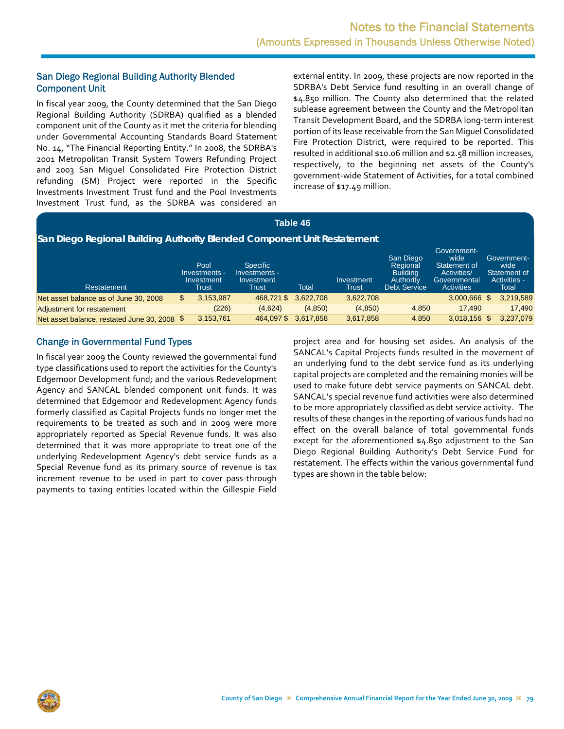### San Diego Regional Building Authority Blended Component Unit

In fiscal year 2009, the County determined that the San Diego Regional Building Authority (SDRBA) qualified as a blended component unit of the County as it met the criteria for blending under Governmental Accounting Standards Board Statement No. 14, "The Financial Reporting Entity." In 2008, the SDRBA's 2001 Metropolitan Transit System Towers Refunding Project and 2003 San Miguel Consolidated Fire Protection District refunding (SM) Project were reported in the Specific Investments Investment Trust fund and the Pool Investments Investment Trust fund, as the SDRBA was considered an external entity. In 2009, these projects are now reported in the SDRBA's Debt Service fund resulting in an overall change of \$4.850 million. The County also determined that the related sublease agreement between the County and the Metropolitan Transit Development Board, and the SDRBA long‐term interest portion of its lease receivable from the San Miguel Consolidated Fire Protection District, were required to be reported. This resulted in additional \$10.06 million and \$2.58 million increases, respectively, to the beginning net assets of the County's government‐wide Statement of Activities, for a total combined increase of \$17.49 million.

| Table 46                                                                 |    |                                              |                                                         |           |                     |                                                                              |                                                                                         |  |                                                                     |
|--------------------------------------------------------------------------|----|----------------------------------------------|---------------------------------------------------------|-----------|---------------------|------------------------------------------------------------------------------|-----------------------------------------------------------------------------------------|--|---------------------------------------------------------------------|
| San Diego Regional Building Authority Blended Component Unit Restatement |    |                                              |                                                         |           |                     |                                                                              |                                                                                         |  |                                                                     |
| Restatement                                                              |    | Pool<br>Investments -<br>Investment<br>Trust | <b>Specific</b><br>Investments -<br>Investment<br>Trust | Total     | Investment<br>Trust | San Diego<br>Regional<br><b>Building</b><br>Authority<br><b>Debt Service</b> | Government-<br>wide<br>Statement of<br>Activities/<br>Governmental<br><b>Activities</b> |  | Government-<br>wide<br>Statement of<br><b>Activities -</b><br>Total |
| Net asset balance as of June 30, 2008                                    | \$ | 3,153,987                                    | 468,721 \$                                              | 3,622,708 | 3,622,708           |                                                                              | 3,000,666 \$                                                                            |  | 3,219,589                                                           |
| Adjustment for restatement                                               |    | (226)                                        | (4,624)                                                 | (4,850)   | (4,850)             | 4,850                                                                        | 17,490                                                                                  |  | 17,490                                                              |
| Net asset balance, restated June 30, 2008 \$                             |    | 3,153,761                                    | 464.097\$                                               | 3.617.858 | 3,617,858           | 4.850                                                                        | 3.018.156 \$                                                                            |  | 3,237,079                                                           |

### Change in Governmental Fund Types

In fiscal year 2009 the County reviewed the governmental fund type classifications used to report the activities for the County's Edgemoor Development fund; and the various Redevelopment Agency and SANCAL blended component unit funds. It was determined that Edgemoor and Redevelopment Agency funds formerly classified as Capital Projects funds no longer met the requirements to be treated as such and in 2009 were more appropriately reported as Special Revenue funds. It was also determined that it was more appropriate to treat one of the underlying Redevelopment Agency's debt service funds as a Special Revenue fund as its primary source of revenue is tax increment revenue to be used in part to cover pass-through payments to taxing entities located within the Gillespie Field project area and for housing set asides. An analysis of the SANCAL's Capital Projects funds resulted in the movement of an underlying fund to the debt service fund as its underlying capital projects are completed and the remaining monies will be used to make future debt service payments on SANCAL debt. SANCAL's special revenue fund activities were also determined to be more appropriately classified as debt service activity. The results of these changes in the reporting of various funds had no effect on the overall balance of total governmental funds except for the aforementioned \$4.850 adjustment to the San Diego Regional Building Authority's Debt Service Fund for restatement. The effects within the various governmental fund types are shown in the table below:

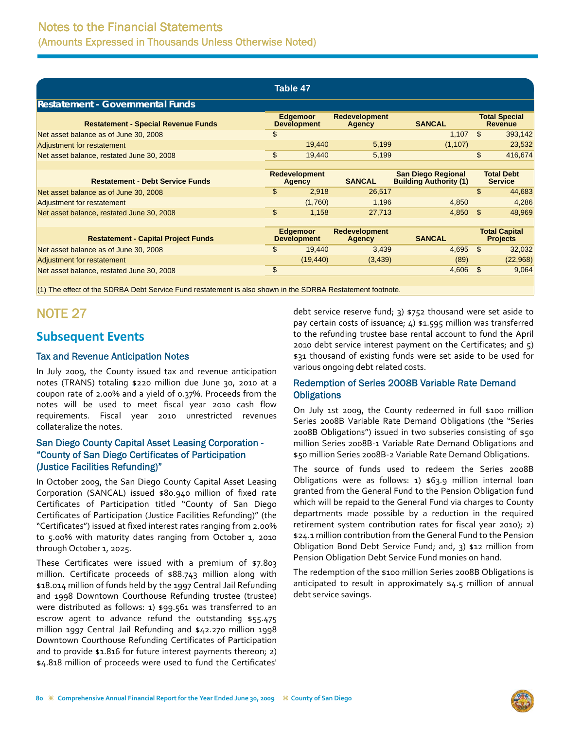<span id="page-33-0"></span>

| Table 47                                   |                                       |                                       |                                                 |                                                            |                                        |                                         |  |
|--------------------------------------------|---------------------------------------|---------------------------------------|-------------------------------------------------|------------------------------------------------------------|----------------------------------------|-----------------------------------------|--|
| <b>Restatement - Governmental Funds</b>    |                                       |                                       |                                                 |                                                            |                                        |                                         |  |
| <b>Restatement - Special Revenue Funds</b> | <b>Edgemoor</b><br><b>Development</b> |                                       | <b>Redevelopment</b><br><b>SANCAL</b><br>Agency |                                                            | <b>Total Special</b><br><b>Revenue</b> |                                         |  |
| Net asset balance as of June 30, 2008      | \$                                    |                                       |                                                 | 1,107                                                      | \$.                                    | 393,142                                 |  |
| Adjustment for restatement                 |                                       | 19,440                                | 5,199                                           | (1, 107)                                                   |                                        | 23,532                                  |  |
| Net asset balance, restated June 30, 2008  | \$                                    | 19,440                                | 5,199                                           |                                                            | $\mathfrak{s}$                         | 416,674                                 |  |
|                                            |                                       |                                       |                                                 |                                                            |                                        |                                         |  |
| <b>Restatement - Debt Service Funds</b>    |                                       | <b>Redevelopment</b><br><b>Agency</b> | <b>SANCAL</b>                                   | <b>San Diego Regional</b><br><b>Building Authority (1)</b> |                                        | <b>Total Debt</b><br><b>Service</b>     |  |
| Net asset balance as of June 30, 2008      | \$                                    | 2,918                                 | 26,517                                          |                                                            | \$                                     | 44,683                                  |  |
| Adjustment for restatement                 |                                       | (1,760)                               | 1,196                                           | 4,850                                                      |                                        | 4,286                                   |  |
| Net asset balance, restated June 30, 2008  | \$                                    | 1,158                                 | 27,713                                          | 4,850                                                      | \$                                     | 48,969                                  |  |
|                                            |                                       |                                       |                                                 |                                                            |                                        |                                         |  |
| <b>Restatement - Capital Project Funds</b> |                                       | Edgemoor<br><b>Development</b>        | <b>Redevelopment</b><br>Agency                  | <b>SANCAL</b>                                              |                                        | <b>Total Capital</b><br><b>Projects</b> |  |
| Net asset balance as of June 30, 2008      | \$                                    | 19,440                                | 3,439                                           | 4,695                                                      | \$                                     | 32,032                                  |  |
| Adjustment for restatement                 |                                       | (19, 440)                             | (3, 439)                                        | (89)                                                       |                                        | (22,968)                                |  |
| Net asset balance, restated June 30, 2008  | \$                                    |                                       |                                                 | 4,606                                                      | \$.                                    | 9,064                                   |  |
|                                            |                                       |                                       |                                                 |                                                            |                                        |                                         |  |

(1) The effect of the SDRBA Debt Service Fund restatement is also shown in the SDRBA Restatement footnote.

## NOTE 27

## **Subsequent Events**

### Tax and Revenue Anticipation Notes

In July 2009, the County issued tax and revenue anticipation notes (TRANS) totaling \$220 million due June 30, 2010 at a coupon rate of 2.00% and a yield of 0.37%. Proceeds from the notes will be used to meet fiscal year 2010 cash flow requirements. Fiscal year 2010 unrestricted revenues collateralize the notes.

### San Diego County Capital Asset Leasing Corporation - "County of San Diego Certificates of Participation (Justice Facilities Refunding)"

In October 2009, the San Diego County Capital Asset Leasing Corporation (SANCAL) issued \$80.940 million of fixed rate Certificates of Participation titled "County of San Diego Certificates of Participation (Justice Facilities Refunding)" (the "Certificates") issued at fixed interest rates ranging from 2.00% to 5.00% with maturity dates ranging from October 1, 2010 through October 1, 2025.

These Certificates were issued with a premium of \$7.803 million. Certificate proceeds of \$88.743 million along with \$18.014 million of funds held by the 1997 Central Jail Refunding and 1998 Downtown Courthouse Refunding trustee (trustee) were distributed as follows: 1) \$99.561 was transferred to an escrow agent to advance refund the outstanding \$55.475 million 1997 Central Jail Refunding and \$42.270 million 1998 Downtown Courthouse Refunding Certificates of Participation and to provide \$1.816 for future interest payments thereon; 2) \$4.818 million of proceeds were used to fund the Certificates'

debt service reserve fund; 3) \$752 thousand were set aside to pay certain costs of issuance; 4) \$1.595 million was transferred to the refunding trustee base rental account to fund the April 2010 debt service interest payment on the Certificates; and 5) \$31 thousand of existing funds were set aside to be used for various ongoing debt related costs.

### Redemption of Series 2008B Variable Rate Demand **Obligations**

On July 1st 2009, the County redeemed in full \$100 million Series 2008B Variable Rate Demand Obligations (the "Series 2008B Obligations") issued in two subseries consisting of \$50 million Series 2008B‐1 Variable Rate Demand Obligations and \$50 million Series 2008B‐2 Variable Rate Demand Obligations.

The source of funds used to redeem the Series 2008B Obligations were as follows: 1) \$63.9 million internal loan granted from the General Fund to the Pension Obligation fund which will be repaid to the General Fund via charges to County departments made possible by a reduction in the required retirement system contribution rates for fiscal year 2010); 2) \$24.1 million contribution from the General Fund to the Pension Obligation Bond Debt Service Fund; and, 3) \$12 million from Pension Obligation Debt Service Fund monies on hand.

The redemption of the \$100 million Series 2008B Obligations is anticipated to result in approximately \$4.5 million of annual debt service savings.

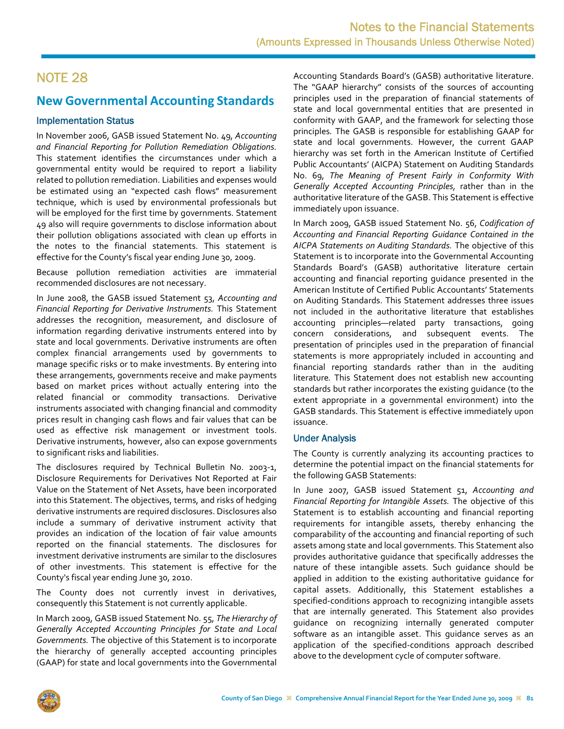## <span id="page-34-0"></span>**New Governmental Accounting Standards**

### Implementation Status

In November 2006, GASB issued Statement No. 49, *Accounting and Financial Reporting for Pollution Remediation Obligations.* This statement identifies the circumstances under which a governmental entity would be required to report a liability related to pollution remediation. Liabilities and expenses would be estimated using an "expected cash flows" measurement technique, which is used by environmental professionals but will be employed for the first time by governments. Statement 49 also will require governments to disclose information about their pollution obligations associated with clean up efforts in the notes to the financial statements. This statement is effective for the County's fiscal year ending June 30, 2009.

Because pollution remediation activities are immaterial recommended disclosures are not necessary.

In June 2008, the GASB issued Statement 53, *Accounting and Financial Reporting for Derivative Instruments.* This Statement addresses the recognition, measurement, and disclosure of information regarding derivative instruments entered into by state and local governments. Derivative instruments are often complex financial arrangements used by governments to manage specific risks or to make investments. By entering into these arrangements, governments receive and make payments based on market prices without actually entering into the related financial or commodity transactions. Derivative instruments associated with changing financial and commodity prices result in changing cash flows and fair values that can be used as effective risk management or investment tools. Derivative instruments, however, also can expose governments to significant risks and liabilities.

The disclosures required by Technical Bulletin No. 2003-1, Disclosure Requirements for Derivatives Not Reported at Fair Value on the Statement of Net Assets, have been incorporated into this Statement. The objectives, terms, and risks of hedging derivative instruments are required disclosures. Disclosures also include a summary of derivative instrument activity that provides an indication of the location of fair value amounts reported on the financial statements. The disclosures for investment derivative instruments are similar to the disclosures of other investments. This statement is effective for the County's fiscal year ending June 30, 2010.

The County does not currently invest in derivatives, consequently this Statement is not currently applicable.

In March 2009, GASB issued Statement No. 55, *The Hierarchy of Generally Accepted Accounting Principles for State and Local Governments.* The objective of this Statement is to incorporate the hierarchy of generally accepted accounting principles (GAAP) for state and local governments into the Governmental

Accounting Standards Board's (GASB) authoritative literature. The "GAAP hierarchy" consists of the sources of accounting principles used in the preparation of financial statements of state and local governmental entities that are presented in conformity with GAAP, and the framework for selecting those principles*.* The GASB is responsible for establishing GAAP for state and local governments. However, the current GAAP hierarchy was set forth in the American Institute of Certified Public Accountants' (AICPA) Statement on Auditing Standards No. 69, *The Meaning of Present Fairly in Conformity With Generally Accepted Accounting Principles,* rather than in the authoritative literature of the GASB. This Statement is effective immediately upon issuance.

In March 2009, GASB issued Statement No. 56, *Codification of Accounting and Financial Reporting Guidance Contained in the AICPA Statements on Auditing Standards.* The objective of this Statement is to incorporate into the Governmental Accounting Standards Board's (GASB) authoritative literature certain accounting and financial reporting guidance presented in the American Institute of Certified Public Accountants' Statements on Auditing Standards. This Statement addresses three issues not included in the authoritative literature that establishes accounting principles—related party transactions, going concern considerations, and subsequent events. The presentation of principles used in the preparation of financial statements is more appropriately included in accounting and financial reporting standards rather than in the auditing literature*.* This Statement does not establish new accounting standards but rather incorporates the existing guidance (to the extent appropriate in a governmental environment) into the GASB standards. This Statement is effective immediately upon issuance.

### Under Analysis

The County is currently analyzing its accounting practices to determine the potential impact on the financial statements for the following GASB Statements:

In June 2007, GASB issued Statement 51, *Accounting and Financial Reporting for Intangible Assets.* The objective of this Statement is to establish accounting and financial reporting requirements for intangible assets, thereby enhancing the comparability of the accounting and financial reporting of such assets among state and local governments. This Statement also provides authoritative guidance that specifically addresses the nature of these intangible assets. Such guidance should be applied in addition to the existing authoritative guidance for capital assets. Additionally, this Statement establishes a specified-conditions approach to recognizing intangible assets that are internally generated. This Statement also provides guidance on recognizing internally generated computer software as an intangible asset. This guidance serves as an application of the specified‐conditions approach described above to the development cycle of computer software.